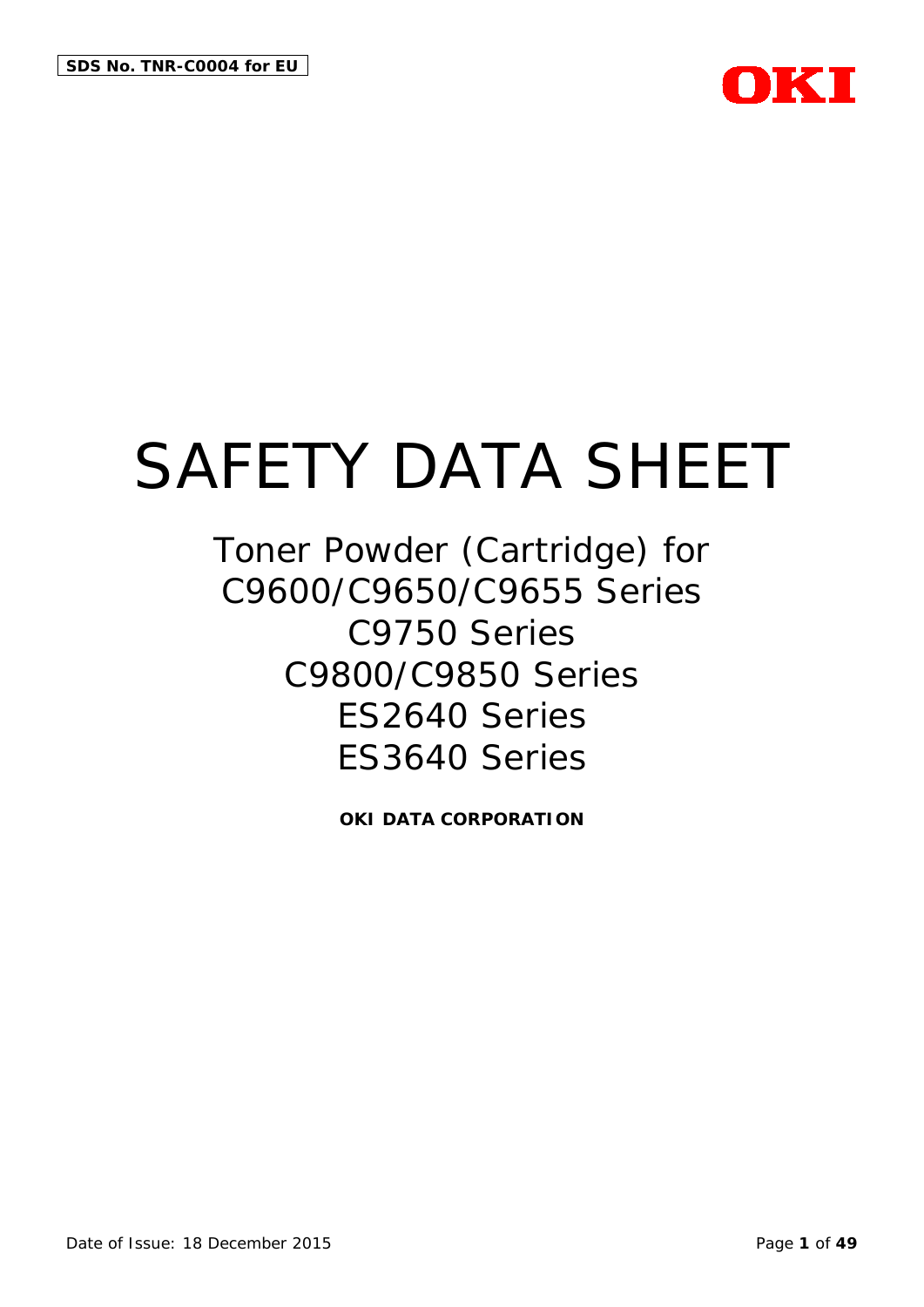

Toner Powder (Cartridge) for C9600/C9650/C9655 Series C9750 Series C9800/C9850 Series ES2640 Series ES3640 Series

**OKI DATA CORPORATION**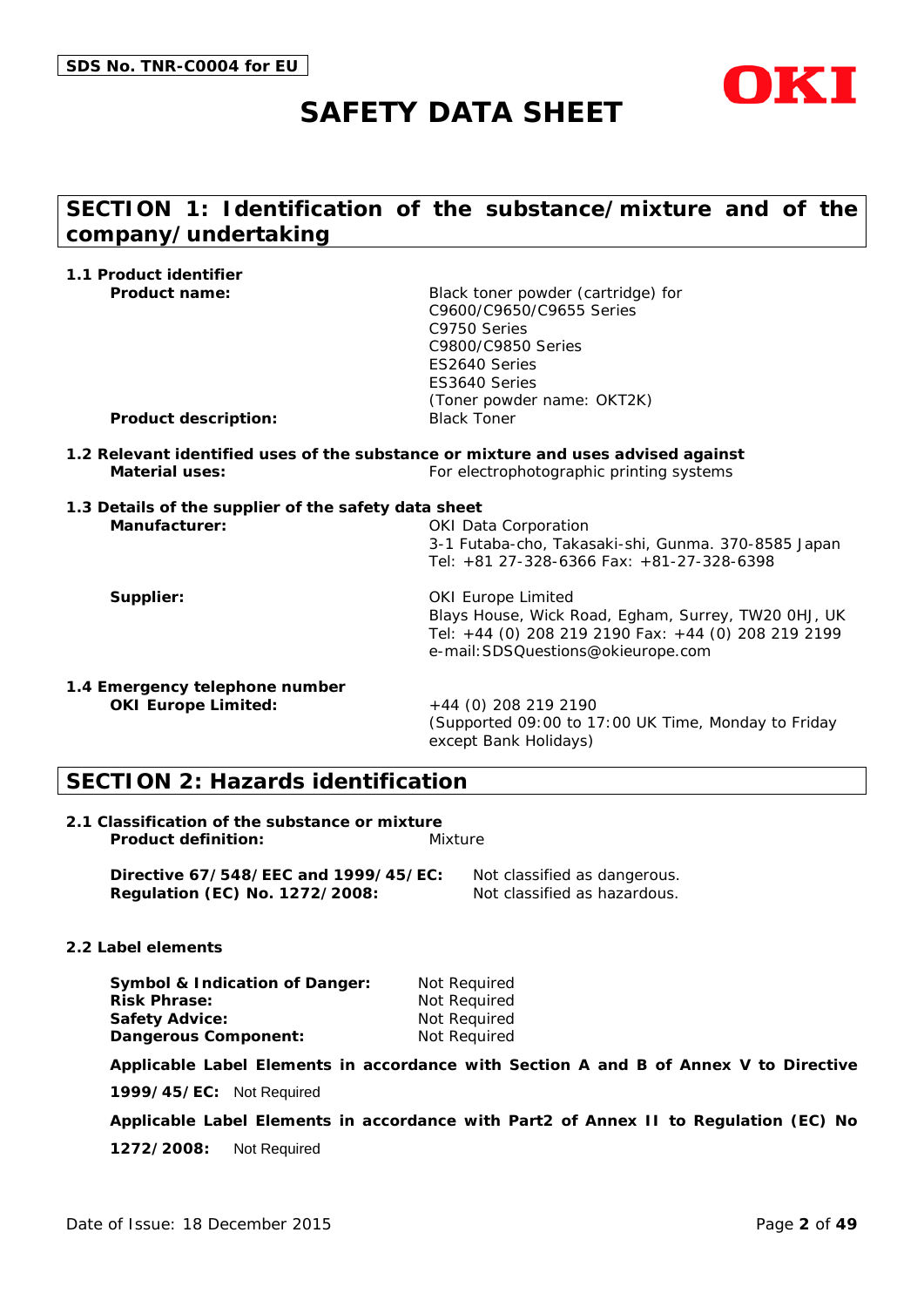

# **SECTION 1: Identification of the substance/mixture and of the company/undertaking**

| 1.1 Product identifier                                                |                                                                                                                                                                                            |
|-----------------------------------------------------------------------|--------------------------------------------------------------------------------------------------------------------------------------------------------------------------------------------|
| <b>Product name:</b><br><b>Product description:</b>                   | Black toner powder (cartridge) for<br>C9600/C9650/C9655 Series<br>C9750 Series<br>C9800/C9850 Series<br>ES2640 Series<br>ES3640 Series<br>(Toner powder name: OKT2K)<br><b>Black Toner</b> |
|                                                                       | 1.2 Relevant identified uses of the substance or mixture and uses advised against                                                                                                          |
| <b>Material uses:</b>                                                 | For electrophotographic printing systems                                                                                                                                                   |
| 1.3 Details of the supplier of the safety data sheet<br>Manufacturer: | <b>OKI Data Corporation</b><br>3-1 Futaba-cho, Takasaki-shi, Gunma. 370-8585 Japan<br>Tel: +81 27-328-6366 Fax: +81-27-328-6398                                                            |
| Supplier:                                                             | <b>OKI Europe Limited</b><br>Blays House, Wick Road, Egham, Surrey, TW20 0HJ, UK<br>Tel: +44 (0) 208 219 2190 Fax: +44 (0) 208 219 2199<br>e-mail: SDSQuestions@okieurope.com              |
| 1.4 Emergency telephone number<br><b>OKI Europe Limited:</b>          | +44 (0) 208 219 2190<br>(Supported 09:00 to 17:00 UK Time, Monday to Friday<br>except Bank Holidays)                                                                                       |

# **SECTION 2: Hazards identification**

| 2.1 Classification of the substance or mixture |         |
|------------------------------------------------|---------|
| <b>Product definition:</b>                     | Mixture |

**Directive 67/548/EEC and 1999/45/EC:** Not classified as dangerous. **Regulation (EC) No. 1272/2008:** Not classified as hazardous.

#### **2.2 Label elements**

| Symbol & Indication of Danger: | Not Required |
|--------------------------------|--------------|
| <b>Risk Phrase:</b>            | Not Required |
| Safety Advice:                 | Not Required |
| Dangerous Component:           | Not Required |

**Applicable Label Elements in accordance with Section A and B of Annex V to Directive** 

**1999/45/EC:** Not Required

**Applicable Label Elements in accordance with Part2 of Annex II to Regulation (EC) No** 

**1272/2008:** Not Required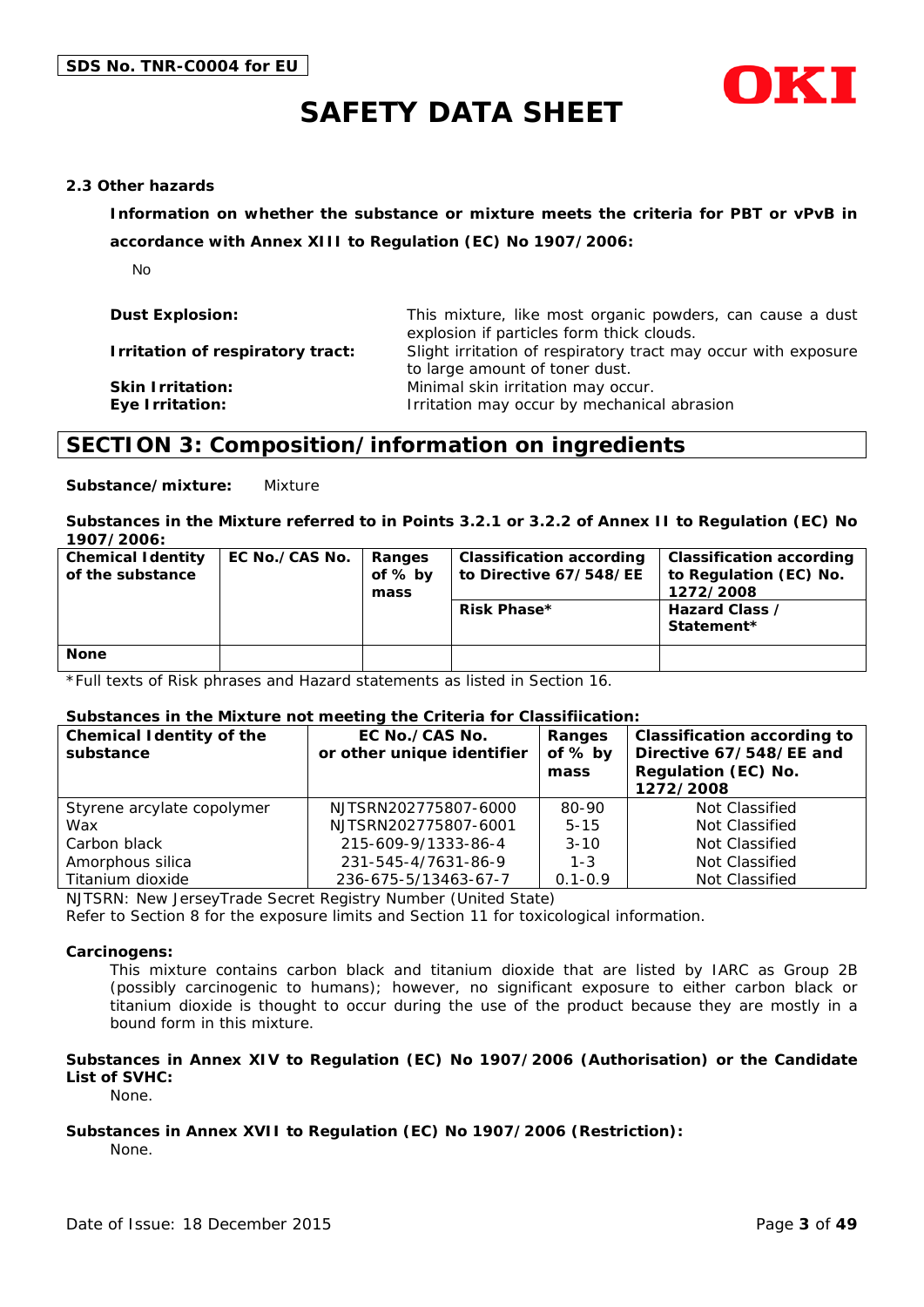



#### **2.3 Other hazards**

**Information on whether the substance or mixture meets the criteria for PBT or vPvB in** 

**accordance with Annex XIII to Regulation (EC) No 1907/2006:**

No

| <b>Dust Explosion:</b>                     | This mixture, like most organic powders, can cause a dust<br>explosion if particles form thick clouds. |
|--------------------------------------------|--------------------------------------------------------------------------------------------------------|
| Irritation of respiratory tract:           | Slight irritation of respiratory tract may occur with exposure<br>to large amount of toner dust.       |
| <b>Skin Irritation:</b><br>Eye Irritation: | Minimal skin irritation may occur.<br>Irritation may occur by mechanical abrasion                      |

### **SECTION 3: Composition/information on ingredients**

**Substance/mixture:** Mixture

**Substances in the Mixture referred to in Points 3.2.1 or 3.2.2 of Annex II to Regulation (EC) No 1907/2006:**

| <b>Chemical Identity</b><br>of the substance | EC No./CAS No. | Ranges<br>of % by<br>mass | <b>Classification according</b><br>to Directive 67/548/EE<br>Risk Phase* | <b>Classification according</b><br>to Regulation (EC) No.<br>1272/2008<br>Hazard Class /<br>Statement* |
|----------------------------------------------|----------------|---------------------------|--------------------------------------------------------------------------|--------------------------------------------------------------------------------------------------------|
| <b>None</b>                                  |                |                           |                                                                          |                                                                                                        |

\*Full texts of Risk phrases and Hazard statements as listed in Section 16.

#### **Substances in the Mixture not meeting the Criteria for Classifiication:**

| <b>Chemical Identity of the</b><br>substance | EC No./CAS No.<br>or other unique identifier | Ranges<br>of $%$ by<br>mass | <b>Classification according to</b><br>Directive 67/548/EE and<br>Regulation (EC) No.<br>1272/2008 |
|----------------------------------------------|----------------------------------------------|-----------------------------|---------------------------------------------------------------------------------------------------|
| Styrene arcylate copolymer                   | NJTSRN202775807-6000                         | 80-90                       | Not Classified                                                                                    |
| Wax                                          | NJTSRN202775807-6001                         | $5 - 15$                    | Not Classified                                                                                    |
| Carbon black                                 | 215-609-9/1333-86-4                          | $3 - 10$                    | Not Classified                                                                                    |
| Amorphous silica                             | 231-545-4/7631-86-9                          | $1 - 3$                     | Not Classified                                                                                    |
| Titanium dioxide                             | 236-675-5/13463-67-7                         | $0.1 - 0.9$                 | Not Classified                                                                                    |

NJTSRN: New JerseyTrade Secret Registry Number (United State)

Refer to Section 8 for the exposure limits and Section 11 for toxicological information.

#### **Carcinogens:**

This mixture contains carbon black and titanium dioxide that are listed by IARC as Group 2B (possibly carcinogenic to humans); however, no significant exposure to either carbon black or titanium dioxide is thought to occur during the use of the product because they are mostly in a bound form in this mixture.

#### **Substances in Annex XIV to Regulation (EC) No 1907/2006 (Authorisation) or the Candidate List of SVHC:**

None.

#### **Substances in Annex XVII to Regulation (EC) No 1907/2006 (Restriction):**

None.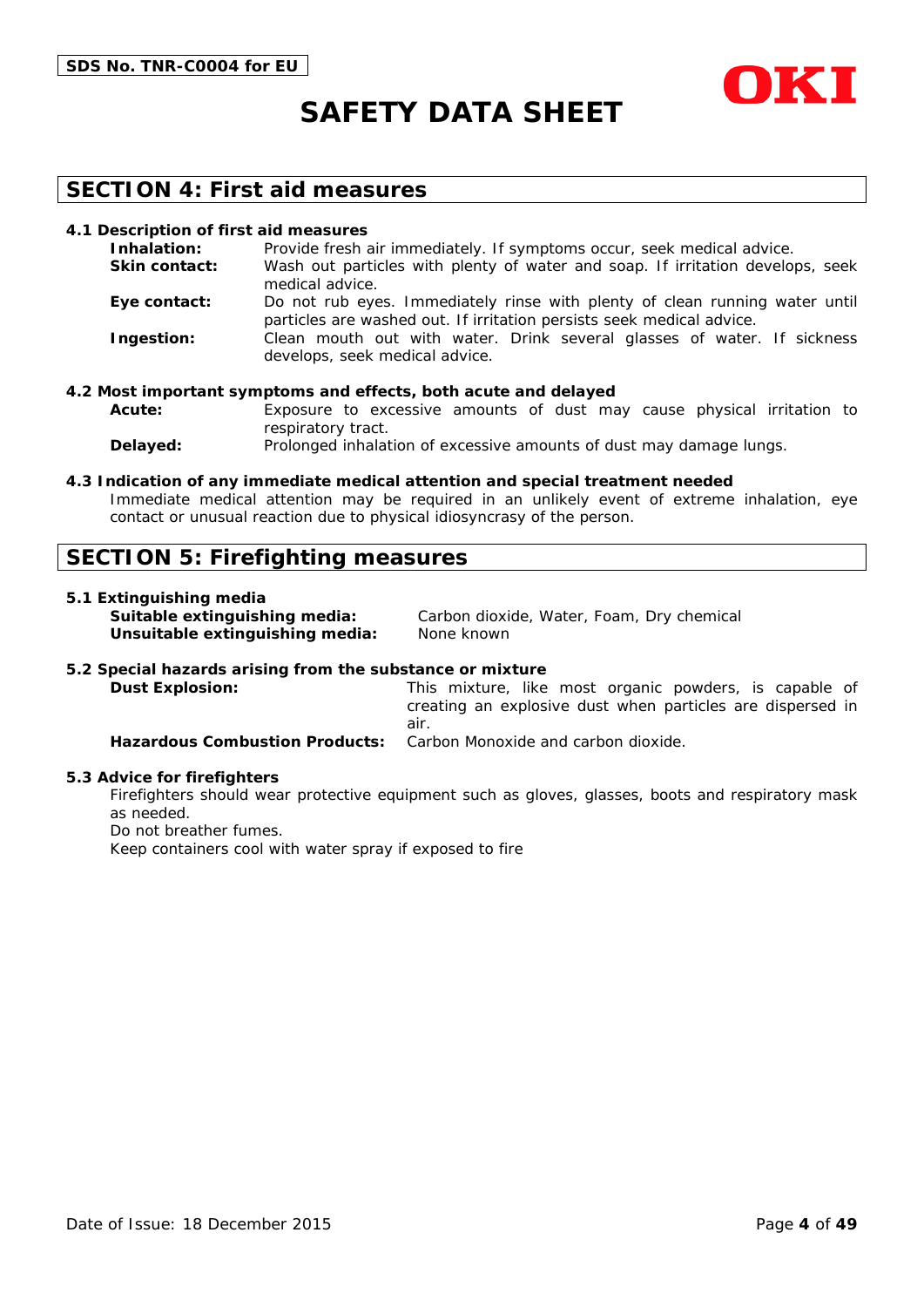



### **SECTION 4: First aid measures**

#### **4.1 Description of first aid measures**

| Inhalation:          | Provide fresh air immediately. If symptoms occur, seek medical advice.                                                                               |
|----------------------|------------------------------------------------------------------------------------------------------------------------------------------------------|
| <b>Skin contact:</b> | Wash out particles with plenty of water and soap. If irritation develops, seek<br>medical advice.                                                    |
| Eye contact:         | Do not rub eyes. Immediately rinse with plenty of clean running water until<br>particles are washed out. If irritation persists seek medical advice. |
| Ingestion:           | Clean mouth out with water. Drink several glasses of water. If sickness<br>develops, seek medical advice.                                            |

#### **4.2 Most important symptoms and effects, both acute and delayed**

**Acute:** Exposure to excessive amounts of dust may cause physical irritation to respiratory tract.

**Delayed:** Prolonged inhalation of excessive amounts of dust may damage lungs.

#### **4.3 Indication of any immediate medical attention and special treatment needed**

Immediate medical attention may be required in an unlikely event of extreme inhalation, eye contact or unusual reaction due to physical idiosyncrasy of the person.

### **SECTION 5: Firefighting measures**

#### **5.1 Extinguishing media**

**Unsuitable extinguishing media:** None known

**Suitable extinguishing media:** Carbon dioxide, Water, Foam, Dry chemical

#### **5.2 Special hazards arising from the substance or mixture**

**Dust Explosion:** This mixture, like most organic powders, is capable of creating an explosive dust when particles are dispersed in air. **Hazardous Combustion Products:** Carbon Monoxide and carbon dioxide.

#### **5.3 Advice for firefighters**

Firefighters should wear protective equipment such as gloves, glasses, boots and respiratory mask as needed.

Do not breather fumes.

Keep containers cool with water spray if exposed to fire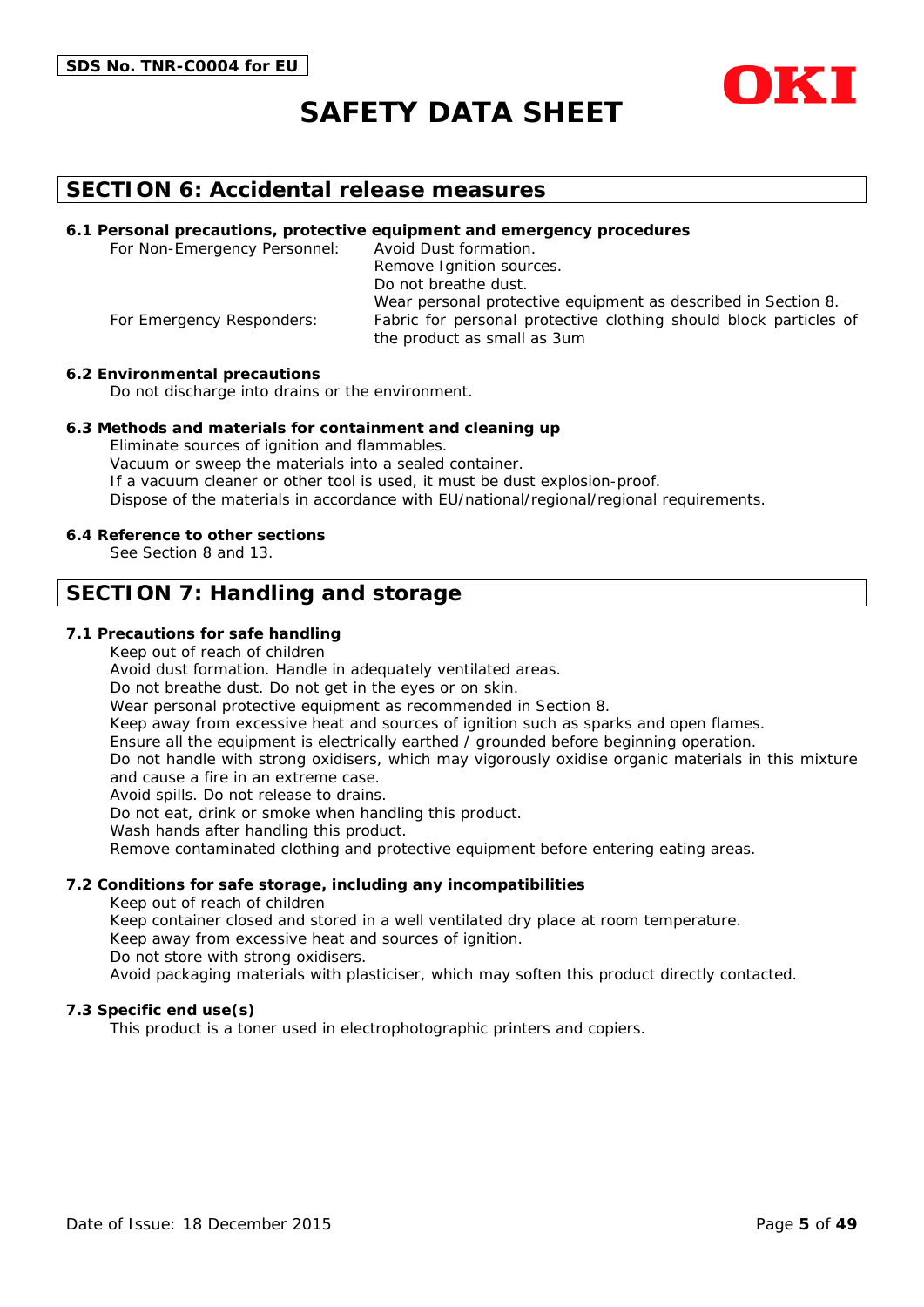



### **SECTION 6: Accidental release measures**

#### **6.1 Personal precautions, protective equipment and emergency procedures**

For Non-Emergency Personnel: Avoid Dust formation. Remove Ignition sources. Do not breathe dust. Wear personal protective equipment as described in Section 8. For Emergency Responders: Fabric for personal protective clothing should block particles of the product as small as 3um

#### **6.2 Environmental precautions**

Do not discharge into drains or the environment.

#### **6.3 Methods and materials for containment and cleaning up**

Eliminate sources of ignition and flammables. Vacuum or sweep the materials into a sealed container. If a vacuum cleaner or other tool is used, it must be dust explosion-proof. Dispose of the materials in accordance with EU/national/regional/regional requirements.

#### **6.4 Reference to other sections**

See Section 8 and 13.

### **SECTION 7: Handling and storage**

#### **7.1 Precautions for safe handling**

Keep out of reach of children

Avoid dust formation. Handle in adequately ventilated areas.

Do not breathe dust. Do not get in the eyes or on skin.

Wear personal protective equipment as recommended in Section 8.

Keep away from excessive heat and sources of ignition such as sparks and open flames.

Ensure all the equipment is electrically earthed / grounded before beginning operation.

Do not handle with strong oxidisers, which may vigorously oxidise organic materials in this mixture and cause a fire in an extreme case.

Avoid spills. Do not release to drains.

Do not eat, drink or smoke when handling this product.

Wash hands after handling this product.

Remove contaminated clothing and protective equipment before entering eating areas.

#### **7.2 Conditions for safe storage, including any incompatibilities**

Keep out of reach of children

Keep container closed and stored in a well ventilated dry place at room temperature.

Keep away from excessive heat and sources of ignition.

Do not store with strong oxidisers.

Avoid packaging materials with plasticiser, which may soften this product directly contacted.

#### **7.3 Specific end use(s)**

This product is a toner used in electrophotographic printers and copiers.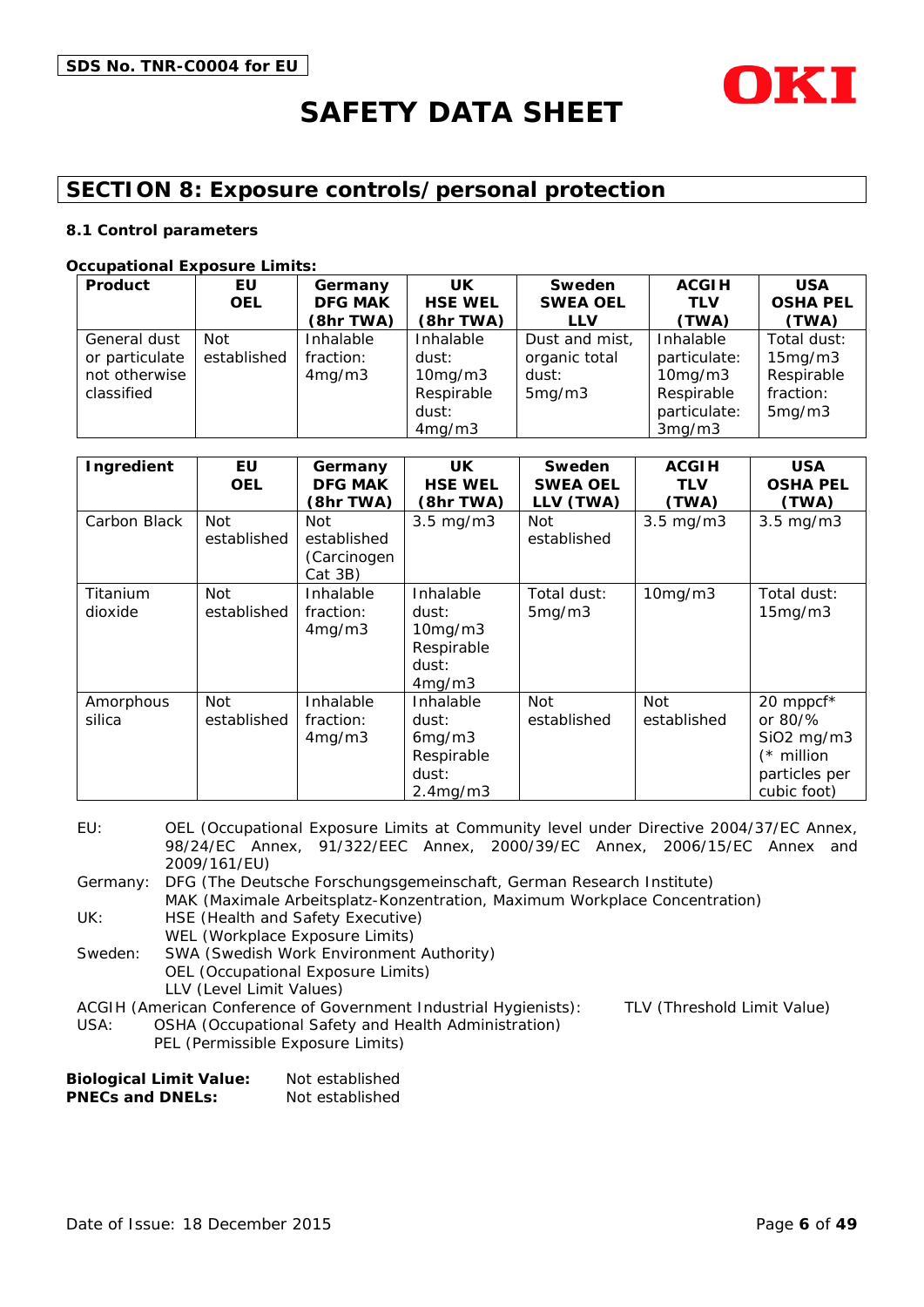

# **SECTION 8: Exposure controls/personal protection**

#### **8.1 Control parameters**

#### **Occupational Exposure Limits:**

| Product        | EU.         | Germany        | <b>UK</b>      | Sweden          | <b>ACGIH</b> | <b>USA</b>      |
|----------------|-------------|----------------|----------------|-----------------|--------------|-----------------|
|                | <b>OEL</b>  | <b>DFG MAK</b> | <b>HSE WEL</b> | <b>SWEA OEL</b> | <b>TLV</b>   | <b>OSHA PEL</b> |
|                |             | (8hr TWA)      | (8hr TWA)      | <b>LLV</b>      | (TWA)        | (TWA)           |
| General dust   | Not         | Inhalable      | Inhalable      | Dust and mist,  | Inhalable    | Total dust:     |
| or particulate | established | fraction:      | dust:          | organic total   | particulate: | 15mg/m3         |
| not otherwise  |             | 4mg/m3         | 10mg/m3        | dust:           | 10mg/m3      | Respirable      |
| classified     |             |                | Respirable     | 5mg/m3          | Respirable   | fraction:       |
|                |             |                | dust:          |                 | particulate: | 5mg/m3          |
|                |             |                | 4mg/m3         |                 | 3mg/m3       |                 |

| Ingredient          | EU<br><b>OEL</b>   | Germany<br><b>DFG MAK</b><br>(8hr TWA)              | UK.<br><b>HSE WEL</b><br>(8hr TWA)                                   | Sweden<br><b>SWEA OEL</b><br>LLV (TWA) | <b>ACGIH</b><br><b>TLV</b><br>(TWA) | <b>USA</b><br><b>OSHA PEL</b><br>(TWA)                                                  |
|---------------------|--------------------|-----------------------------------------------------|----------------------------------------------------------------------|----------------------------------------|-------------------------------------|-----------------------------------------------------------------------------------------|
| Carbon Black        | Not<br>established | <b>Not</b><br>established<br>(Carcinogen<br>Cat 3B) | $3.5 \text{ mg/m}$                                                   | Not<br>established                     | $3.5 \text{ mg/m}$                  | $3.5 \text{ mg/m}$                                                                      |
| Titanium<br>dioxide | Not<br>established | Inhalable<br>fraction:<br>4mg/m3                    | Inhalable<br>dust:<br>$10$ mg/m $3$<br>Respirable<br>dust:<br>4mg/m3 | Total dust:<br>5mg/m3                  | 10mg/m3                             | Total dust:<br>15mg/m3                                                                  |
| Amorphous<br>silica | Not<br>established | Inhalable<br>fraction:<br>4mg/m3                    | Inhalable<br>dust:<br>6mg/m3<br>Respirable<br>dust:<br>2.4mg/m3      | <b>Not</b><br>established              | <b>Not</b><br>established           | 20 mppcf*<br>or 80/%<br>$SiO2$ mg/m $3$<br>$(*$ million<br>particles per<br>cubic foot) |

EU: OEL (Occupational Exposure Limits at Community level under Directive 2004/37/EC Annex, 98/24/EC Annex, 91/322/EEC Annex, 2000/39/EC Annex, 2006/15/EC Annex and 2009/161/EU)

Germany: DFG (The Deutsche Forschungsgemeinschaft, German Research Institute) MAK (Maximale Arbeitsplatz-Konzentration, Maximum Workplace Concentration)

UK: HSE (Health and Safety Executive)

WEL (Workplace Exposure Limits) Sweden: SWA (Swedish Work Environment Authority) OEL (Occupational Exposure Limits)

LLV (Level Limit Values)

ACGIH (American Conference of Government Industrial Hygienists): TLV (Threshold Limit Value)

USA: OSHA (Occupational Safety and Health Administration)

PEL (Permissible Exposure Limits)

| <b>Biological Limit Value:</b> | Not established |
|--------------------------------|-----------------|
| <b>PNECs and DNELs:</b>        | Not established |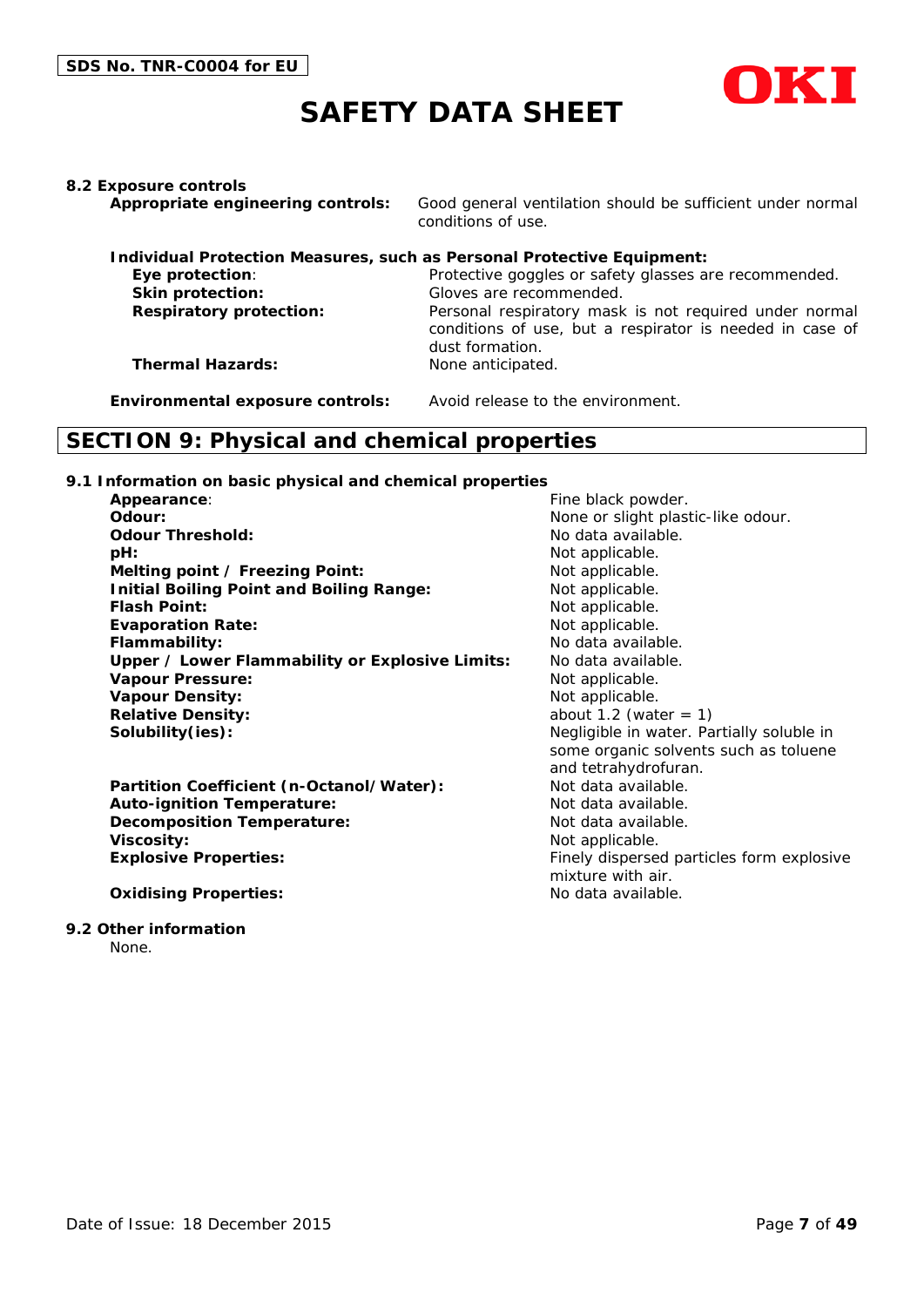

#### **8.2 Exposure controls**

**Appropriate engineering controls:** Good general ventilation should be sufficient under normal conditions of use.

| Individual Protection Measures, such as Personal Protective Equipment: |                                                                                                                                       |  |  |  |  |
|------------------------------------------------------------------------|---------------------------------------------------------------------------------------------------------------------------------------|--|--|--|--|
| Eye protection:                                                        | Protective goggles or safety glasses are recommended.                                                                                 |  |  |  |  |
| <b>Skin protection:</b>                                                | Gloves are recommended.                                                                                                               |  |  |  |  |
| <b>Respiratory protection:</b>                                         | Personal respiratory mask is not required under normal<br>conditions of use, but a respirator is needed in case of<br>dust formation. |  |  |  |  |
| <b>Thermal Hazards:</b>                                                | None anticipated.                                                                                                                     |  |  |  |  |

**Environmental exposure controls:** Avoid release to the environment.

# **SECTION 9: Physical and chemical properties**

#### **9.1 Information on basic physical and chemical properties**

| <b>Appearance:</b>                              | Fin |
|-------------------------------------------------|-----|
| Odour:                                          | No  |
| <b>Odour Threshold:</b>                         | No  |
| <b>pH:</b>                                      | No  |
| Melting point / Freezing Point:                 | No  |
| <b>Initial Boiling Point and Boiling Range:</b> | No  |
| <b>Flash Point:</b>                             | No  |
| <b>Evaporation Rate:</b>                        | No  |
| Flammability:                                   | No  |
| Upper / Lower Flammability or Explosive Limits: | No  |
| <b>Vapour Pressure:</b>                         | No  |
| <b>Vapour Density:</b>                          | No  |
| <b>Relative Density:</b>                        | ab  |
| Solubility(ies):                                | Ne  |
|                                                 |     |

Partition Coefficient (n-Octanol/Water): Not data available. **Auto-ignition Temperature:** Not data available. **Decomposition Temperature:** Not data available. **Viscosity:** Not applicable. **Explosive Properties:** Finely dispersed particles form explosive

#### **Oxidising Properties:** No data available.

#### **9.2 Other information**

None.

**A** black powder. Ine or slight plastic-like odour. data available. *pt* applicable. *Melticable. I* applicable. *Fabble*. **Examplicable.** data available. data available. *<u>B</u>* Responsive. *I* applicable. *Relation* 1.2 (water = 1) **Solubility(ies):** Negligible in water. Partially soluble in some organic solvents such as toluene and tetrahydrofuran. mixture with air.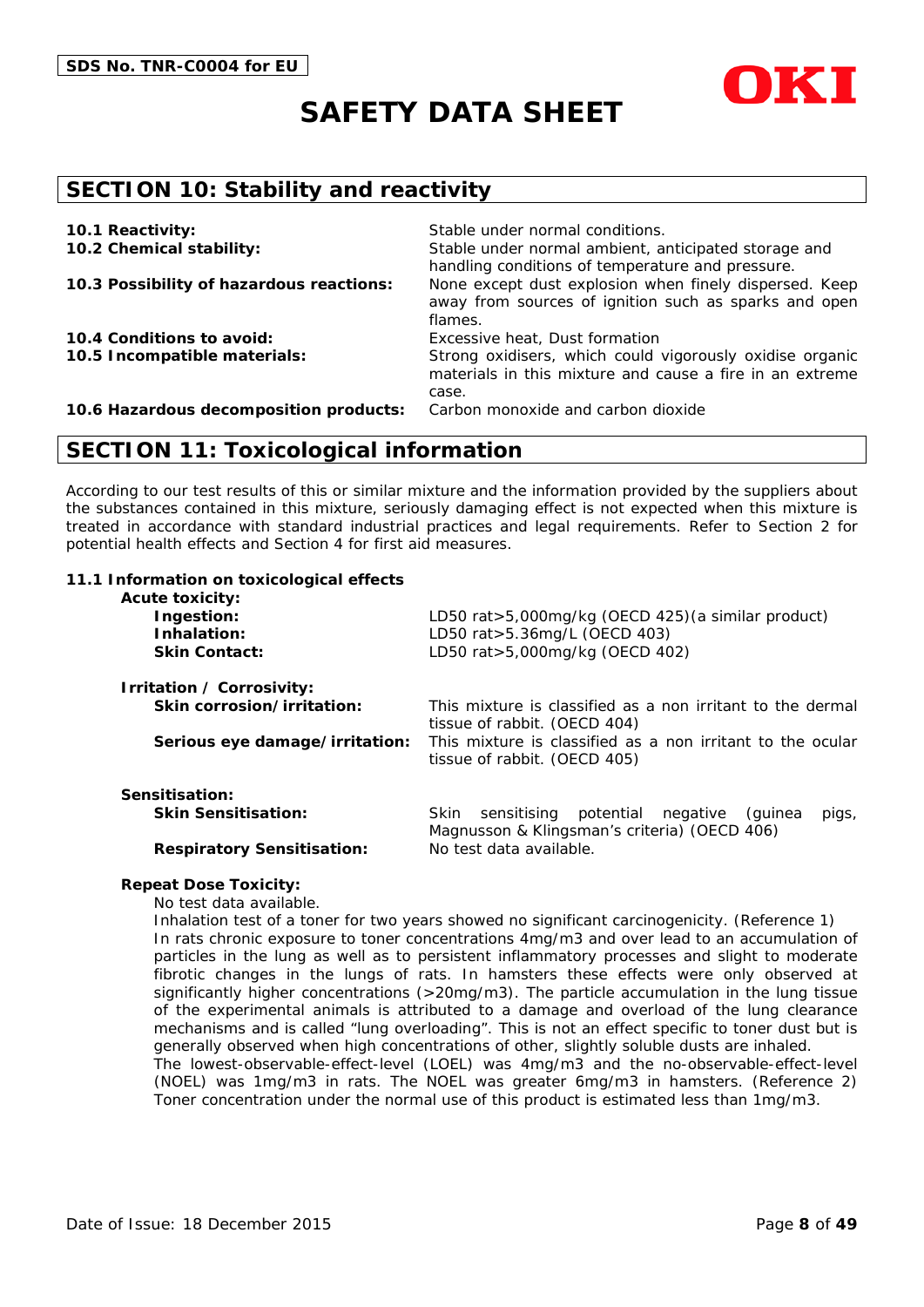



# **SECTION 10: Stability and reactivity**

| 10.1 Reactivity:                         | Stable under normal conditions.                                                                                               |
|------------------------------------------|-------------------------------------------------------------------------------------------------------------------------------|
| 10.2 Chemical stability:                 | Stable under normal ambient, anticipated storage and<br>handling conditions of temperature and pressure.                      |
| 10.3 Possibility of hazardous reactions: | None except dust explosion when finely dispersed. Keep<br>away from sources of ignition such as sparks and open<br>flames.    |
| 10.4 Conditions to avoid:                | Excessive heat, Dust formation                                                                                                |
| 10.5 Incompatible materials:             | Strong oxidisers, which could vigorously oxidise organic<br>materials in this mixture and cause a fire in an extreme<br>case. |
| 10.6 Hazardous decomposition products:   | Carbon monoxide and carbon dioxide                                                                                            |

### **SECTION 11: Toxicological information**

According to our test results of this or similar mixture and the information provided by the suppliers about the substances contained in this mixture, seriously damaging effect is not expected when this mixture is treated in accordance with standard industrial practices and legal requirements. Refer to Section 2 for potential health effects and Section 4 for first aid measures.

#### **11.1 Information on toxicological effects**

| <b>Acute toxicity:</b>            |                                                                                            |  |  |  |
|-----------------------------------|--------------------------------------------------------------------------------------------|--|--|--|
| Ingestion:                        | LD50 rat>5,000mg/kg (OECD 425) (a similar product)                                         |  |  |  |
| Inhalation:                       | LD50 rat > 5.36mg/L (OECD 403)                                                             |  |  |  |
| <b>Skin Contact:</b>              | LD50 rat>5,000mg/kg (OECD 402)                                                             |  |  |  |
| Irritation / Corrosivity:         |                                                                                            |  |  |  |
| Skin corrosion/irritation:        | This mixture is classified as a non irritant to the dermal                                 |  |  |  |
|                                   | tissue of rabbit. (OECD 404)                                                               |  |  |  |
| Serious eye damage/irritation:    | This mixture is classified as a non irritant to the ocular<br>tissue of rabbit. (OECD 405) |  |  |  |
| Sensitisation:                    |                                                                                            |  |  |  |
| <b>Skin Sensitisation:</b>        | potential negative<br><b>Skin</b><br>sensitising<br>(quinea<br>pigs,                       |  |  |  |
|                                   | Magnusson & Klingsman's criteria) (OECD 406)                                               |  |  |  |
| <b>Respiratory Sensitisation:</b> | No test data available.                                                                    |  |  |  |
|                                   |                                                                                            |  |  |  |
|                                   |                                                                                            |  |  |  |

#### **Repeat Dose Toxicity:**

No test data available.

Inhalation test of a toner for two years showed no significant carcinogenicity. (Reference 1) In rats chronic exposure to toner concentrations 4mg/m3 and over lead to an accumulation of particles in the lung as well as to persistent inflammatory processes and slight to moderate fibrotic changes in the lungs of rats. In hamsters these effects were only observed at significantly higher concentrations (>20mg/m3). The particle accumulation in the lung tissue of the experimental animals is attributed to a damage and overload of the lung clearance mechanisms and is called "lung overloading". This is not an effect specific to toner dust but is generally observed when high concentrations of other, slightly soluble dusts are inhaled. The lowest-observable-effect-level (LOEL) was 4mg/m3 and the no-observable-effect-level (NOEL) was 1mg/m3 in rats. The NOEL was greater 6mg/m3 in hamsters. (Reference 2) Toner concentration under the normal use of this product is estimated less than 1mg/m3.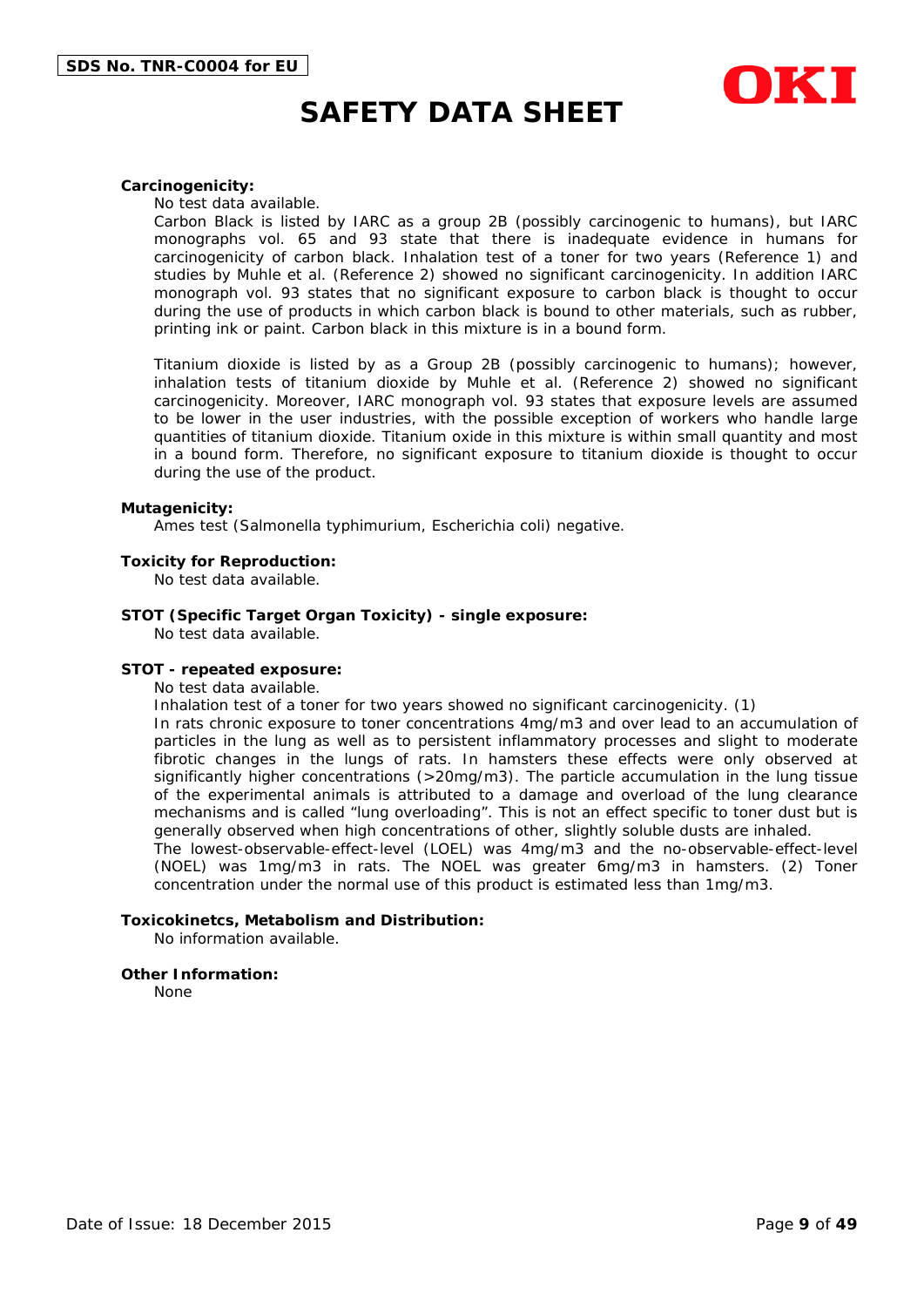

#### **Carcinogenicity:**

No test data available.

Carbon Black is listed by IARC as a group 2B (possibly carcinogenic to humans), but IARC monographs vol. 65 and 93 state that there is inadequate evidence in humans for carcinogenicity of carbon black. Inhalation test of a toner for two years (Reference 1) and studies by Muhle et al. (Reference 2) showed no significant carcinogenicity. In addition IARC monograph vol. 93 states that no significant exposure to carbon black is thought to occur during the use of products in which carbon black is bound to other materials, such as rubber, printing ink or paint. Carbon black in this mixture is in a bound form.

Titanium dioxide is listed by as a Group 2B (possibly carcinogenic to humans); however, inhalation tests of titanium dioxide by Muhle et al. (Reference 2) showed no significant carcinogenicity. Moreover, IARC monograph vol. 93 states that exposure levels are assumed to be lower in the user industries, with the possible exception of workers who handle large quantities of titanium dioxide. Titanium oxide in this mixture is within small quantity and most in a bound form. Therefore, no significant exposure to titanium dioxide is thought to occur during the use of the product.

#### **Mutagenicity:**

Ames test (Salmonella typhimurium, Escherichia coli) negative.

#### **Toxicity for Reproduction:**

No test data available.

#### **STOT (Specific Target Organ Toxicity) - single exposure:**

No test data available.

#### **STOT - repeated exposure:**

No test data available.

Inhalation test of a toner for two years showed no significant carcinogenicity. (1)

In rats chronic exposure to toner concentrations 4mg/m3 and over lead to an accumulation of particles in the lung as well as to persistent inflammatory processes and slight to moderate fibrotic changes in the lungs of rats. In hamsters these effects were only observed at significantly higher concentrations (>20mg/m3). The particle accumulation in the lung tissue of the experimental animals is attributed to a damage and overload of the lung clearance mechanisms and is called "lung overloading". This is not an effect specific to toner dust but is generally observed when high concentrations of other, slightly soluble dusts are inhaled.

The lowest-observable-effect-level (LOEL) was 4mg/m3 and the no-observable-effect-level (NOEL) was 1mg/m3 in rats. The NOEL was greater 6mg/m3 in hamsters. (2) Toner concentration under the normal use of this product is estimated less than 1mg/m3.

#### **Toxicokinetcs, Metabolism and Distribution:**

No information available.

#### **Other Information:**

None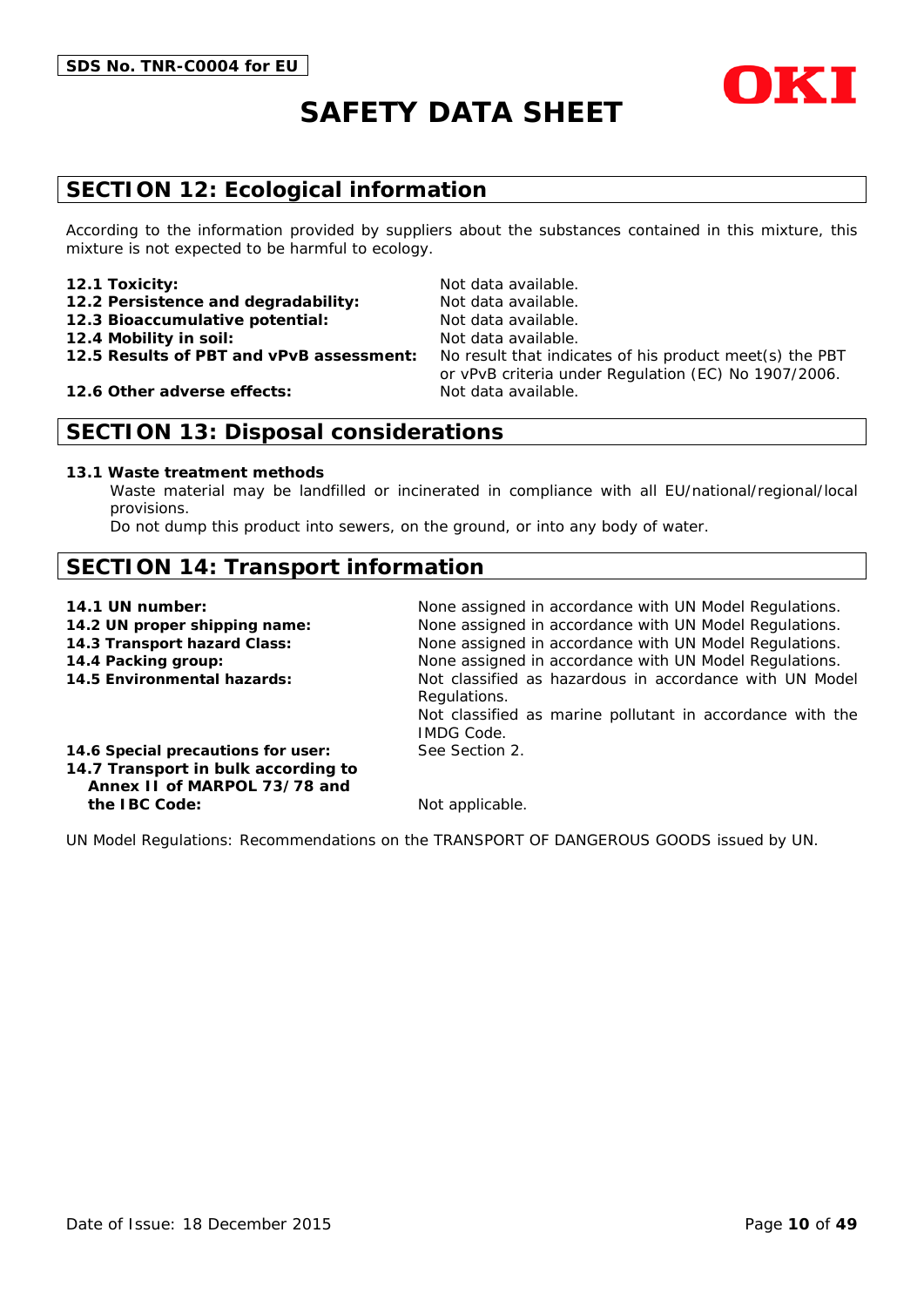

# **SECTION 12: Ecological information**

According to the information provided by suppliers about the substances contained in this mixture, this mixture is not expected to be harmful to ecology.

#### **12.1 Toxicity:** Not data available.

- 12.2 Persistence and degradability: Not data available.
- **12.3 Bioaccumulative potential:** Not data available.
- **12.4 Mobility in soil:** Not data available.
- 

**12.6 Other adverse effects:** Not data available.

**12.5 Results of PBT and vPvB assessment:** No result that indicates of his product meet(s) the PBT or vPvB criteria under Regulation (EC) No 1907/2006.

### **SECTION 13: Disposal considerations**

#### **13.1 Waste treatment methods**

Waste material may be landfilled or incinerated in compliance with all EU/national/regional/local provisions.

Do not dump this product into sewers, on the ground, or into any body of water.

# **SECTION 14: Transport information**

- 
- 
- 
- 

**14.1 UN number:** None assigned in accordance with UN Model Regulations. **14.2 UN proper shipping name:** None assigned in accordance with UN Model Regulations. **14.3 Transport hazard Class:** None assigned in accordance with UN Model Regulations. **14.4 Packing group:** None assigned in accordance with UN Model Regulations. **14.5 Environmental hazards:** Not classified as hazardous in accordance with UN Model Regulations. Not classified as marine pollutant in accordance with the IMDG Code.

**14.6 Special precautions for user:** See Section 2. **14.7 Transport in bulk according to Annex II of MARPOL 73/78 and**

**the IBC Code:** Not applicable.

UN Model Regulations: Recommendations on the TRANSPORT OF DANGEROUS GOODS issued by UN.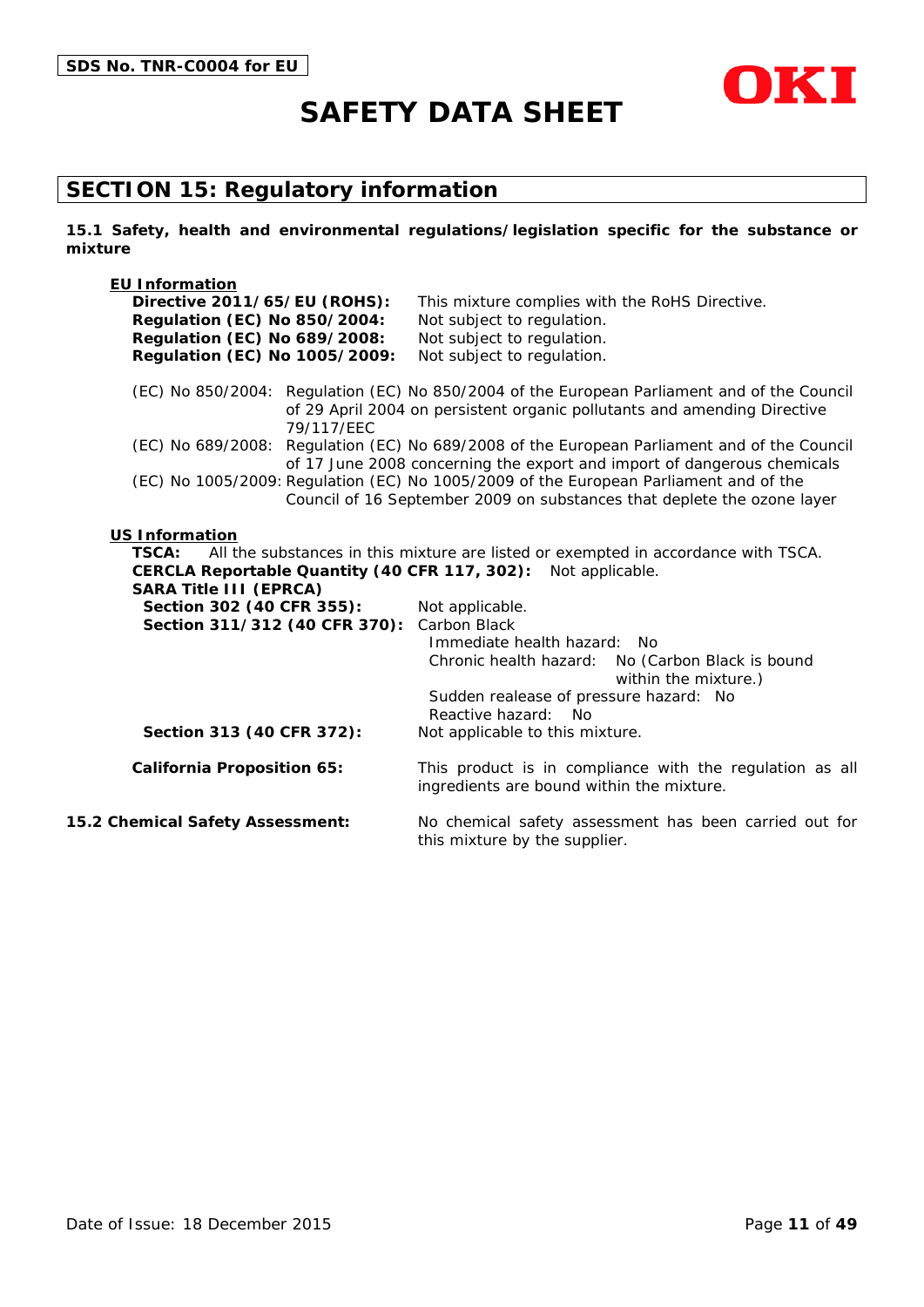

# **SECTION 15: Regulatory information**

**15.1 Safety, health and environmental regulations/legislation specific for the substance or mixture**

| <b>EU Information</b><br>Directive 2011/65/EU (ROHS):<br><b>Regulation (EC) No 850/2004:</b><br><b>Regulation (EC) No 689/2008:</b><br>Regulation (EC) No 1005/2009: | This mixture complies with the RoHS Directive.<br>Not subject to regulation.<br>Not subject to regulation.<br>Not subject to regulation.                                |
|----------------------------------------------------------------------------------------------------------------------------------------------------------------------|-------------------------------------------------------------------------------------------------------------------------------------------------------------------------|
| 79/117/EEC                                                                                                                                                           | (EC) No 850/2004: Regulation (EC) No 850/2004 of the European Parliament and of the Council<br>of 29 April 2004 on persistent organic pollutants and amending Directive |
|                                                                                                                                                                      | (EC) No 689/2008: Regulation (EC) No 689/2008 of the European Parliament and of the Council<br>of 17 June 2008 concerning the export and import of dangerous chemicals  |
|                                                                                                                                                                      | (EC) No 1005/2009: Regulation (EC) No 1005/2009 of the European Parliament and of the<br>Council of 16 September 2009 on substances that deplete the ozone layer        |
| CERCLA Reportable Quantity (40 CFR 117, 302): Not applicable.<br><b>SARA Title III (EPRCA)</b>                                                                       |                                                                                                                                                                         |
|                                                                                                                                                                      |                                                                                                                                                                         |
| Section 302 (40 CFR 355):<br>Section 311/312 (40 CFR 370):                                                                                                           | Not applicable.<br>Carbon Black                                                                                                                                         |
|                                                                                                                                                                      | Immediate health hazard: No                                                                                                                                             |
|                                                                                                                                                                      | Chronic health hazard: No (Carbon Black is bound<br>within the mixture.)                                                                                                |
|                                                                                                                                                                      | Sudden realease of pressure hazard: No<br>Reactive hazard: No                                                                                                           |
| Section 313 (40 CFR 372):                                                                                                                                            | Not applicable to this mixture.                                                                                                                                         |
| <b>California Proposition 65:</b>                                                                                                                                    | This product is in compliance with the regulation as all<br>ingredients are bound within the mixture.                                                                   |
| 15.2 Chemical Safety Assessment:                                                                                                                                     | No chemical safety assessment has been carried out for<br>this mixture by the supplier.                                                                                 |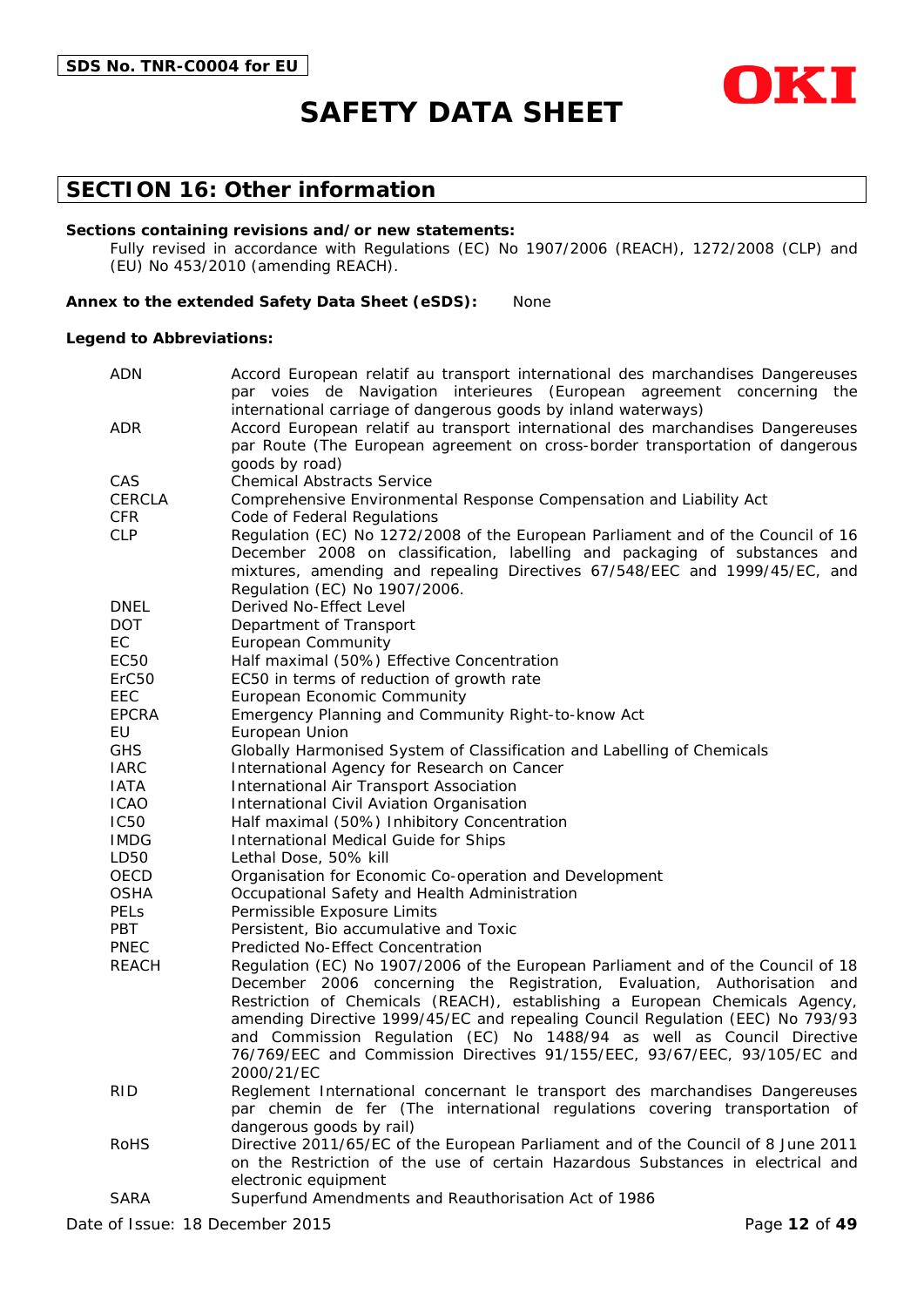

### **SECTION 16: Other information**

#### **Sections containing revisions and/or new statements:**

Fully revised in accordance with Regulations (EC) No 1907/2006 (REACH), 1272/2008 (CLP) and (EU) No 453/2010 (amending REACH).

#### **Annex to the extended Safety Data Sheet (eSDS):** None

#### **Legend to Abbreviations:**

| <b>ADN</b>        | Accord European relatif au transport international des marchandises Dangereuses                                 |  |  |  |  |  |
|-------------------|-----------------------------------------------------------------------------------------------------------------|--|--|--|--|--|
|                   | par voies de Navigation interieures (European agreement concerning the                                          |  |  |  |  |  |
|                   | international carriage of dangerous goods by inland waterways)                                                  |  |  |  |  |  |
| ADR               | Accord European relatif au transport international des marchandises Dangereuses                                 |  |  |  |  |  |
|                   | par Route (The European agreement on cross-border transportation of dangerous                                   |  |  |  |  |  |
| CAS               | goods by road)<br><b>Chemical Abstracts Service</b>                                                             |  |  |  |  |  |
| <b>CERCLA</b>     |                                                                                                                 |  |  |  |  |  |
| <b>CFR</b>        | Comprehensive Environmental Response Compensation and Liability Act                                             |  |  |  |  |  |
| <b>CLP</b>        | Code of Federal Regulations<br>Regulation (EC) No 1272/2008 of the European Parliament and of the Council of 16 |  |  |  |  |  |
|                   | December 2008 on classification, labelling and packaging of substances and                                      |  |  |  |  |  |
|                   | mixtures, amending and repealing Directives 67/548/EEC and 1999/45/EC, and                                      |  |  |  |  |  |
|                   | Regulation (EC) No 1907/2006.                                                                                   |  |  |  |  |  |
| <b>DNEL</b>       | Derived No-Effect Level                                                                                         |  |  |  |  |  |
| <b>DOT</b>        | Department of Transport                                                                                         |  |  |  |  |  |
| EC                | <b>European Community</b>                                                                                       |  |  |  |  |  |
| EC50              | Half maximal (50%) Effective Concentration                                                                      |  |  |  |  |  |
| ErC <sub>50</sub> | EC50 in terms of reduction of growth rate                                                                       |  |  |  |  |  |
| EEC               | European Economic Community                                                                                     |  |  |  |  |  |
| <b>EPCRA</b>      | Emergency Planning and Community Right-to-know Act                                                              |  |  |  |  |  |
| EU                | European Union                                                                                                  |  |  |  |  |  |
| <b>GHS</b>        | Globally Harmonised System of Classification and Labelling of Chemicals                                         |  |  |  |  |  |
| <b>IARC</b>       | International Agency for Research on Cancer                                                                     |  |  |  |  |  |
| <b>IATA</b>       | International Air Transport Association                                                                         |  |  |  |  |  |
| <b>ICAO</b>       | International Civil Aviation Organisation                                                                       |  |  |  |  |  |
| <b>IC50</b>       | Half maximal (50%) Inhibitory Concentration                                                                     |  |  |  |  |  |
| <b>IMDG</b>       | International Medical Guide for Ships                                                                           |  |  |  |  |  |
| LD50              | Lethal Dose, 50% kill                                                                                           |  |  |  |  |  |
| OECD              | Organisation for Economic Co-operation and Development                                                          |  |  |  |  |  |
| <b>OSHA</b>       | Occupational Safety and Health Administration                                                                   |  |  |  |  |  |
| <b>PELS</b>       | Permissible Exposure Limits                                                                                     |  |  |  |  |  |
| <b>PBT</b>        | Persistent, Bio accumulative and Toxic                                                                          |  |  |  |  |  |
| <b>PNEC</b>       | Predicted No-Effect Concentration                                                                               |  |  |  |  |  |
| <b>REACH</b>      | Regulation (EC) No 1907/2006 of the European Parliament and of the Council of 18                                |  |  |  |  |  |
|                   | December 2006 concerning the Registration, Evaluation, Authorisation and                                        |  |  |  |  |  |
|                   | Restriction of Chemicals (REACH), establishing a European Chemicals Agency,                                     |  |  |  |  |  |
|                   | amending Directive 1999/45/EC and repealing Council Regulation (EEC) No 793/93                                  |  |  |  |  |  |
|                   | and Commission Regulation (EC) No 1488/94 as well as Council Directive                                          |  |  |  |  |  |
|                   | 76/769/EEC and Commission Directives 91/155/EEC, 93/67/EEC, 93/105/EC and<br>2000/21/EC                         |  |  |  |  |  |
| <b>RID</b>        | Reglement International concernant le transport des marchandises Dangereuses                                    |  |  |  |  |  |
|                   | par chemin de fer (The international regulations covering transportation of                                     |  |  |  |  |  |
|                   | dangerous goods by rail)                                                                                        |  |  |  |  |  |
| <b>RoHS</b>       | Directive 2011/65/EC of the European Parliament and of the Council of 8 June 2011                               |  |  |  |  |  |
|                   | on the Restriction of the use of certain Hazardous Substances in electrical and                                 |  |  |  |  |  |
|                   | electronic equipment                                                                                            |  |  |  |  |  |
| <b>SARA</b>       | Superfund Amendments and Reauthorisation Act of 1986                                                            |  |  |  |  |  |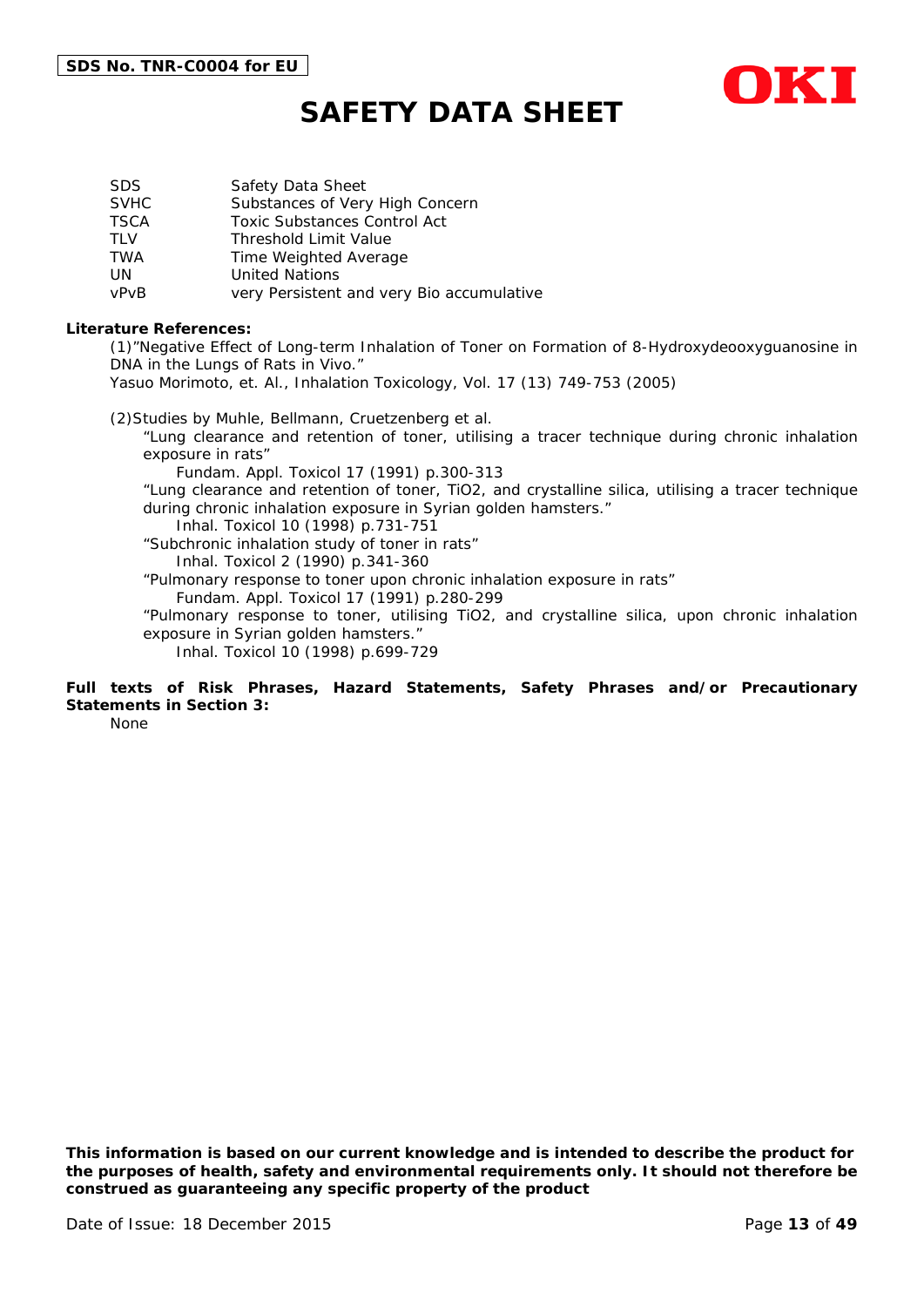

| SDS.        | Safety Data Sheet                         |
|-------------|-------------------------------------------|
| <b>SVHC</b> | Substances of Very High Concern           |
| <b>TSCA</b> | <b>Toxic Substances Control Act</b>       |
| TI V        | <b>Threshold Limit Value</b>              |
| TWA         | Time Weighted Average                     |
| UN          | <b>United Nations</b>                     |
| vPvB        | very Persistent and very Bio accumulative |

#### **Literature References:**

(1)"Negative Effect of Long-term Inhalation of Toner on Formation of 8-Hydroxydeooxyguanosine in DNA in the Lungs of Rats in Vivo."

Yasuo Morimoto, et. Al., Inhalation Toxicology, Vol. 17 (13) 749-753 (2005)

(2)Studies by Muhle, Bellmann, Cruetzenberg et al.

"Lung clearance and retention of toner, utilising a tracer technique during chronic inhalation exposure in rats"

Fundam. Appl. Toxicol 17 (1991) p.300-313

"Lung clearance and retention of toner, TiO2, and crystalline silica, utilising a tracer technique during chronic inhalation exposure in Syrian golden hamsters."

Inhal. Toxicol 10 (1998) p.731-751

"Subchronic inhalation study of toner in rats" Inhal. Toxicol 2 (1990) p.341-360

"Pulmonary response to toner upon chronic inhalation exposure in rats"

Fundam. Appl. Toxicol 17 (1991) p.280-299

"Pulmonary response to toner, utilising TiO2, and crystalline silica, upon chronic inhalation exposure in Syrian golden hamsters."

Inhal. Toxicol 10 (1998) p.699-729

### **Full texts of Risk Phrases, Hazard Statements, Safety Phrases and/or Precautionary Statements in Section 3:**

None

*This information is based on our current knowledge and is intended to describe the product for the purposes of health, safety and environmental requirements only. It should not therefore be construed as guaranteeing any specific property of the product*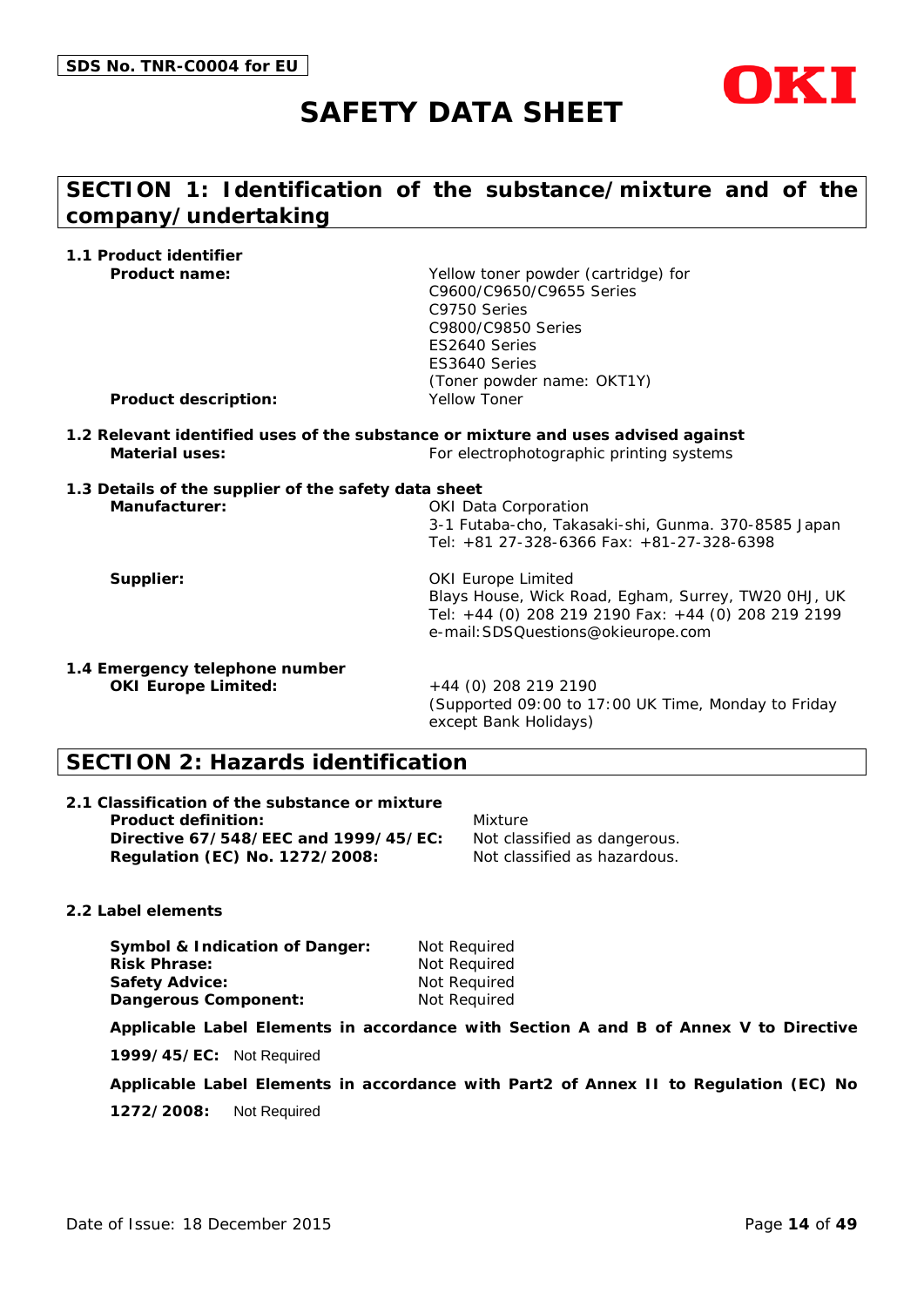

# **SECTION 1: Identification of the substance/mixture and of the company/undertaking**

**1.1 Product identifier**

**Product name:** Yellow toner powder (cartridge) for C9600/C9650/C9655 Series C9750 Series C9800/C9850 Series ES2640 Series ES3640 Series (Toner powder name: OKT1Y)

**Product description:** Yellow Toner

- **1.2 Relevant identified uses of the substance or mixture and uses advised against Material uses:** For electrophotographic printing systems
- **1.3 Details of the supplier of the safety data sheet Manufacturer:** OKI Data Corporation 3-1 Futaba-cho, Takasaki-shi, Gunma. 370-8585 Japan Tel: +81 27-328-6366 Fax: +81-27-328-6398

**Supplier:** OKI Europe Limited Blays House, Wick Road, Egham, Surrey, TW20 0HJ, UK Tel: +44 (0) 208 219 2190 Fax: +44 (0) 208 219 2199 e-mail:SDSQuestions@okieurope.com

**1.4 Emergency telephone number OKI Europe Limited:** +44 (0) 208 219 2190

(Supported 09:00 to 17:00 UK Time, Monday to Friday except Bank Holidays)

# **SECTION 2: Hazards identification**

**2.1 Classification of the substance or mixture Product definition:** Mixture **Directive 67/548/EEC and 1999/45/EC:** Not classified as dangerous. **Regulation (EC) No. 1272/2008:** Not classified as hazardous.

**2.2 Label elements**

**Symbol & Indication of Danger:** Not Required **Risk Phrase:** Not Required **Safety Advice:** Not Required **Dangerous Component:** Not Required

**Applicable Label Elements in accordance with Section A and B of Annex V to Directive** 

**1999/45/EC:** Not Required

**Applicable Label Elements in accordance with Part2 of Annex II to Regulation (EC) No** 

**1272/2008:** Not Required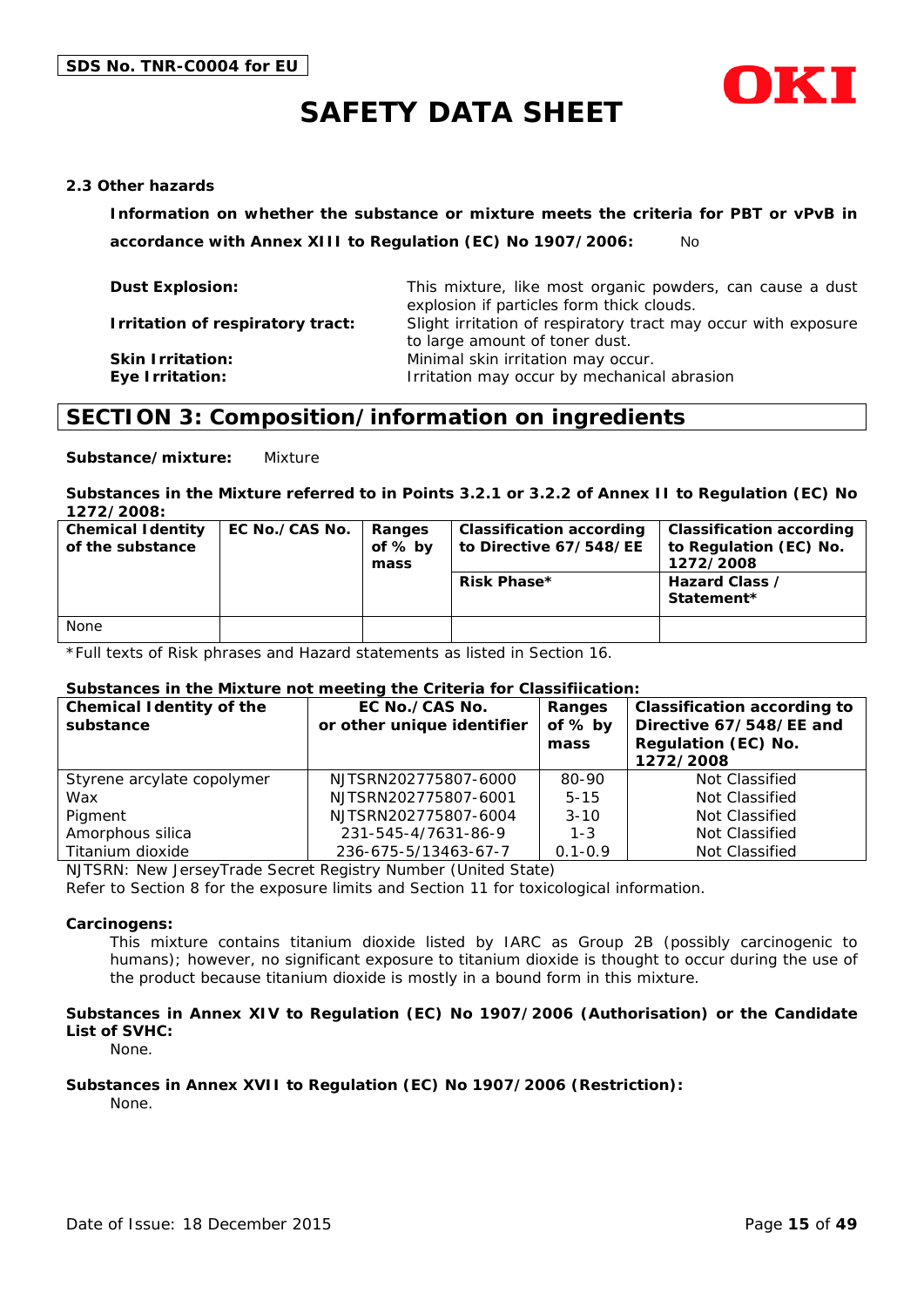

#### **2.3 Other hazards**

**Information on whether the substance or mixture meets the criteria for PBT or vPvB in accordance with Annex XIII to Regulation (EC) No 1907/2006:** No

| <b>Dust Explosion:</b>                            | This mixture, like most organic powders, can cause a dust<br>explosion if particles form thick clouds. |
|---------------------------------------------------|--------------------------------------------------------------------------------------------------------|
| Irritation of respiratory tract:                  | Slight irritation of respiratory tract may occur with exposure<br>to large amount of toner dust.       |
| <b>Skin Irritation:</b><br><b>Eye Irritation:</b> | Minimal skin irritation may occur.<br>Irritation may occur by mechanical abrasion                      |

# **SECTION 3: Composition/information on ingredients**

**Substance/mixture:** Mixture

#### **Substances in the Mixture referred to in Points 3.2.1 or 3.2.2 of Annex II to Regulation (EC) No 1272/2008:**

| <b>Chemical Identity</b><br>of the substance | EC No./CAS No. | Ranges<br>of $%$ by<br>mass | Classification according<br>to Directive 67/548/EE<br><b>Risk Phase*</b> | <b>Classification according</b><br>to Regulation (EC) No.<br>1272/2008<br>Hazard Class /<br>Statement* |
|----------------------------------------------|----------------|-----------------------------|--------------------------------------------------------------------------|--------------------------------------------------------------------------------------------------------|
|                                              |                |                             |                                                                          |                                                                                                        |
| None                                         |                |                             |                                                                          |                                                                                                        |

\*Full texts of Risk phrases and Hazard statements as listed in Section 16.

#### **Substances in the Mixture not meeting the Criteria for Classifiication:**

| <b>Chemical Identity of the</b><br>substance | EC No./CAS No.<br>or other unique identifier | Ranges<br>of % by<br>mass | <b>Classification according to</b><br>Directive 67/548/EE and<br>Regulation (EC) No.<br>1272/2008 |
|----------------------------------------------|----------------------------------------------|---------------------------|---------------------------------------------------------------------------------------------------|
| Styrene arcylate copolymer                   | NJTSRN202775807-6000                         | 80-90                     | Not Classified                                                                                    |
| Wax                                          | NJTSRN202775807-6001                         | $5 - 15$                  | Not Classified                                                                                    |
| Pigment                                      | NJTSRN202775807-6004                         | $3 - 10$                  | Not Classified                                                                                    |
| Amorphous silica                             | 231-545-4/7631-86-9                          | $1 - 3$                   | Not Classified                                                                                    |
| Titanium dioxide                             | 236-675-5/13463-67-7                         | $0.1 - 0.9$               | Not Classified                                                                                    |

NJTSRN: New JerseyTrade Secret Registry Number (United State)

Refer to Section 8 for the exposure limits and Section 11 for toxicological information.

#### **Carcinogens:**

This mixture contains titanium dioxide listed by IARC as Group 2B (possibly carcinogenic to humans); however, no significant exposure to titanium dioxide is thought to occur during the use of the product because titanium dioxide is mostly in a bound form in this mixture.

#### **Substances in Annex XIV to Regulation (EC) No 1907/2006 (Authorisation) or the Candidate List of SVHC:**

None.

#### **Substances in Annex XVII to Regulation (EC) No 1907/2006 (Restriction):**

None.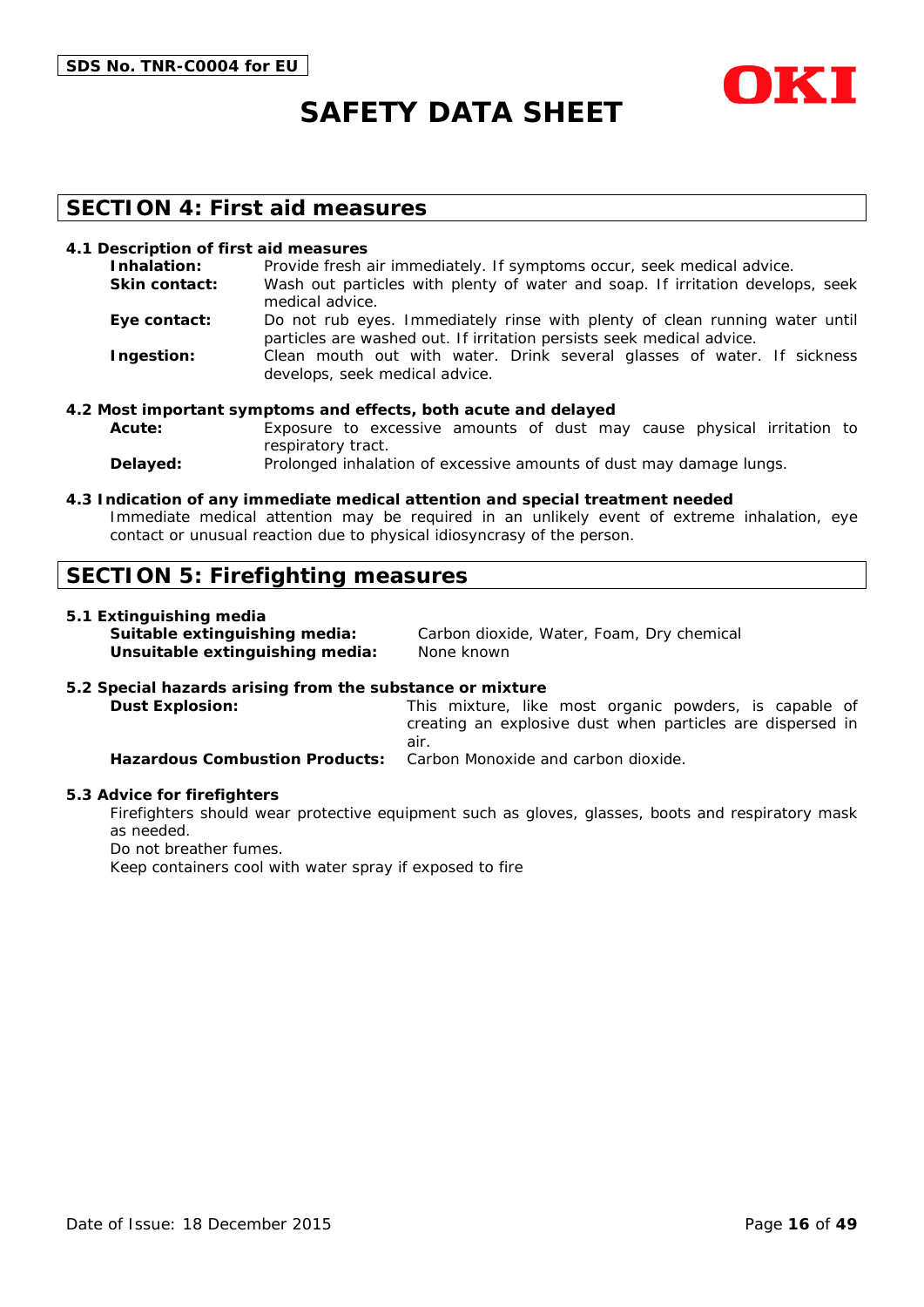

### **SECTION 4: First aid measures**

#### **4.1 Description of first aid measures**

| Inhalation:          | Provide fresh air immediately. If symptoms occur, seek medical advice.                                                                               |
|----------------------|------------------------------------------------------------------------------------------------------------------------------------------------------|
| <b>Skin contact:</b> | Wash out particles with plenty of water and soap. If irritation develops, seek<br>medical advice.                                                    |
| Eye contact:         | Do not rub eyes. Immediately rinse with plenty of clean running water until<br>particles are washed out. If irritation persists seek medical advice. |
| Ingestion:           | Clean mouth out with water. Drink several glasses of water. If sickness<br>develops, seek medical advice.                                            |

#### **4.2 Most important symptoms and effects, both acute and delayed**

- **Acute:** Exposure to excessive amounts of dust may cause physical irritation to respiratory tract.
- **Delayed:** Prolonged inhalation of excessive amounts of dust may damage lungs.

#### **4.3 Indication of any immediate medical attention and special treatment needed**

Immediate medical attention may be required in an unlikely event of extreme inhalation, eye contact or unusual reaction due to physical idiosyncrasy of the person.

### **SECTION 5: Firefighting measures**

#### **5.1 Extinguishing media**

| Suitable extinguishing media:   | Carbon dioxide, Water, Foam, Dry chemical |
|---------------------------------|-------------------------------------------|
| Unsuitable extinguishing media: | None known                                |

#### **5.2 Special hazards arising from the substance or mixture**

**Dust Explosion:** This mixture, like most organic powders, is capable of creating an explosive dust when particles are dispersed in air. **Hazardous Combustion Products:** Carbon Monoxide and carbon dioxide.

#### **5.3 Advice for firefighters**

Firefighters should wear protective equipment such as gloves, glasses, boots and respiratory mask as needed.

Do not breather fumes.

Keep containers cool with water spray if exposed to fire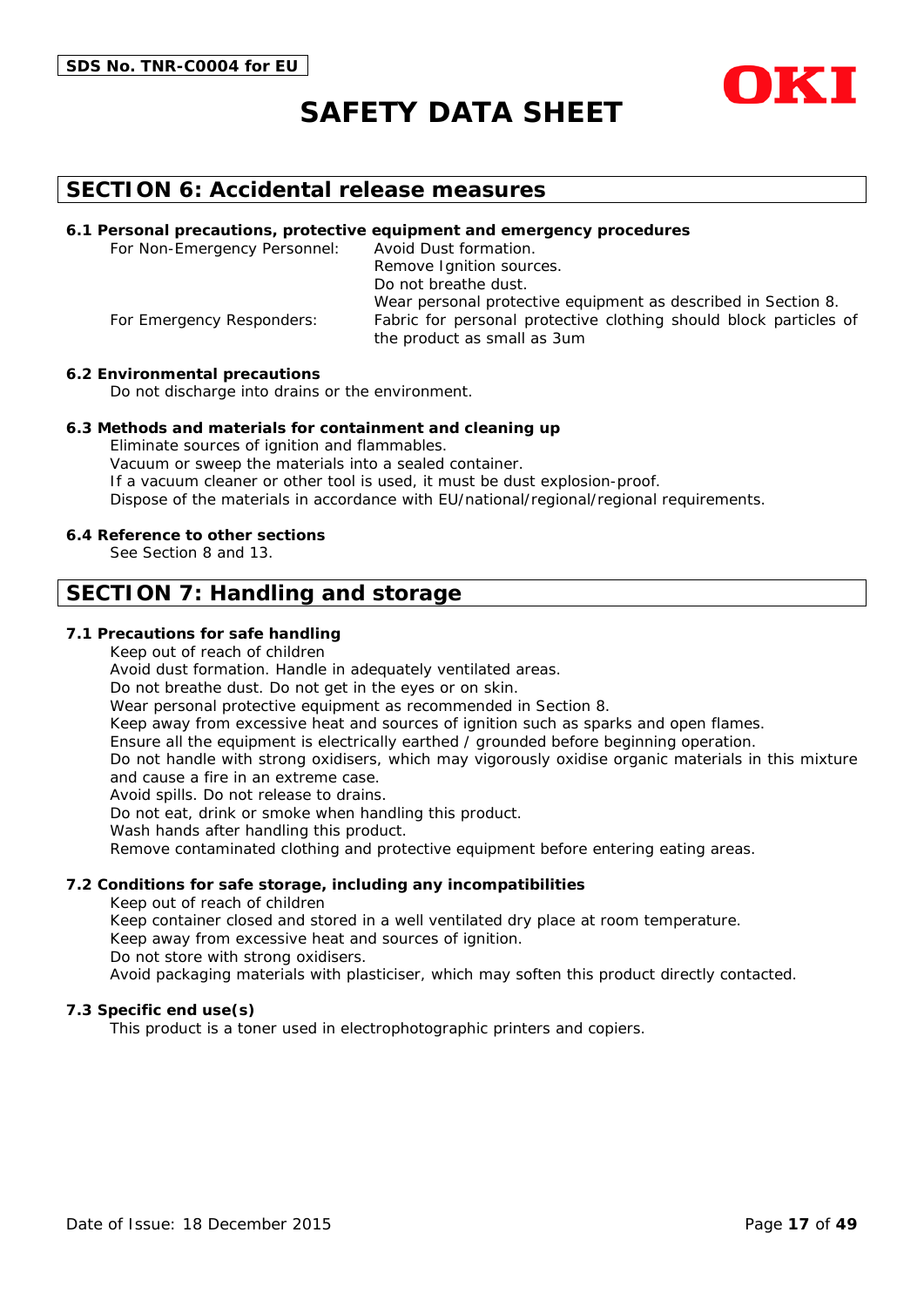



### **SECTION 6: Accidental release measures**

#### **6.1 Personal precautions, protective equipment and emergency procedures**

For Non-Emergency Personnel: Avoid Dust formation. Remove Ignition sources. Do not breathe dust. Wear personal protective equipment as described in Section 8. For Emergency Responders: Fabric for personal protective clothing should block particles of the product as small as 3um

#### **6.2 Environmental precautions**

Do not discharge into drains or the environment.

#### **6.3 Methods and materials for containment and cleaning up**

Eliminate sources of ignition and flammables. Vacuum or sweep the materials into a sealed container. If a vacuum cleaner or other tool is used, it must be dust explosion-proof. Dispose of the materials in accordance with EU/national/regional/regional requirements.

#### **6.4 Reference to other sections**

See Section 8 and 13.

### **SECTION 7: Handling and storage**

#### **7.1 Precautions for safe handling**

Keep out of reach of children

Avoid dust formation. Handle in adequately ventilated areas.

Do not breathe dust. Do not get in the eyes or on skin.

Wear personal protective equipment as recommended in Section 8.

Keep away from excessive heat and sources of ignition such as sparks and open flames.

Ensure all the equipment is electrically earthed / grounded before beginning operation.

Do not handle with strong oxidisers, which may vigorously oxidise organic materials in this mixture and cause a fire in an extreme case.

Avoid spills. Do not release to drains.

Do not eat, drink or smoke when handling this product.

Wash hands after handling this product.

Remove contaminated clothing and protective equipment before entering eating areas.

#### **7.2 Conditions for safe storage, including any incompatibilities**

Keep out of reach of children

Keep container closed and stored in a well ventilated dry place at room temperature.

Keep away from excessive heat and sources of ignition.

Do not store with strong oxidisers.

Avoid packaging materials with plasticiser, which may soften this product directly contacted.

#### **7.3 Specific end use(s)**

This product is a toner used in electrophotographic printers and copiers.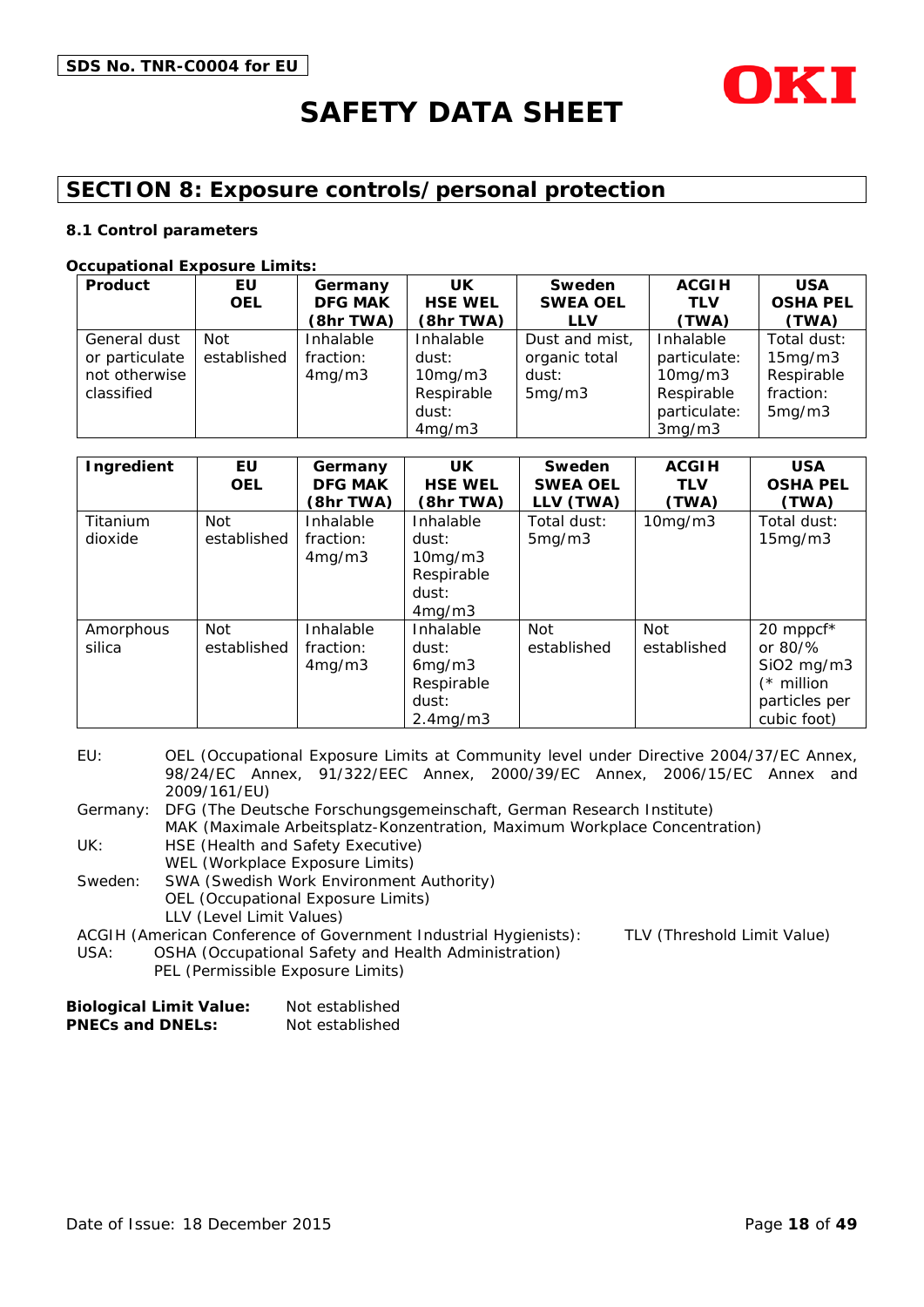

# **SECTION 8: Exposure controls/personal protection**

#### **8.1 Control parameters**

#### **Occupational Exposure Limits:**

| Product        | EU          | Germany        | <b>UK</b>      | Sweden          | <b>ACGIH</b>  | <b>USA</b>      |
|----------------|-------------|----------------|----------------|-----------------|---------------|-----------------|
|                | <b>OEL</b>  | <b>DFG MAK</b> | <b>HSE WEL</b> | <b>SWEA OEL</b> | <b>TLV</b>    | <b>OSHA PEL</b> |
|                |             | (8hr TWA)      | (8hr TWA)      | <b>LLV</b>      | (TWA)         | (TWA)           |
| General dust   | Not         | Inhalable      | Inhalable      | Dust and mist,  | Inhalable     | Total dust:     |
| or particulate | established | fraction:      | dust:          | organic total   | particulate:  | 15mg/m3         |
| not otherwise  |             | 4mg/m3         | 10mg/m3        | dust:           | $10$ mg/m $3$ | Respirable      |
| classified     |             |                | Respirable     | 5mg/m3          | Respirable    | fraction:       |
|                |             |                | dust:          |                 | particulate:  | 5mg/m3          |
|                |             |                | 4mg/m3         |                 | 3mg/m3        |                 |

| Ingredient          | EU<br><b>OEL</b>          | Germany<br><b>DFG MAK</b><br>(8hr TWA) | <b>UK</b><br><b>HSE WEL</b><br>(8hr TWA)                                     | Sweden<br><b>SWEA OEL</b><br>LLV (TWA) | <b>ACGIH</b><br><b>TLV</b><br>(TWA) | <b>USA</b><br><b>OSHA PEL</b><br>(TWA)                                                             |
|---------------------|---------------------------|----------------------------------------|------------------------------------------------------------------------------|----------------------------------------|-------------------------------------|----------------------------------------------------------------------------------------------------|
| Titanium<br>dioxide | <b>Not</b><br>established | Inhalable<br>fraction:<br>4mg/m3       | Inhalable<br>dust:<br>$10$ mg/m $3$<br>Respirable<br>dust:<br>4mg/m3         | Total dust:<br>5mg/m3                  | 10mg/m3                             | Total dust:<br>15mg/m3                                                                             |
| Amorphous<br>silica | <b>Not</b><br>established | Inhalable<br>fraction:<br>4mg/m3       | Inhalable<br>dust:<br>6mg/m3<br>Respirable<br>dust:<br>2.4 <sub>mq</sub> /m3 | Not<br>established                     | Not<br>established                  | 20 mppcf*<br>or $80\frac{9}{6}$<br>$SiO2$ mg/m $3$<br>$(*$ million<br>particles per<br>cubic foot) |

EU: OEL (Occupational Exposure Limits at Community level under Directive 2004/37/EC Annex, 98/24/EC Annex, 91/322/EEC Annex, 2000/39/EC Annex, 2006/15/EC Annex and 2009/161/EU)

Germany: DFG (The Deutsche Forschungsgemeinschaft, German Research Institute) MAK (Maximale Arbeitsplatz-Konzentration, Maximum Workplace Concentration)

UK: HSE (Health and Safety Executive)

WEL (Workplace Exposure Limits)

Sweden: SWA (Swedish Work Environment Authority) OEL (Occupational Exposure Limits) LLV (Level Limit Values)

ACGIH (American Conference of Government Industrial Hygienists): TLV (Threshold Limit Value)

USA: OSHA (Occupational Safety and Health Administration) PEL (Permissible Exposure Limits)

| <b>Biological Limit Value:</b> | Not established |
|--------------------------------|-----------------|
| <b>PNECs and DNELs:</b>        | Not established |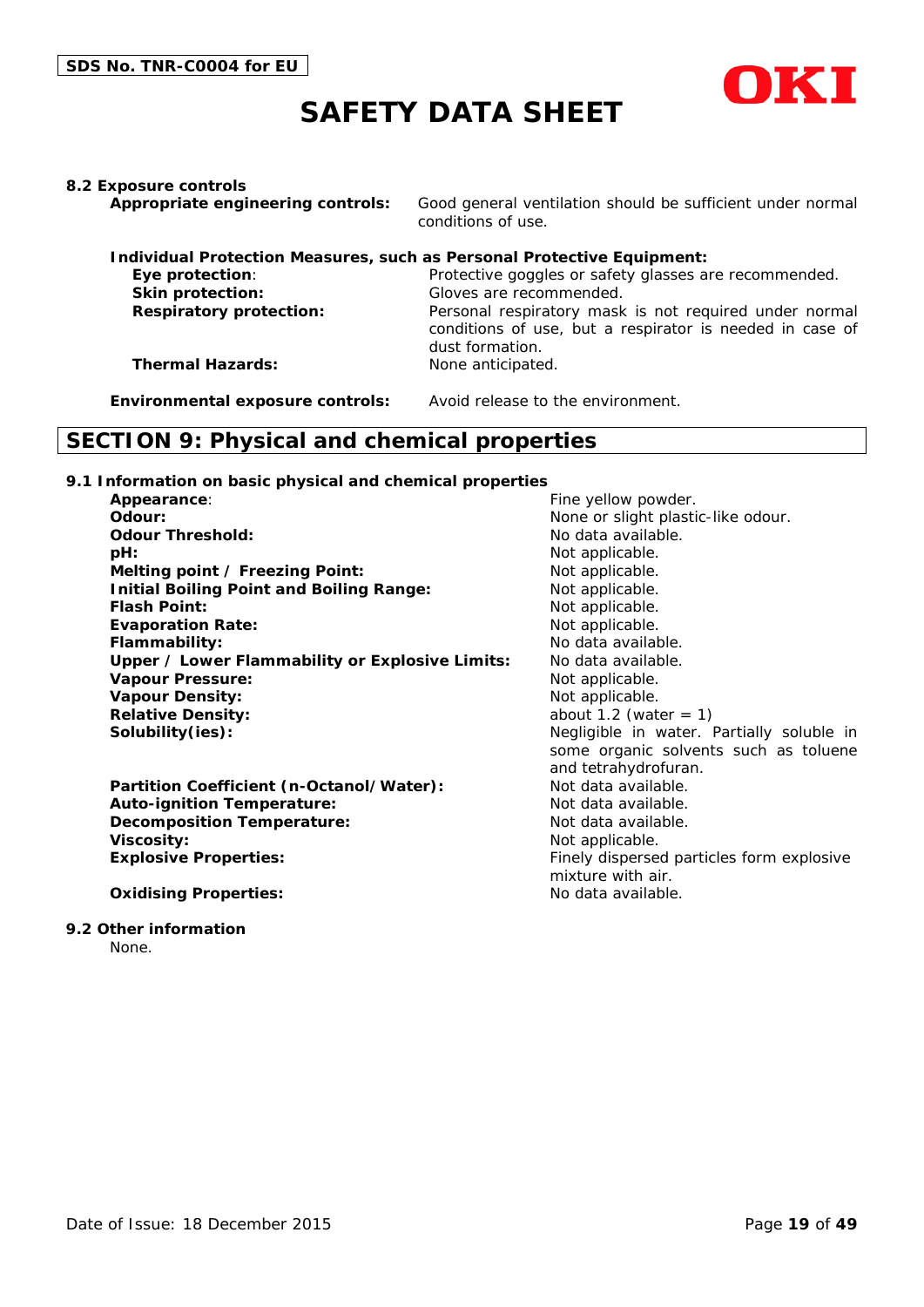

**8.2 Exposure controls**

**Appropriate engineering controls:** Good general ventilation should be sufficient under normal conditions of use.

|                                | Individual Protection Measures, such as Personal Protective Equipment:                                                                |
|--------------------------------|---------------------------------------------------------------------------------------------------------------------------------------|
| Eye protection:                | Protective goggles or safety glasses are recommended.                                                                                 |
| <b>Skin protection:</b>        | Gloves are recommended.                                                                                                               |
| <b>Respiratory protection:</b> | Personal respiratory mask is not required under normal<br>conditions of use, but a respirator is needed in case of<br>dust formation. |
| <b>Thermal Hazards:</b>        | None anticipated.                                                                                                                     |

**Environmental exposure controls:** Avoid release to the environment.

### **SECTION 9: Physical and chemical properties**

#### **9.1 Information on basic physical and chemical properties**

| Appearance:                                     | Fine yellow powder.                       |
|-------------------------------------------------|-------------------------------------------|
| Odour:                                          | None or slight plastic-like odour.        |
| <b>Odour Threshold:</b>                         | No data available.                        |
| pH:                                             | Not applicable.                           |
| Melting point / Freezing Point:                 | Not applicable.                           |
| <b>Initial Boiling Point and Boiling Range:</b> | Not applicable.                           |
| <b>Flash Point:</b>                             | Not applicable.                           |
| <b>Evaporation Rate:</b>                        | Not applicable.                           |
| Flammability:                                   | No data available.                        |
| Upper / Lower Flammability or Explosive Limits: | No data available.                        |
| <b>Vapour Pressure:</b>                         | Not applicable.                           |
| <b>Vapour Density:</b>                          | Not applicable.                           |
| <b>Relative Density:</b>                        | about 1.2 (water $= 1$ )                  |
| Solubility(ies):                                | Negligible in water. Partially soluble in |
|                                                 | some organic solvents such as toluene     |
|                                                 | and tetrahydrofuran.                      |
| Partition Coefficient (n-Octanol/Water):        | Not data available.                       |
| <b>Auto-ignition Temperature:</b>               | Not data available.                       |
| <b>Decomposition Temperature:</b>               | Not data available.                       |
| <b>Viscosity:</b>                               | Not applicable.                           |
| <b>Explosive Properties:</b>                    | Finely dispersed particles form explosive |
|                                                 | mixture with air.                         |
| <b>Oxidising Properties:</b>                    | No data available.                        |

#### **9.2 Other information**

None.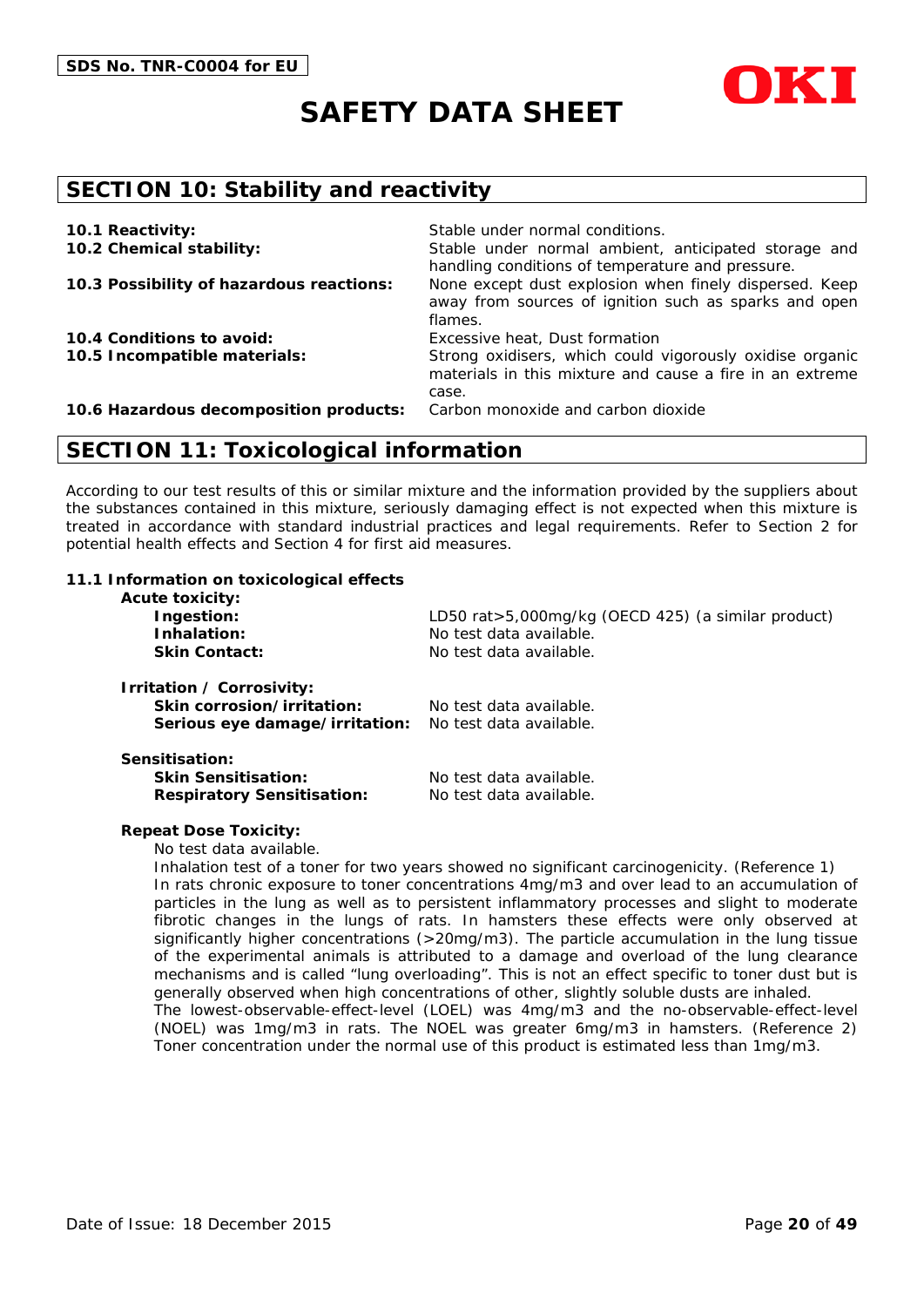



### **SECTION 10: Stability and reactivity**

| 10.1 Reactivity:                         | Stable under normal conditions.                                                                                               |
|------------------------------------------|-------------------------------------------------------------------------------------------------------------------------------|
| 10.2 Chemical stability:                 | Stable under normal ambient, anticipated storage and<br>handling conditions of temperature and pressure.                      |
| 10.3 Possibility of hazardous reactions: | None except dust explosion when finely dispersed. Keep<br>away from sources of ignition such as sparks and open<br>flames.    |
| 10.4 Conditions to avoid:                | Excessive heat, Dust formation                                                                                                |
| 10.5 Incompatible materials:             | Strong oxidisers, which could vigorously oxidise organic<br>materials in this mixture and cause a fire in an extreme<br>case. |
| 10.6 Hazardous decomposition products:   | Carbon monoxide and carbon dioxide                                                                                            |

### **SECTION 11: Toxicological information**

According to our test results of this or similar mixture and the information provided by the suppliers about the substances contained in this mixture, seriously damaging effect is not expected when this mixture is treated in accordance with standard industrial practices and legal requirements. Refer to Section 2 for potential health effects and Section 4 for first aid measures.

#### **11.1 Information on toxicological effects**

| <b>Acute toxicity:</b><br>Ingestion:<br>Inhalation:<br><b>Skin Contact:</b>               | LD50 rat>5,000mg/kg (OECD 425) (a similar product)<br>No test data available.<br>No test data available. |
|-------------------------------------------------------------------------------------------|----------------------------------------------------------------------------------------------------------|
| Irritation / Corrosivity:<br>Skin corrosion/irritation:<br>Serious eye damage/irritation: | No test data available.<br>No test data available.                                                       |
| Sensitisation:<br><b>Skin Sensitisation:</b><br><b>Respiratory Sensitisation:</b>         | No test data available.<br>No test data available.                                                       |

#### **Repeat Dose Toxicity:**

No test data available.

Inhalation test of a toner for two years showed no significant carcinogenicity. (Reference 1) In rats chronic exposure to toner concentrations 4mg/m3 and over lead to an accumulation of particles in the lung as well as to persistent inflammatory processes and slight to moderate fibrotic changes in the lungs of rats. In hamsters these effects were only observed at significantly higher concentrations (>20mg/m3). The particle accumulation in the lung tissue of the experimental animals is attributed to a damage and overload of the lung clearance mechanisms and is called "lung overloading". This is not an effect specific to toner dust but is generally observed when high concentrations of other, slightly soluble dusts are inhaled. The lowest-observable-effect-level (LOEL) was 4mg/m3 and the no-observable-effect-level (NOEL) was 1mg/m3 in rats. The NOEL was greater 6mg/m3 in hamsters. (Reference 2) Toner concentration under the normal use of this product is estimated less than 1mg/m3.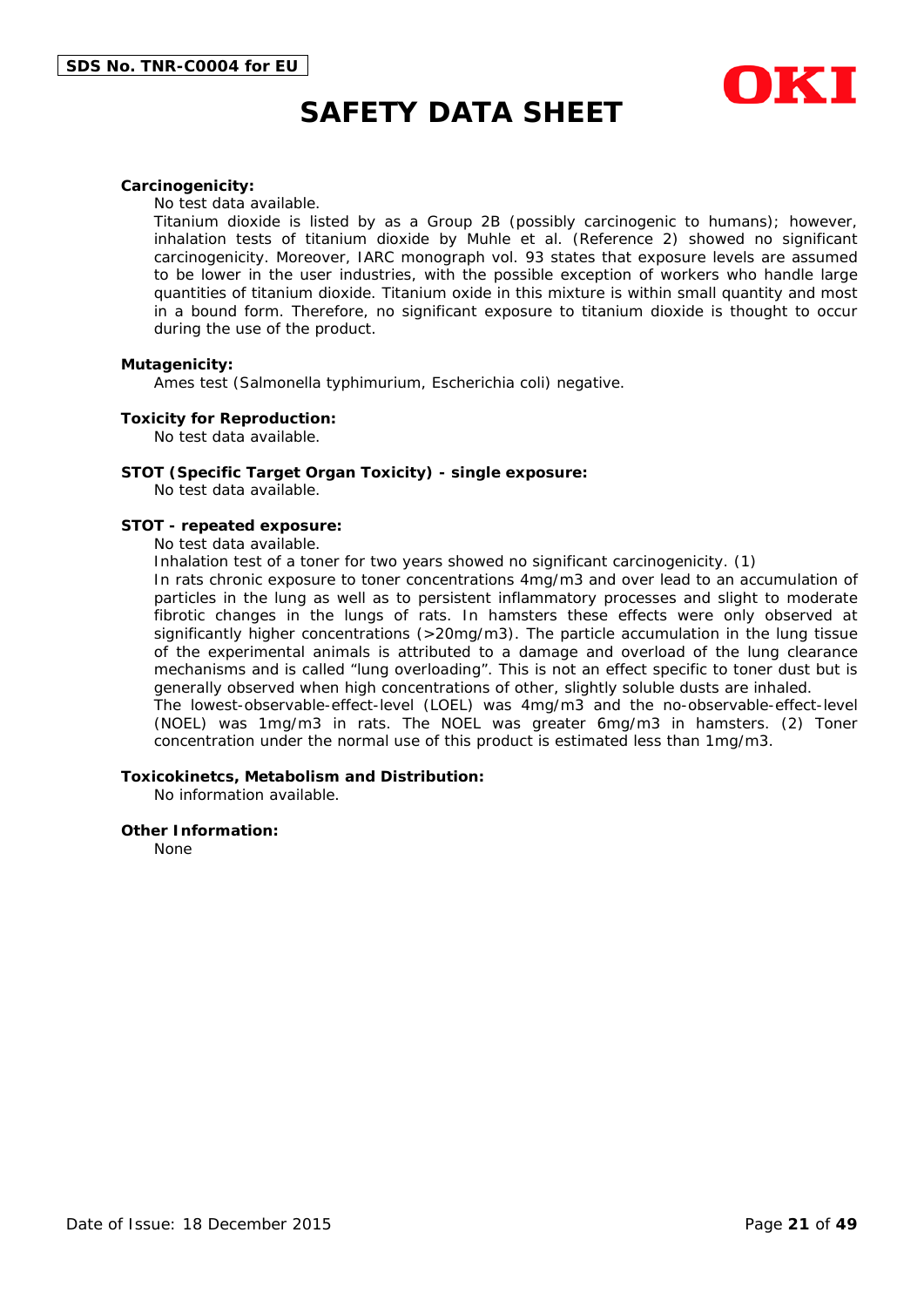

#### **Carcinogenicity:**

No test data available.

Titanium dioxide is listed by as a Group 2B (possibly carcinogenic to humans); however, inhalation tests of titanium dioxide by Muhle et al. (Reference 2) showed no significant carcinogenicity. Moreover, IARC monograph vol. 93 states that exposure levels are assumed to be lower in the user industries, with the possible exception of workers who handle large quantities of titanium dioxide. Titanium oxide in this mixture is within small quantity and most in a bound form. Therefore, no significant exposure to titanium dioxide is thought to occur during the use of the product.

#### **Mutagenicity:**

Ames test (Salmonella typhimurium, Escherichia coli) negative.

#### **Toxicity for Reproduction:**

No test data available.

#### **STOT (Specific Target Organ Toxicity) - single exposure:**

No test data available.

#### **STOT - repeated exposure:**

No test data available.

Inhalation test of a toner for two years showed no significant carcinogenicity. (1)

In rats chronic exposure to toner concentrations 4mg/m3 and over lead to an accumulation of particles in the lung as well as to persistent inflammatory processes and slight to moderate fibrotic changes in the lungs of rats. In hamsters these effects were only observed at significantly higher concentrations (>20mg/m3). The particle accumulation in the lung tissue of the experimental animals is attributed to a damage and overload of the lung clearance mechanisms and is called "lung overloading". This is not an effect specific to toner dust but is generally observed when high concentrations of other, slightly soluble dusts are inhaled. The lowest-observable-effect-level (LOEL) was 4mg/m3 and the no-observable-effect-level (NOEL) was 1mg/m3 in rats. The NOEL was greater 6mg/m3 in hamsters. (2) Toner

concentration under the normal use of this product is estimated less than 1mg/m3.

#### **Toxicokinetcs, Metabolism and Distribution:**

No information available.

#### **Other Information:**

None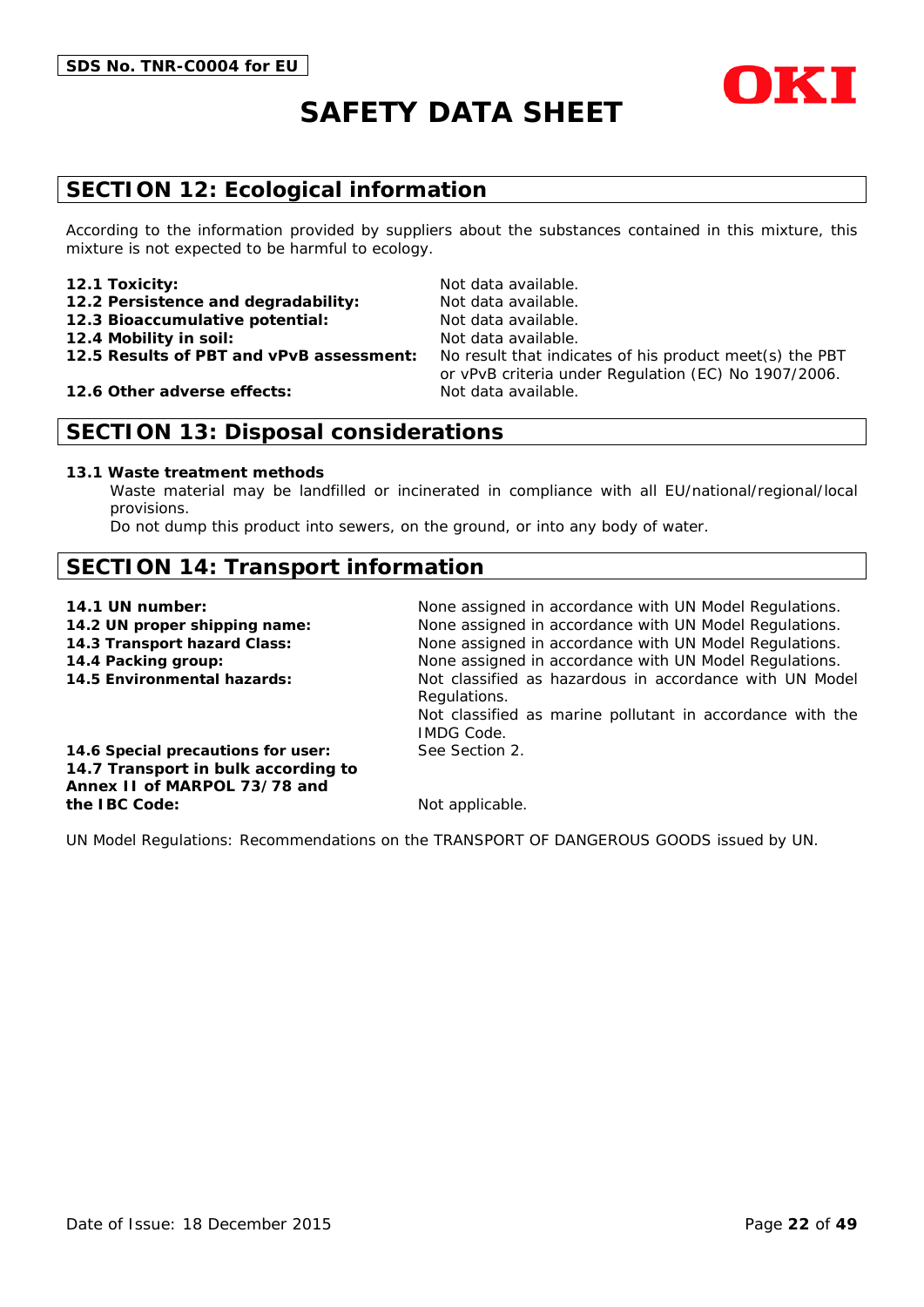

# **SECTION 12: Ecological information**

According to the information provided by suppliers about the substances contained in this mixture, this mixture is not expected to be harmful to ecology.

#### **12.1 Toxicity:** Not data available.

- 12.2 Persistence and degradability: Not data available.
- **12.3 Bioaccumulative potential:** Not data available.
- 
- 

**12.6 Other adverse effects:** Not data available.

# **12.4 Mobility in soil:** Not data available. **12.5 Results of PBT and vPvB assessment:** No result that indicates of his product meet(s) the PBT or vPvB criteria under Regulation (EC) No 1907/2006.

# **SECTION 13: Disposal considerations**

#### **13.1 Waste treatment methods**

Waste material may be landfilled or incinerated in compliance with all EU/national/regional/local provisions.

Do not dump this product into sewers, on the ground, or into any body of water.

# **SECTION 14: Transport information**

- 
- 
- 
- 

**14.1 UN number:** None assigned in accordance with UN Model Regulations. **14.2 UN proper shipping name:** None assigned in accordance with UN Model Regulations. **14.3 Transport hazard Class:** None assigned in accordance with UN Model Regulations. **14.4 Packing group:** None assigned in accordance with UN Model Regulations. **14.5 Environmental hazards:** Not classified as hazardous in accordance with UN Model Regulations. Not classified as marine pollutant in accordance with the IMDG Code.

**14.6 Special precautions for user:** See Section 2. **14.7 Transport in bulk according to Annex II of MARPOL 73/78 and the IBC Code:** Not applicable.

UN Model Regulations: Recommendations on the TRANSPORT OF DANGEROUS GOODS issued by UN.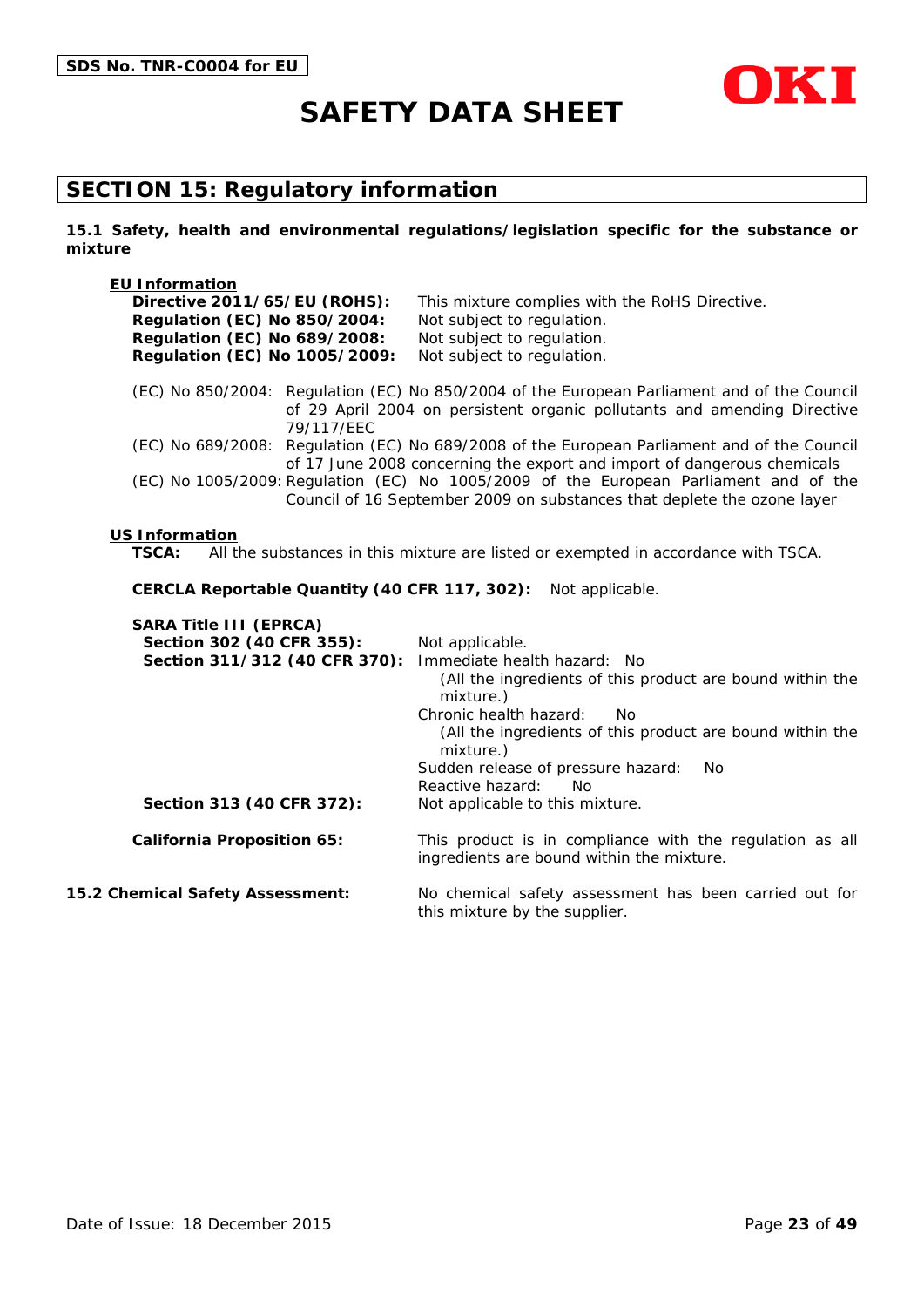

# **SECTION 15: Regulatory information**

**15.1 Safety, health and environmental regulations/legislation specific for the substance or mixture**

| <b>EU Information</b>                         |                                                                                                                                                                         |
|-----------------------------------------------|-------------------------------------------------------------------------------------------------------------------------------------------------------------------------|
| Directive 2011/65/EU (ROHS):                  | This mixture complies with the RoHS Directive.                                                                                                                          |
| <b>Regulation (EC) No 850/2004:</b>           | Not subject to regulation.                                                                                                                                              |
| Regulation (EC) No 689/2008:                  | Not subject to regulation.                                                                                                                                              |
| Regulation (EC) No 1005/2009:                 | Not subject to regulation.                                                                                                                                              |
| 79/117/EEC                                    | (EC) No 850/2004: Regulation (EC) No 850/2004 of the European Parliament and of the Council<br>of 29 April 2004 on persistent organic pollutants and amending Directive |
|                                               | (EC) No 689/2008: Regulation (EC) No 689/2008 of the European Parliament and of the Council<br>of 17 June 2008 concerning the export and import of dangerous chemicals  |
|                                               | (EC) No 1005/2009: Regulation (EC) No 1005/2009 of the European Parliament and of the<br>Council of 16 September 2009 on substances that deplete the ozone layer        |
| <b>US Information</b>                         |                                                                                                                                                                         |
| TSCA:                                         | All the substances in this mixture are listed or exempted in accordance with TSCA.                                                                                      |
| CERCLA Reportable Quantity (40 CFR 117, 302): | Not applicable.                                                                                                                                                         |
| <b>SARA Title III (EPRCA)</b>                 |                                                                                                                                                                         |
| Section 302 (40 CFR 355):                     | Not applicable.                                                                                                                                                         |
| Section 311/312 (40 CFR 370):                 | Immediate health hazard: No                                                                                                                                             |
|                                               | (All the ingredients of this product are bound within the<br>mixture.)                                                                                                  |
|                                               | Chronic health hazard:<br>No.                                                                                                                                           |

(All the ingredients of this product are bound within the mixture.) Sudden release of pressure hazard: No Reactive hazard: No Section 313 (40 CFR 372): Not applicable to this mixture. **California Proposition 65:** This product is in compliance with the regulation as all ingredients are bound within the mixture.

**15.2 Chemical Safety Assessment:** No chemical safety assessment has been carried out for this mixture by the supplier.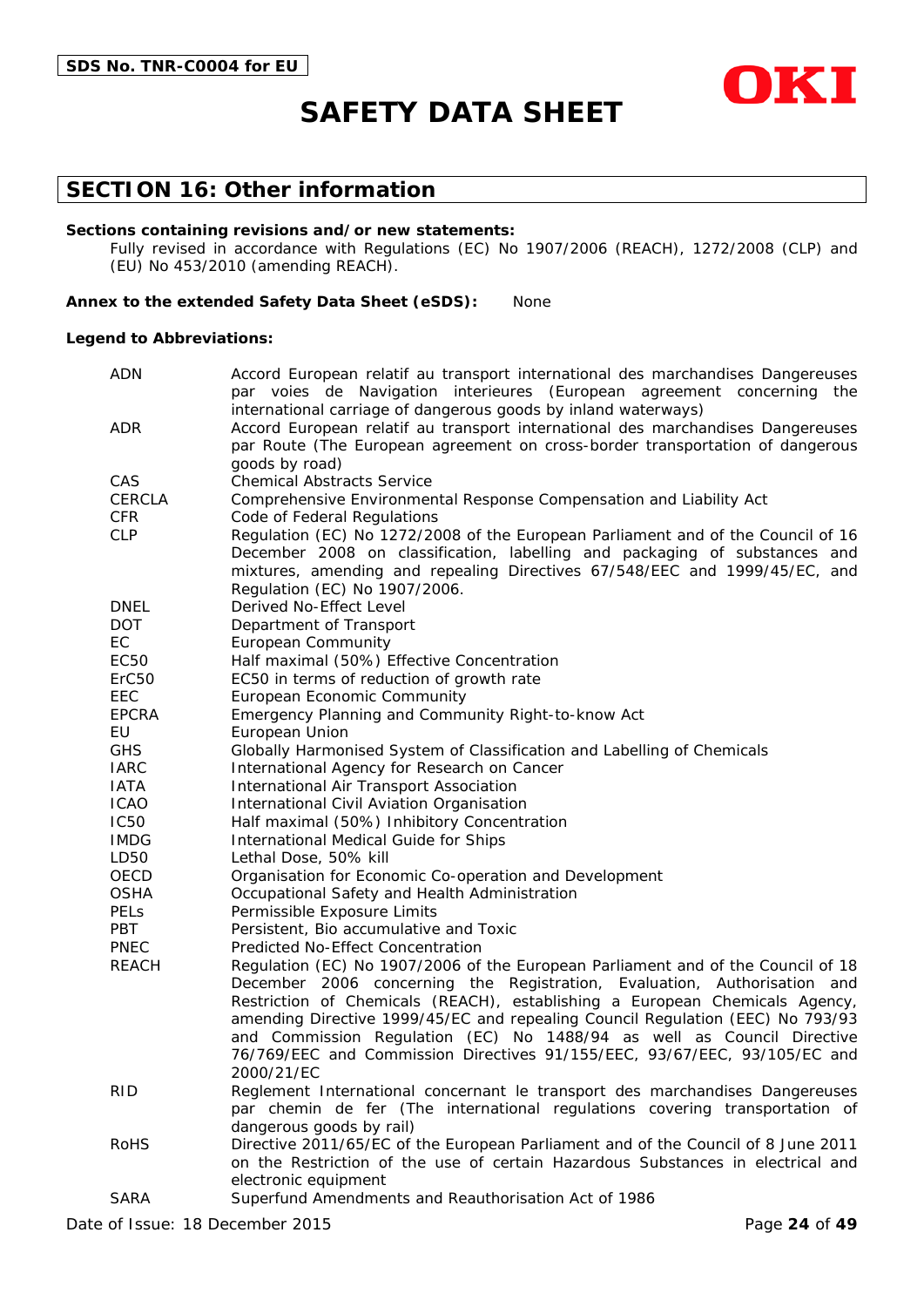

### **SECTION 16: Other information**

#### **Sections containing revisions and/or new statements:**

Fully revised in accordance with Regulations (EC) No 1907/2006 (REACH), 1272/2008 (CLP) and (EU) No 453/2010 (amending REACH).

#### **Annex to the extended Safety Data Sheet (eSDS):** None

#### **Legend to Abbreviations:**

| <b>ADN</b>        | Accord European relatif au transport international des marchandises Dangereuses                                                                             |  |
|-------------------|-------------------------------------------------------------------------------------------------------------------------------------------------------------|--|
|                   | par voies de Navigation interieures (European agreement concerning the                                                                                      |  |
|                   | international carriage of dangerous goods by inland waterways)                                                                                              |  |
| ADR               | Accord European relatif au transport international des marchandises Dangereuses                                                                             |  |
|                   | par Route (The European agreement on cross-border transportation of dangerous                                                                               |  |
| CAS               | goods by road)<br><b>Chemical Abstracts Service</b>                                                                                                         |  |
| <b>CERCLA</b>     |                                                                                                                                                             |  |
| <b>CFR</b>        | Comprehensive Environmental Response Compensation and Liability Act                                                                                         |  |
| <b>CLP</b>        | Code of Federal Regulations<br>Regulation (EC) No 1272/2008 of the European Parliament and of the Council of 16                                             |  |
|                   | December 2008 on classification, labelling and packaging of substances and                                                                                  |  |
|                   | mixtures, amending and repealing Directives 67/548/EEC and 1999/45/EC, and                                                                                  |  |
|                   | Regulation (EC) No 1907/2006.                                                                                                                               |  |
| <b>DNEL</b>       | Derived No-Effect Level                                                                                                                                     |  |
| <b>DOT</b>        | Department of Transport                                                                                                                                     |  |
| EC                | <b>European Community</b>                                                                                                                                   |  |
| EC50              | Half maximal (50%) Effective Concentration                                                                                                                  |  |
| ErC <sub>50</sub> | EC50 in terms of reduction of growth rate                                                                                                                   |  |
| EEC               | European Economic Community                                                                                                                                 |  |
| <b>EPCRA</b>      | Emergency Planning and Community Right-to-know Act                                                                                                          |  |
| EU                | European Union                                                                                                                                              |  |
| <b>GHS</b>        | Globally Harmonised System of Classification and Labelling of Chemicals                                                                                     |  |
| <b>IARC</b>       | International Agency for Research on Cancer                                                                                                                 |  |
| <b>IATA</b>       | International Air Transport Association                                                                                                                     |  |
| <b>ICAO</b>       | International Civil Aviation Organisation                                                                                                                   |  |
| <b>IC50</b>       | Half maximal (50%) Inhibitory Concentration                                                                                                                 |  |
| <b>IMDG</b>       | International Medical Guide for Ships                                                                                                                       |  |
| LD50              | Lethal Dose, 50% kill                                                                                                                                       |  |
| OECD              | Organisation for Economic Co-operation and Development                                                                                                      |  |
| <b>OSHA</b>       | Occupational Safety and Health Administration                                                                                                               |  |
| <b>PELS</b>       | Permissible Exposure Limits                                                                                                                                 |  |
| <b>PBT</b>        | Persistent, Bio accumulative and Toxic                                                                                                                      |  |
| <b>PNEC</b>       | Predicted No-Effect Concentration                                                                                                                           |  |
| <b>REACH</b>      | Regulation (EC) No 1907/2006 of the European Parliament and of the Council of 18                                                                            |  |
|                   | December 2006 concerning the Registration, Evaluation, Authorisation and                                                                                    |  |
|                   | Restriction of Chemicals (REACH), establishing a European Chemicals Agency,                                                                                 |  |
|                   | amending Directive 1999/45/EC and repealing Council Regulation (EEC) No 793/93                                                                              |  |
|                   | and Commission Regulation (EC) No 1488/94 as well as Council Directive                                                                                      |  |
|                   | 76/769/EEC and Commission Directives 91/155/EEC, 93/67/EEC, 93/105/EC and<br>2000/21/EC                                                                     |  |
| <b>RID</b>        |                                                                                                                                                             |  |
|                   | Reglement International concernant le transport des marchandises Dangereuses<br>par chemin de fer (The international regulations covering transportation of |  |
|                   | dangerous goods by rail)                                                                                                                                    |  |
| <b>RoHS</b>       | Directive 2011/65/EC of the European Parliament and of the Council of 8 June 2011                                                                           |  |
|                   | on the Restriction of the use of certain Hazardous Substances in electrical and                                                                             |  |
|                   | electronic equipment                                                                                                                                        |  |
| <b>SARA</b>       | Superfund Amendments and Reauthorisation Act of 1986                                                                                                        |  |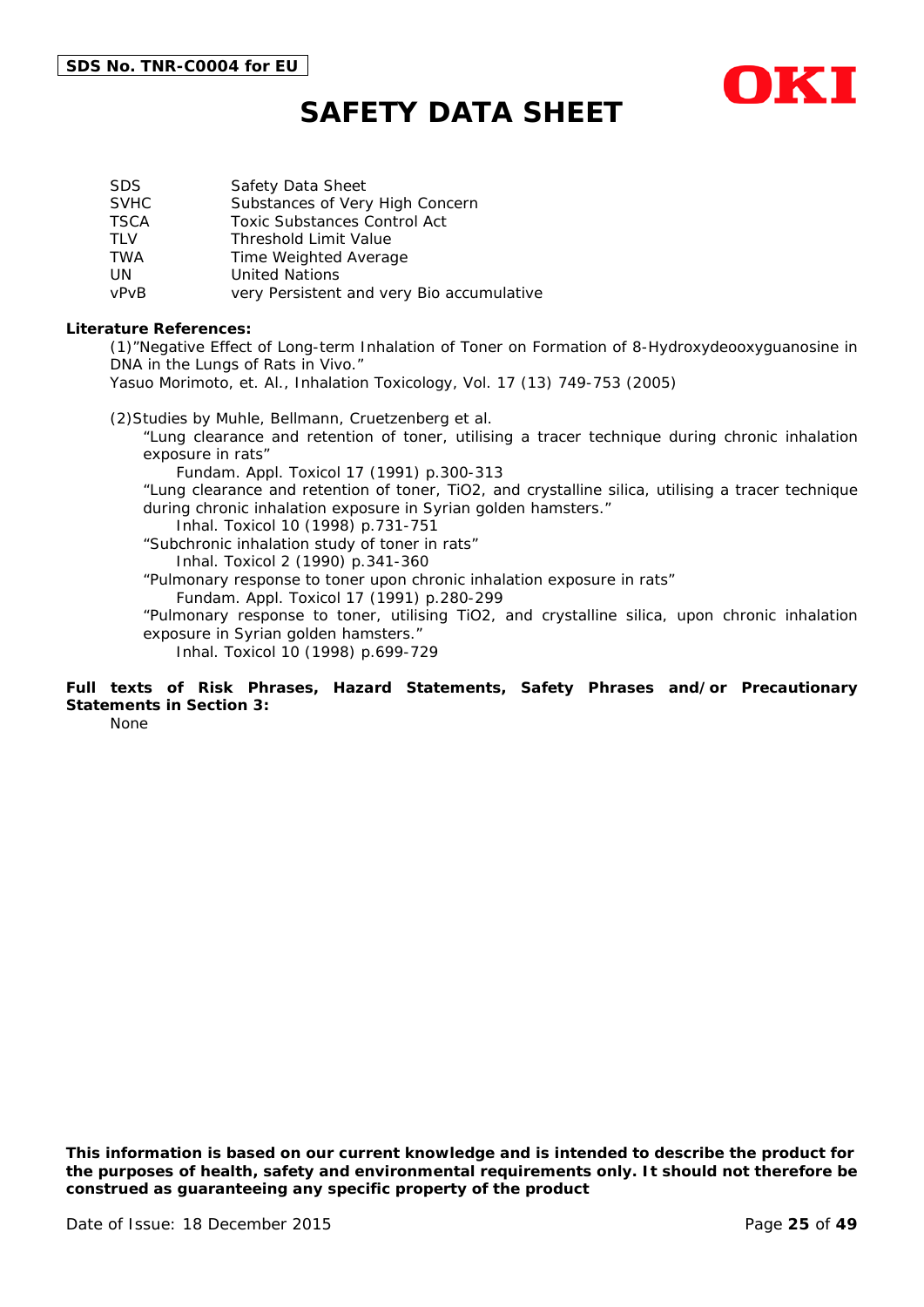

| SDS.        | Safety Data Sheet                         |
|-------------|-------------------------------------------|
| <b>SVHC</b> | Substances of Very High Concern           |
| <b>TSCA</b> | <b>Toxic Substances Control Act</b>       |
| TI V        | <b>Threshold Limit Value</b>              |
| TWA         | Time Weighted Average                     |
| UN          | <b>United Nations</b>                     |
| vPvB        | very Persistent and very Bio accumulative |

#### **Literature References:**

(1)"Negative Effect of Long-term Inhalation of Toner on Formation of 8-Hydroxydeooxyguanosine in DNA in the Lungs of Rats in Vivo."

Yasuo Morimoto, et. Al., Inhalation Toxicology, Vol. 17 (13) 749-753 (2005)

(2)Studies by Muhle, Bellmann, Cruetzenberg et al.

"Lung clearance and retention of toner, utilising a tracer technique during chronic inhalation exposure in rats"

Fundam. Appl. Toxicol 17 (1991) p.300-313

"Lung clearance and retention of toner, TiO2, and crystalline silica, utilising a tracer technique during chronic inhalation exposure in Syrian golden hamsters."

Inhal. Toxicol 10 (1998) p.731-751

"Subchronic inhalation study of toner in rats" Inhal. Toxicol 2 (1990) p.341-360

"Pulmonary response to toner upon chronic inhalation exposure in rats"

Fundam. Appl. Toxicol 17 (1991) p.280-299

"Pulmonary response to toner, utilising TiO2, and crystalline silica, upon chronic inhalation exposure in Syrian golden hamsters."

Inhal. Toxicol 10 (1998) p.699-729

### **Full texts of Risk Phrases, Hazard Statements, Safety Phrases and/or Precautionary Statements in Section 3:**

None

*This information is based on our current knowledge and is intended to describe the product for the purposes of health, safety and environmental requirements only. It should not therefore be construed as guaranteeing any specific property of the product*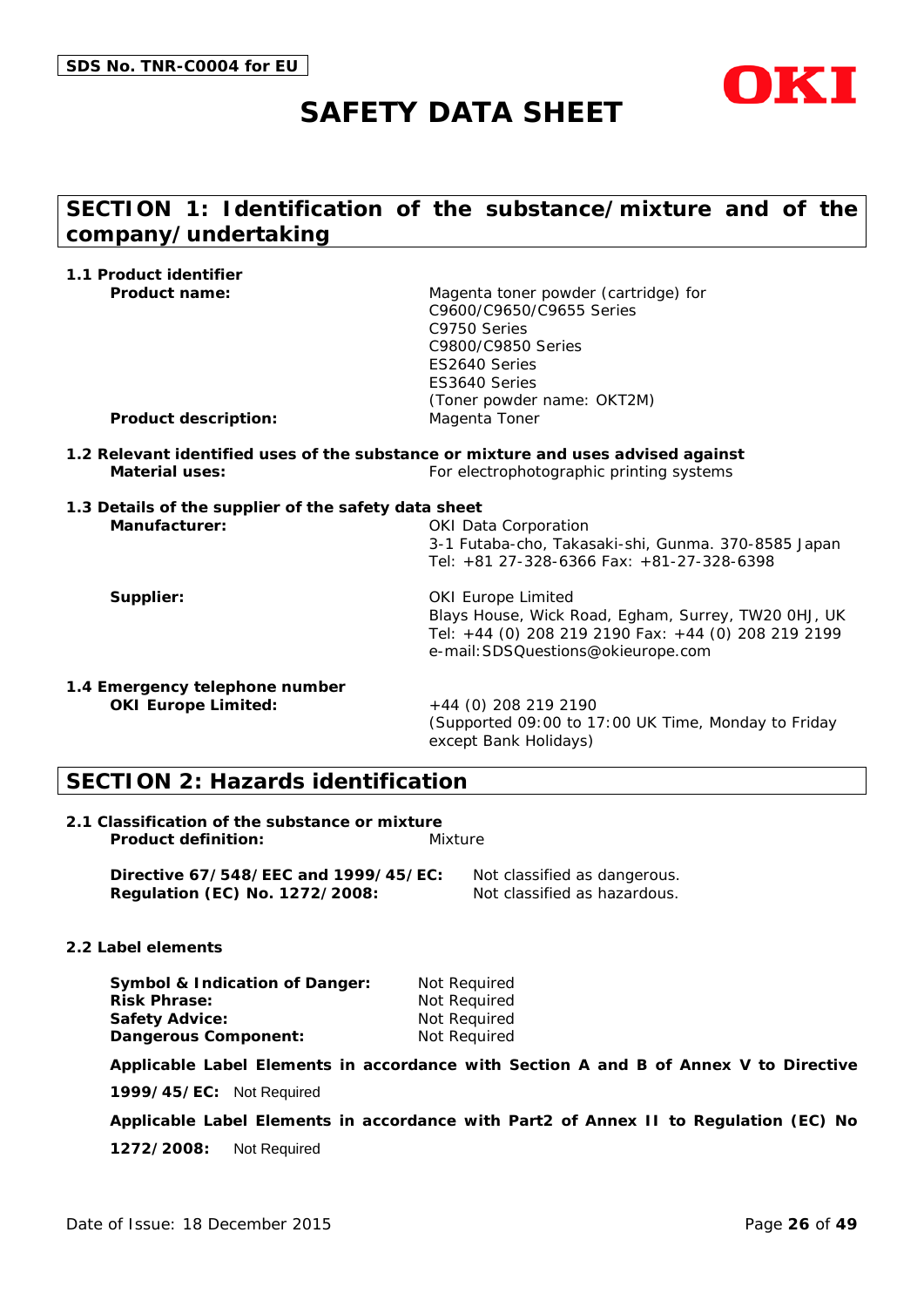

# **SECTION 1: Identification of the substance/mixture and of the company/undertaking**

| 1.1 Product identifier                               |                                                                                                                                                                                         |
|------------------------------------------------------|-----------------------------------------------------------------------------------------------------------------------------------------------------------------------------------------|
| <b>Product name:</b><br><b>Product description:</b>  | Magenta toner powder (cartridge) for<br>C9600/C9650/C9655 Series<br>C9750 Series<br>C9800/C9850 Series<br>ES2640 Series<br>ES3640 Series<br>(Toner powder name: OKT2M)<br>Magenta Toner |
|                                                      |                                                                                                                                                                                         |
| <b>Material uses:</b>                                | 1.2 Relevant identified uses of the substance or mixture and uses advised against<br>For electrophotographic printing systems                                                           |
| 1.3 Details of the supplier of the safety data sheet |                                                                                                                                                                                         |
| Manufacturer:                                        | <b>OKI Data Corporation</b><br>3-1 Futaba-cho, Takasaki-shi, Gunma. 370-8585 Japan<br>Tel: +81 27-328-6366 Fax: +81-27-328-6398                                                         |
| Supplier:                                            | <b>OKI Europe Limited</b><br>Blays House, Wick Road, Egham, Surrey, TW20 OHJ, UK<br>Tel: +44 (0) 208 219 2190 Fax: +44 (0) 208 219 2199<br>e-mail: SDSQuestions@okieurope.com           |
| 1.4 Emergency telephone number                       |                                                                                                                                                                                         |
| <b>OKI Europe Limited:</b>                           | +44 (0) 208 219 2190<br>(Supported 09:00 to 17:00 UK Time, Monday to Friday<br>except Bank Holidays)                                                                                    |

# **SECTION 2: Hazards identification**

| 2.1 Classification of the substance or mixture |         |
|------------------------------------------------|---------|
| <b>Product definition:</b>                     | Mixture |

**Directive 67/548/EEC and 1999/45/EC:** Not classified as dangerous. **Regulation (EC) No. 1272/2008:** Not classified as hazardous.

#### **2.2 Label elements**

| <b>Symbol &amp; Indication of Danger:</b> | Not Reguired |
|-------------------------------------------|--------------|
| <b>Risk Phrase:</b>                       | Not Reguired |
| Safety Advice:                            | Not Required |
| Dangerous Component:                      | Not Required |

**Applicable Label Elements in accordance with Section A and B of Annex V to Directive** 

**1999/45/EC:** Not Required

**Applicable Label Elements in accordance with Part2 of Annex II to Regulation (EC) No** 

**1272/2008:** Not Required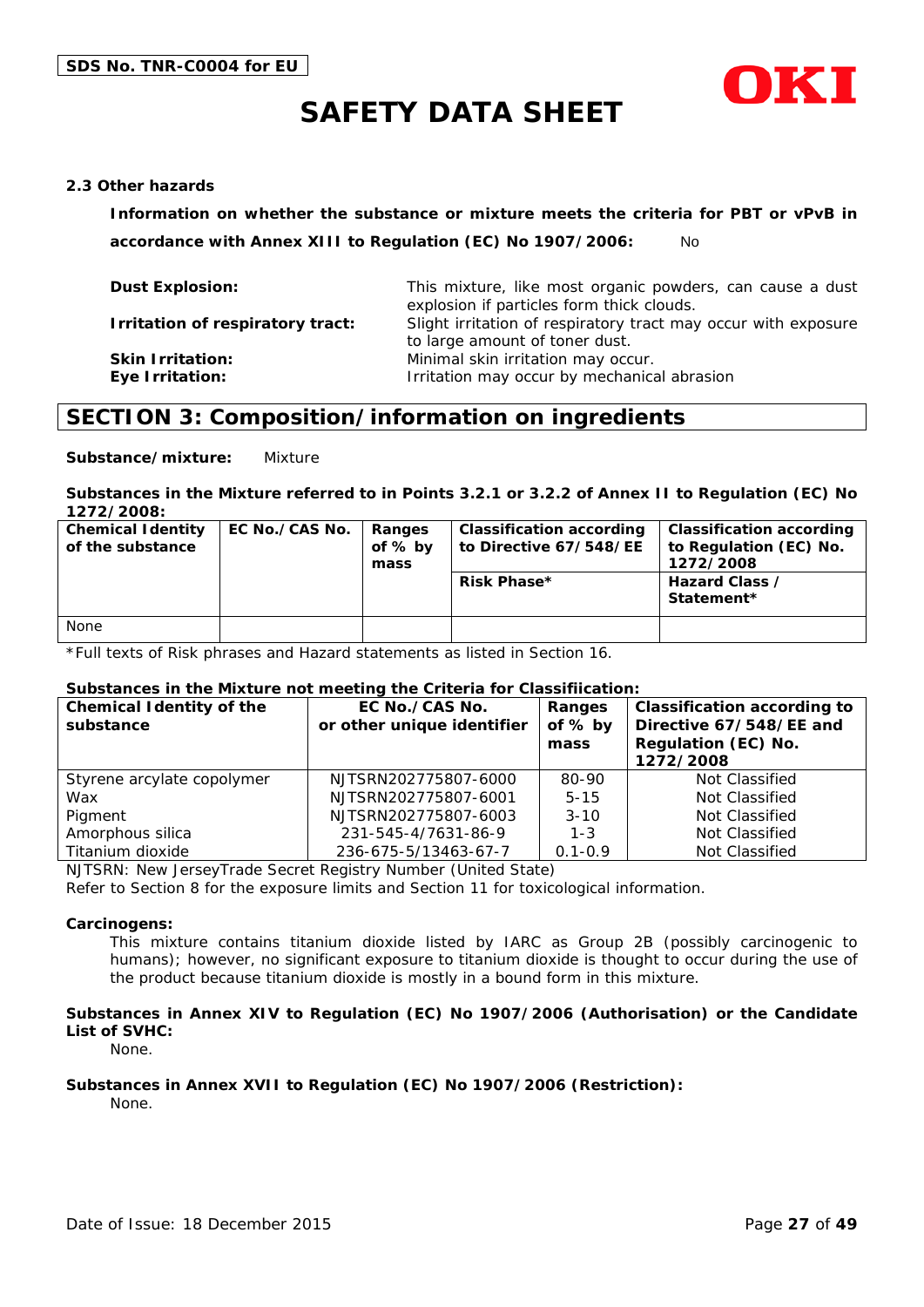

#### **2.3 Other hazards**

**Information on whether the substance or mixture meets the criteria for PBT or vPvB in accordance with Annex XIII to Regulation (EC) No 1907/2006:** No

| <b>Dust Explosion:</b>                            | This mixture, like most organic powders, can cause a dust<br>explosion if particles form thick clouds. |
|---------------------------------------------------|--------------------------------------------------------------------------------------------------------|
| Irritation of respiratory tract:                  | Slight irritation of respiratory tract may occur with exposure<br>to large amount of toner dust.       |
| <b>Skin Irritation:</b><br><b>Eye Irritation:</b> | Minimal skin irritation may occur.<br>Irritation may occur by mechanical abrasion                      |

# **SECTION 3: Composition/information on ingredients**

**Substance/mixture:** Mixture

#### **Substances in the Mixture referred to in Points 3.2.1 or 3.2.2 of Annex II to Regulation (EC) No 1272/2008:**

| <b>Chemical Identity</b><br>of the substance | EC No./CAS No. | Ranges<br>of $%$ by<br>mass | Classification according<br>to Directive 67/548/EE<br><b>Risk Phase*</b> | <b>Classification according</b><br>to Regulation (EC) No.<br>1272/2008<br>Hazard Class /<br>Statement* |
|----------------------------------------------|----------------|-----------------------------|--------------------------------------------------------------------------|--------------------------------------------------------------------------------------------------------|
|                                              |                |                             |                                                                          |                                                                                                        |
| None                                         |                |                             |                                                                          |                                                                                                        |

\*Full texts of Risk phrases and Hazard statements as listed in Section 16.

#### **Substances in the Mixture not meeting the Criteria for Classifiication:**

| <b>Chemical Identity of the</b><br>substance | EC No./CAS No.<br>or other unique identifier | Ranges<br>of % by<br>mass | <b>Classification according to</b><br>Directive 67/548/EE and<br>Regulation (EC) No.<br>1272/2008 |
|----------------------------------------------|----------------------------------------------|---------------------------|---------------------------------------------------------------------------------------------------|
| Styrene arcylate copolymer                   | NJTSRN202775807-6000                         | 80-90                     | Not Classified                                                                                    |
| Wax                                          | NJTSRN202775807-6001                         | $5 - 15$                  | Not Classified                                                                                    |
| Pigment                                      | NJTSRN202775807-6003                         | $3 - 10$                  | Not Classified                                                                                    |
| Amorphous silica                             | 231-545-4/7631-86-9                          | $1 - 3$                   | Not Classified                                                                                    |
| Titanium dioxide                             | 236-675-5/13463-67-7                         | $0.1 - 0.9$               | Not Classified                                                                                    |

NJTSRN: New JerseyTrade Secret Registry Number (United State)

Refer to Section 8 for the exposure limits and Section 11 for toxicological information.

#### **Carcinogens:**

This mixture contains titanium dioxide listed by IARC as Group 2B (possibly carcinogenic to humans); however, no significant exposure to titanium dioxide is thought to occur during the use of the product because titanium dioxide is mostly in a bound form in this mixture.

#### **Substances in Annex XIV to Regulation (EC) No 1907/2006 (Authorisation) or the Candidate List of SVHC:**

None.

#### **Substances in Annex XVII to Regulation (EC) No 1907/2006 (Restriction):**

None.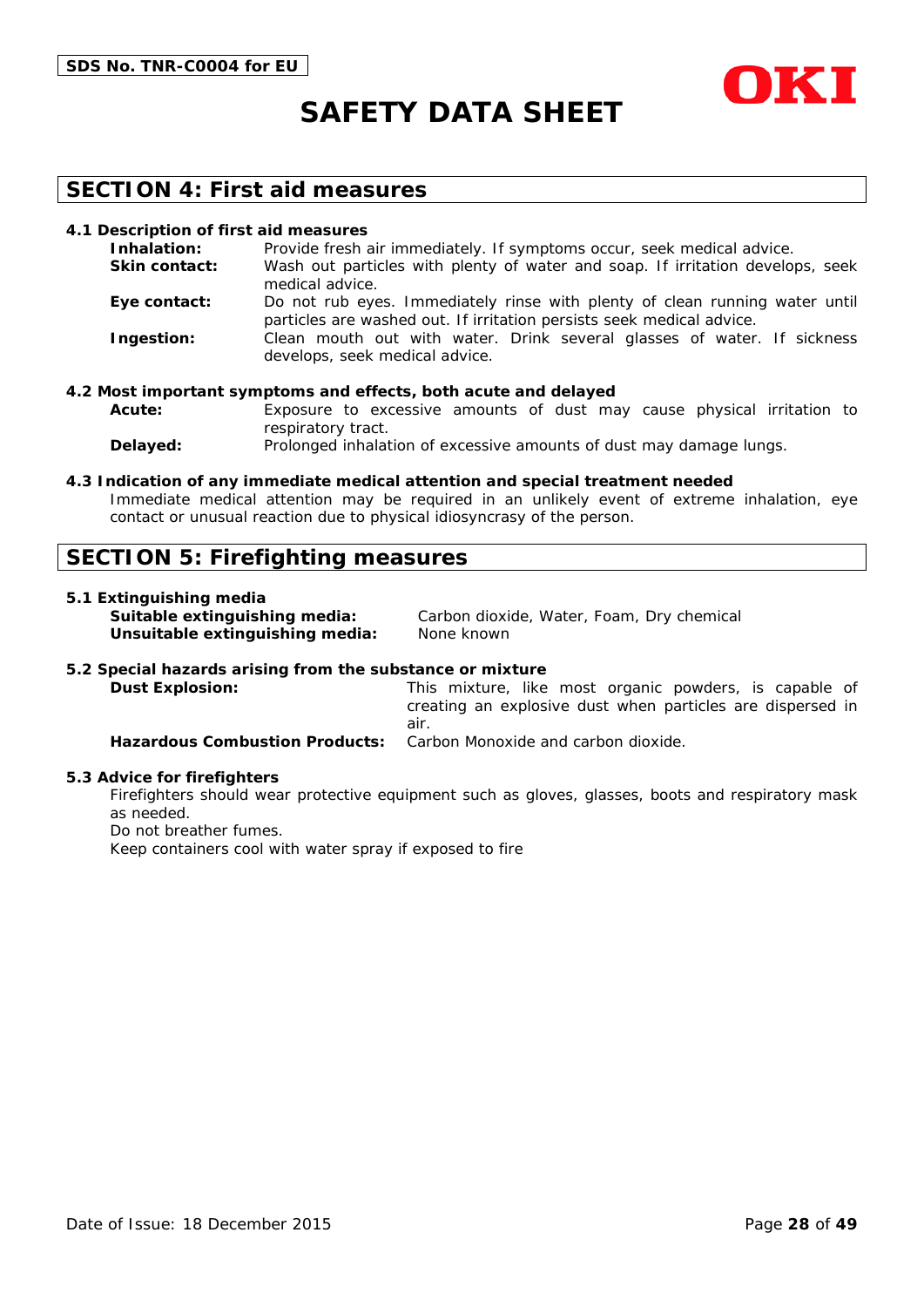



### **SECTION 4: First aid measures**

#### **4.1 Description of first aid measures**

| Inhalation:          | Provide fresh air immediately. If symptoms occur, seek medical advice.                                                                               |
|----------------------|------------------------------------------------------------------------------------------------------------------------------------------------------|
| <b>Skin contact:</b> | Wash out particles with plenty of water and soap. If irritation develops, seek<br>medical advice.                                                    |
| Eye contact:         | Do not rub eyes. Immediately rinse with plenty of clean running water until<br>particles are washed out. If irritation persists seek medical advice. |
| Ingestion:           | Clean mouth out with water. Drink several glasses of water. If sickness<br>develops, seek medical advice.                                            |

#### **4.2 Most important symptoms and effects, both acute and delayed**

**Acute:** Exposure to excessive amounts of dust may cause physical irritation to respiratory tract.

**Delayed:** Prolonged inhalation of excessive amounts of dust may damage lungs.

#### **4.3 Indication of any immediate medical attention and special treatment needed**

Immediate medical attention may be required in an unlikely event of extreme inhalation, eye contact or unusual reaction due to physical idiosyncrasy of the person.

### **SECTION 5: Firefighting measures**

#### **5.1 Extinguishing media**

**Unsuitable extinguishing media:** None known

**Suitable extinguishing media:** Carbon dioxide, Water, Foam, Dry chemical

#### **5.2 Special hazards arising from the substance or mixture**

**Dust Explosion:** This mixture, like most organic powders, is capable of creating an explosive dust when particles are dispersed in air. **Hazardous Combustion Products:** Carbon Monoxide and carbon dioxide.

#### **5.3 Advice for firefighters**

Firefighters should wear protective equipment such as gloves, glasses, boots and respiratory mask as needed.

Do not breather fumes.

Keep containers cool with water spray if exposed to fire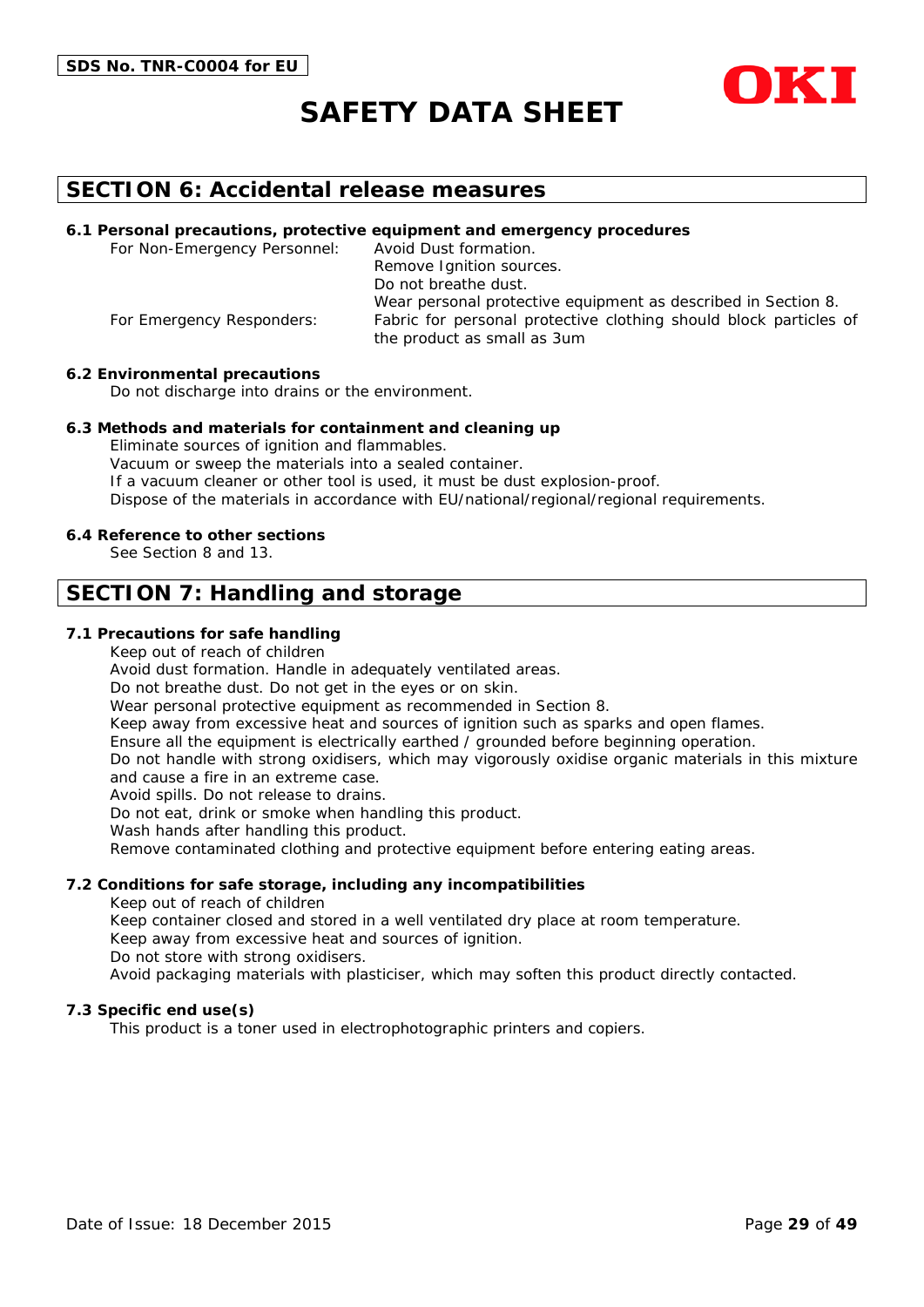



### **SECTION 6: Accidental release measures**

#### **6.1 Personal precautions, protective equipment and emergency procedures**

For Non-Emergency Personnel: Avoid Dust formation. Remove Ignition sources. Do not breathe dust. Wear personal protective equipment as described in Section 8. For Emergency Responders: Fabric for personal protective clothing should block particles of the product as small as 3um

#### **6.2 Environmental precautions**

Do not discharge into drains or the environment.

#### **6.3 Methods and materials for containment and cleaning up**

Eliminate sources of ignition and flammables. Vacuum or sweep the materials into a sealed container. If a vacuum cleaner or other tool is used, it must be dust explosion-proof. Dispose of the materials in accordance with EU/national/regional/regional requirements.

#### **6.4 Reference to other sections**

See Section 8 and 13.

### **SECTION 7: Handling and storage**

#### **7.1 Precautions for safe handling**

Keep out of reach of children

Avoid dust formation. Handle in adequately ventilated areas.

Do not breathe dust. Do not get in the eyes or on skin.

Wear personal protective equipment as recommended in Section 8.

Keep away from excessive heat and sources of ignition such as sparks and open flames.

Ensure all the equipment is electrically earthed / grounded before beginning operation.

Do not handle with strong oxidisers, which may vigorously oxidise organic materials in this mixture and cause a fire in an extreme case.

Avoid spills. Do not release to drains.

Do not eat, drink or smoke when handling this product.

Wash hands after handling this product.

Remove contaminated clothing and protective equipment before entering eating areas.

#### **7.2 Conditions for safe storage, including any incompatibilities**

Keep out of reach of children

Keep container closed and stored in a well ventilated dry place at room temperature.

Keep away from excessive heat and sources of ignition.

Do not store with strong oxidisers.

Avoid packaging materials with plasticiser, which may soften this product directly contacted.

#### **7.3 Specific end use(s)**

This product is a toner used in electrophotographic printers and copiers.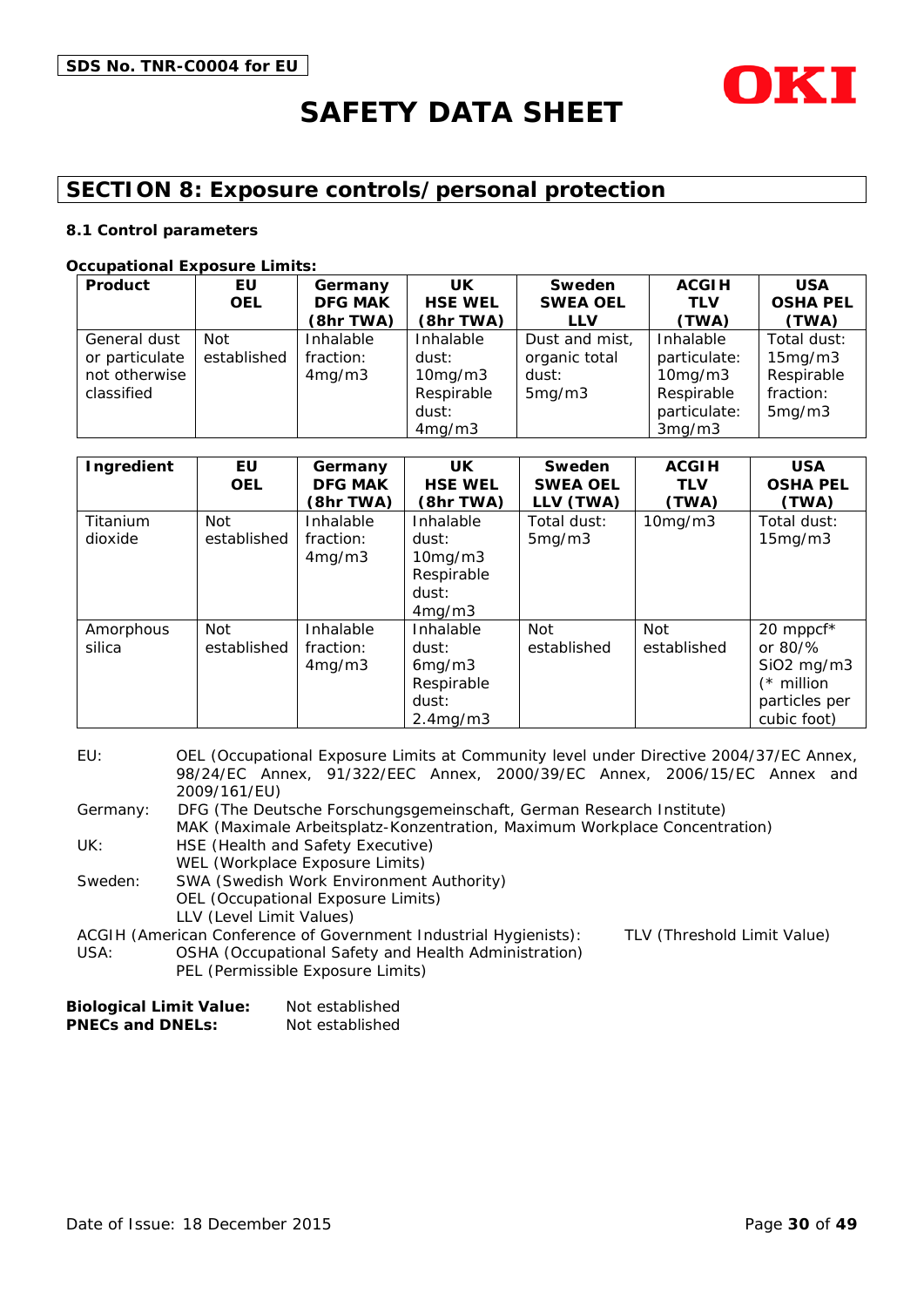

# **SECTION 8: Exposure controls/personal protection**

#### **8.1 Control parameters**

#### **Occupational Exposure Limits:**

| Product        | EU          | Germany        | UK             | Sweden          | <b>ACGIH</b>  | <b>USA</b>      |
|----------------|-------------|----------------|----------------|-----------------|---------------|-----------------|
|                | <b>OEL</b>  | <b>DFG MAK</b> | <b>HSE WEL</b> | <b>SWEA OEL</b> | <b>TLV</b>    | <b>OSHA PEL</b> |
|                |             | (8hr TWA)      | (8hr TWA)      | <b>LLV</b>      | (TWA)         | (TWA)           |
| General dust   | Not         | Inhalable      | Inhalable      | Dust and mist,  | Inhalable     | Total dust:     |
| or particulate | established | fraction:      | dust:          | organic total   | particulate:  | 15mg/m3         |
| not otherwise  |             | 4mg/m3         | 10mg/m3        | dust:           | $10$ mg/m $3$ | Respirable      |
| classified     |             |                | Respirable     | 5mg/m3          | Respirable    | fraction:       |
|                |             |                | dust:          |                 | particulate:  | 5mg/m3          |
|                |             |                | 4mg/m3         |                 | 3mg/m3        |                 |

| Ingredient          | EU<br><b>OEL</b>          | Germany<br><b>DFG MAK</b><br>(8hr TWA) | <b>UK</b><br><b>HSE WEL</b><br>(8hr TWA)                                     | Sweden<br><b>SWEA OEL</b><br>LLV (TWA) | <b>ACGIH</b><br><b>TLV</b><br>(TWA) | <b>USA</b><br><b>OSHA PEL</b><br>(TWA)                                                             |
|---------------------|---------------------------|----------------------------------------|------------------------------------------------------------------------------|----------------------------------------|-------------------------------------|----------------------------------------------------------------------------------------------------|
| Titanium<br>dioxide | <b>Not</b><br>established | Inhalable<br>fraction:<br>4mg/m3       | Inhalable<br>dust:<br>$10$ mg/m $3$<br>Respirable<br>dust:<br>4mg/m3         | Total dust:<br>5mg/m3                  | 10mg/m3                             | Total dust:<br>15mg/m3                                                                             |
| Amorphous<br>silica | <b>Not</b><br>established | Inhalable<br>fraction:<br>4mg/m3       | Inhalable<br>dust:<br>6mg/m3<br>Respirable<br>dust:<br>2.4 <sub>mq</sub> /m3 | Not<br>established                     | Not<br>established                  | 20 mppcf*<br>or $80\frac{9}{6}$<br>$SiO2$ mg/m $3$<br>$(*$ million<br>particles per<br>cubic foot) |

| EU:      | OEL (Occupational Exposure Limits at Community level under Directive 2004/37/EC Annex,          |  |  |
|----------|-------------------------------------------------------------------------------------------------|--|--|
|          | 98/24/EC Annex, 91/322/EEC Annex, 2000/39/EC Annex, 2006/15/EC Annex and                        |  |  |
|          | 2009/161/EU)                                                                                    |  |  |
| Germany: | DFG (The Deutsche Forschungsgemeinschaft, German Research Institute)                            |  |  |
|          | MAK (Maximale Arbeitsplatz-Konzentration, Maximum Workplace Concentration)                      |  |  |
| UK:      | HSE (Health and Safety Executive)                                                               |  |  |
|          | WEL (Workplace Exposure Limits)                                                                 |  |  |
| Sweden:  | SWA (Swedish Work Environment Authority)                                                        |  |  |
|          | OEL (Occupational Exposure Limits)                                                              |  |  |
|          | LLV (Level Limit Values)                                                                        |  |  |
|          | TLV (Threshold Limit Value)<br>ACGIH (American Conference of Government Industrial Hygienists): |  |  |
| USA:     | OSHA (Occupational Safety and Health Administration)                                            |  |  |
|          | PEL (Permissible Exposure Limits)                                                               |  |  |

| <b>Biological Limit Value:</b> | Not established |
|--------------------------------|-----------------|
| <b>PNECs and DNELs:</b>        | Not established |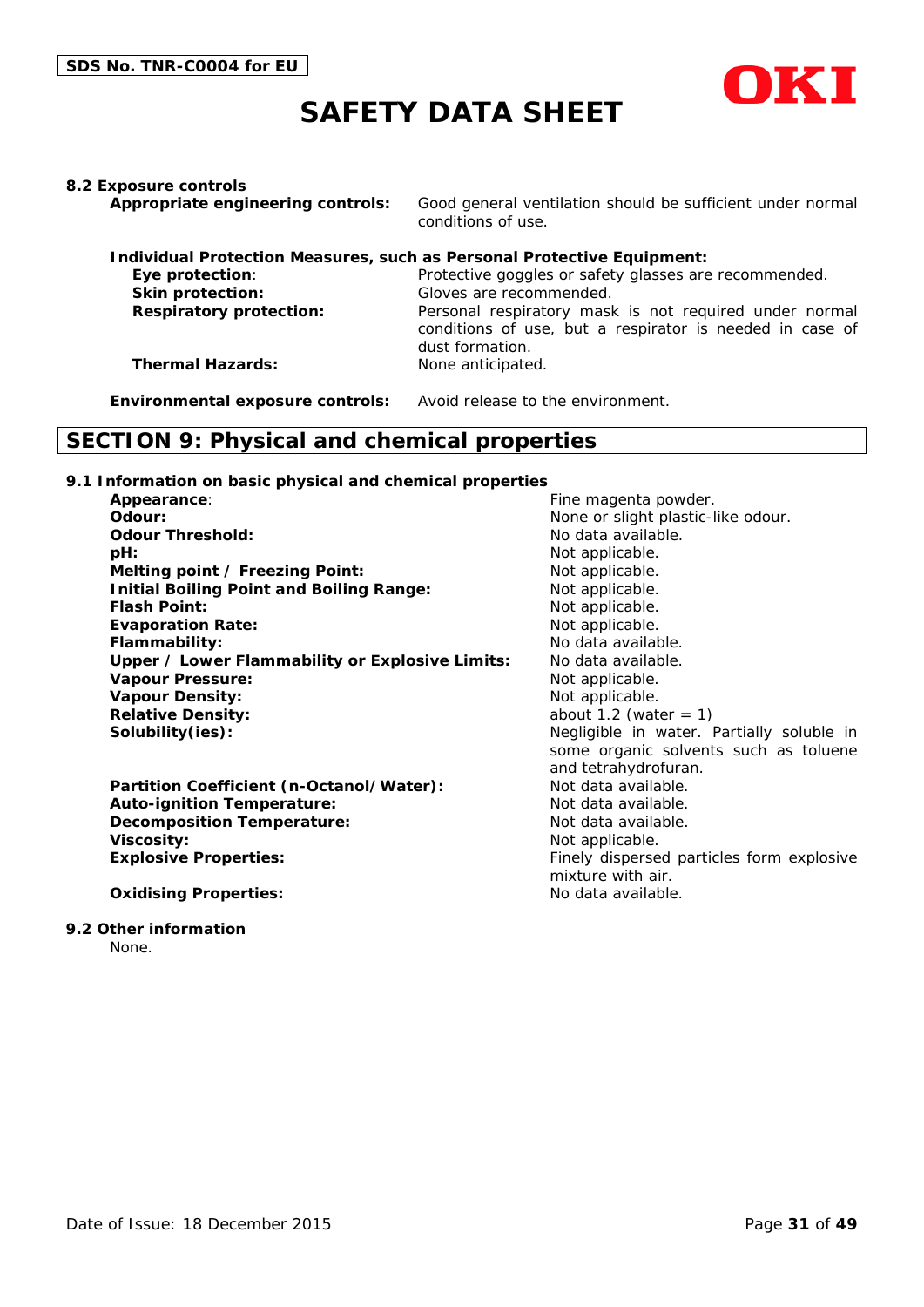

#### **8.2 Exposure controls**

**Appropriate engineering controls:** Good general ventilation should be sufficient under normal conditions of use.

|                                | Individual Protection Measures, such as Personal Protective Equipment:                                                                |
|--------------------------------|---------------------------------------------------------------------------------------------------------------------------------------|
| Eye protection:                | Protective goggles or safety glasses are recommended.                                                                                 |
| Skin protection:               | Gloves are recommended.                                                                                                               |
| <b>Respiratory protection:</b> | Personal respiratory mask is not required under normal<br>conditions of use, but a respirator is needed in case of<br>dust formation. |
| <b>Thermal Hazards:</b>        | None anticipated.                                                                                                                     |

**Environmental exposure controls:** Avoid release to the environment.

### **SECTION 9: Physical and chemical properties**

#### **9.1 Information on basic physical and chemical properties**

| Appearance:                                     | Fine magenta powder.                      |
|-------------------------------------------------|-------------------------------------------|
| Odour:                                          | None or slight plastic-like odour.        |
| <b>Odour Threshold:</b>                         | No data available.                        |
| pH:                                             | Not applicable.                           |
| Melting point / Freezing Point:                 | Not applicable.                           |
| <b>Initial Boiling Point and Boiling Range:</b> | Not applicable.                           |
| <b>Flash Point:</b>                             | Not applicable.                           |
| <b>Evaporation Rate:</b>                        | Not applicable.                           |
| Flammability:                                   | No data available.                        |
| Upper / Lower Flammability or Explosive Limits: | No data available.                        |
| <b>Vapour Pressure:</b>                         | Not applicable.                           |
| <b>Vapour Density:</b>                          | Not applicable.                           |
| <b>Relative Density:</b>                        | about 1.2 (water $= 1$ )                  |
| Solubility(ies):                                | Negligible in water. Partially soluble in |
|                                                 | some organic solvents such as toluene     |
|                                                 | and tetrahydrofuran.                      |
| Partition Coefficient (n-Octanol/Water):        | Not data available.                       |
| <b>Auto-ignition Temperature:</b>               | Not data available.                       |
| <b>Decomposition Temperature:</b>               | Not data available.                       |
| <b>Viscosity:</b>                               | Not applicable.                           |
| <b>Explosive Properties:</b>                    | Finely dispersed particles form explosive |
|                                                 | mixture with air.                         |
| <b>Oxidising Properties:</b>                    | No data available.                        |

#### **9.2 Other information**

None.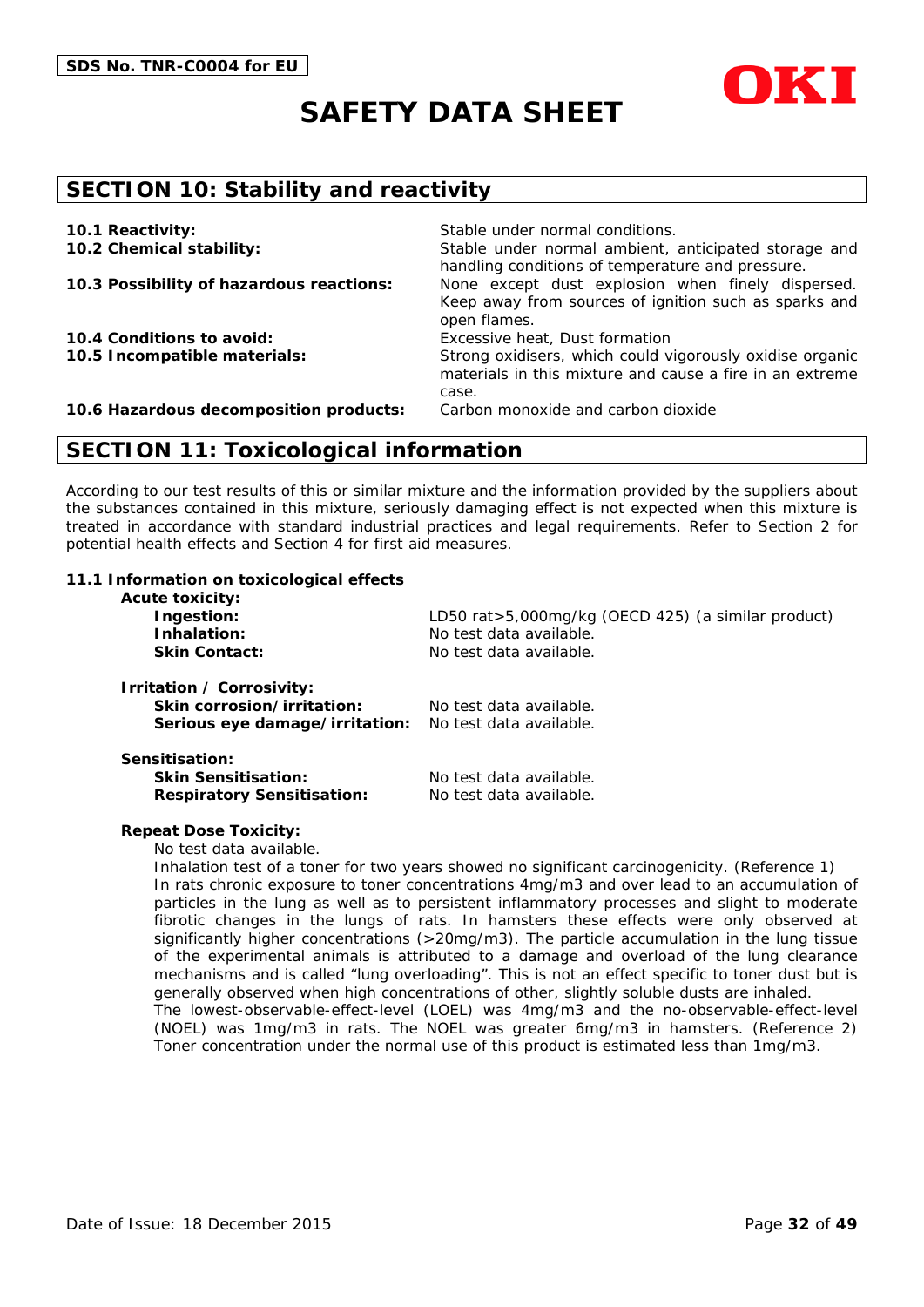



### **SECTION 10: Stability and reactivity**

| 10.1 Reactivity:                         | Stable under normal conditions.                                                                                               |
|------------------------------------------|-------------------------------------------------------------------------------------------------------------------------------|
| 10.2 Chemical stability:                 | Stable under normal ambient, anticipated storage and<br>handling conditions of temperature and pressure.                      |
| 10.3 Possibility of hazardous reactions: | None except dust explosion when finely dispersed.<br>Keep away from sources of ignition such as sparks and<br>open flames.    |
| 10.4 Conditions to avoid:                | Excessive heat, Dust formation                                                                                                |
| 10.5 Incompatible materials:             | Strong oxidisers, which could vigorously oxidise organic<br>materials in this mixture and cause a fire in an extreme<br>case. |
| 10.6 Hazardous decomposition products:   | Carbon monoxide and carbon dioxide                                                                                            |

### **SECTION 11: Toxicological information**

According to our test results of this or similar mixture and the information provided by the suppliers about the substances contained in this mixture, seriously damaging effect is not expected when this mixture is treated in accordance with standard industrial practices and legal requirements. Refer to Section 2 for potential health effects and Section 4 for first aid measures.

#### **11.1 Information on toxicological effects**

| <b>Acute toxicity:</b><br>Ingestion:<br>Inhalation:<br><b>Skin Contact:</b>               | LD50 rat>5,000mg/kg (OECD 425) (a similar product)<br>No test data available.<br>No test data available. |
|-------------------------------------------------------------------------------------------|----------------------------------------------------------------------------------------------------------|
| Irritation / Corrosivity:<br>Skin corrosion/irritation:<br>Serious eye damage/irritation: | No test data available.<br>No test data available.                                                       |
| Sensitisation:<br><b>Skin Sensitisation:</b><br><b>Respiratory Sensitisation:</b>         | No test data available.<br>No test data available.                                                       |

#### **Repeat Dose Toxicity:**

No test data available.

Inhalation test of a toner for two years showed no significant carcinogenicity. (Reference 1) In rats chronic exposure to toner concentrations 4mg/m3 and over lead to an accumulation of particles in the lung as well as to persistent inflammatory processes and slight to moderate fibrotic changes in the lungs of rats. In hamsters these effects were only observed at significantly higher concentrations (>20mg/m3). The particle accumulation in the lung tissue of the experimental animals is attributed to a damage and overload of the lung clearance mechanisms and is called "lung overloading". This is not an effect specific to toner dust but is generally observed when high concentrations of other, slightly soluble dusts are inhaled. The lowest-observable-effect-level (LOEL) was 4mg/m3 and the no-observable-effect-level (NOEL) was 1mg/m3 in rats. The NOEL was greater 6mg/m3 in hamsters. (Reference 2) Toner concentration under the normal use of this product is estimated less than 1mg/m3.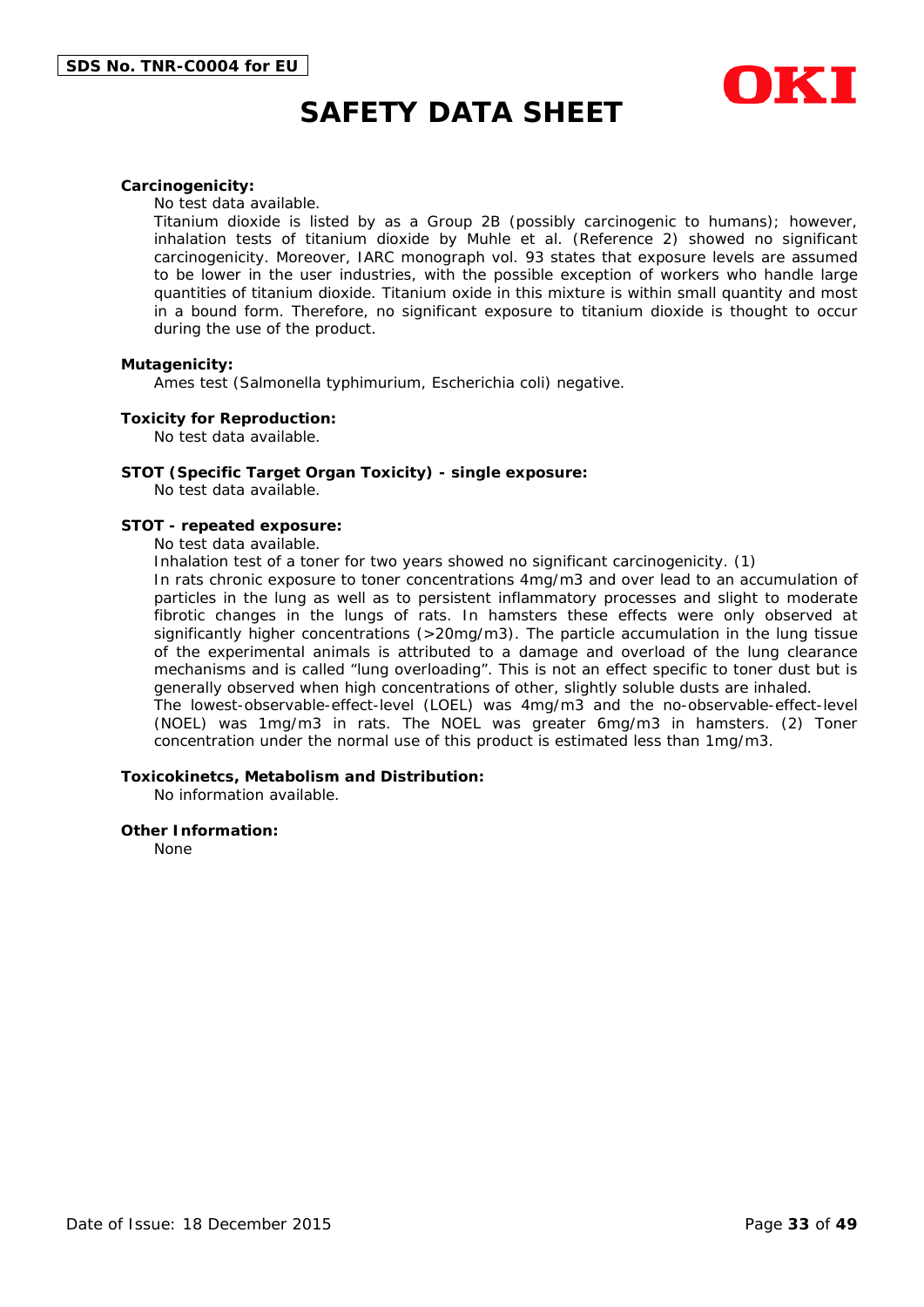

#### **Carcinogenicity:**

No test data available.

Titanium dioxide is listed by as a Group 2B (possibly carcinogenic to humans); however, inhalation tests of titanium dioxide by Muhle et al. (Reference 2) showed no significant carcinogenicity. Moreover, IARC monograph vol. 93 states that exposure levels are assumed to be lower in the user industries, with the possible exception of workers who handle large quantities of titanium dioxide. Titanium oxide in this mixture is within small quantity and most in a bound form. Therefore, no significant exposure to titanium dioxide is thought to occur during the use of the product.

#### **Mutagenicity:**

Ames test (Salmonella typhimurium, Escherichia coli) negative.

#### **Toxicity for Reproduction:**

No test data available.

#### **STOT (Specific Target Organ Toxicity) - single exposure:**

No test data available.

#### **STOT - repeated exposure:**

No test data available.

Inhalation test of a toner for two years showed no significant carcinogenicity. (1)

In rats chronic exposure to toner concentrations 4mg/m3 and over lead to an accumulation of particles in the lung as well as to persistent inflammatory processes and slight to moderate fibrotic changes in the lungs of rats. In hamsters these effects were only observed at significantly higher concentrations (>20mg/m3). The particle accumulation in the lung tissue of the experimental animals is attributed to a damage and overload of the lung clearance mechanisms and is called "lung overloading". This is not an effect specific to toner dust but is generally observed when high concentrations of other, slightly soluble dusts are inhaled. The lowest-observable-effect-level (LOEL) was 4mg/m3 and the no-observable-effect-level (NOEL) was 1mg/m3 in rats. The NOEL was greater 6mg/m3 in hamsters. (2) Toner

concentration under the normal use of this product is estimated less than 1mg/m3.

#### **Toxicokinetcs, Metabolism and Distribution:**

No information available.

#### **Other Information:**

None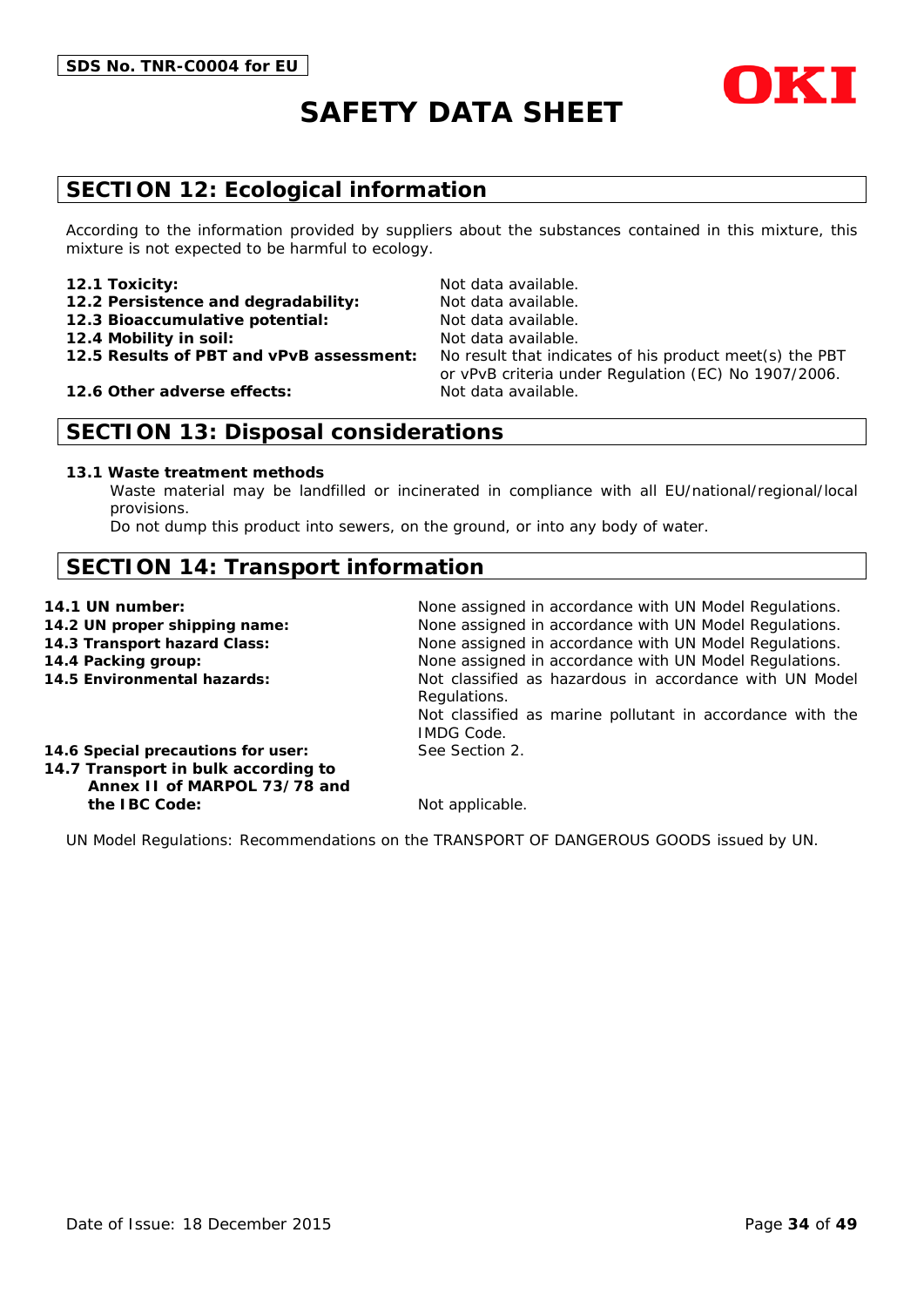

# **SECTION 12: Ecological information**

According to the information provided by suppliers about the substances contained in this mixture, this mixture is not expected to be harmful to ecology.

#### **12.1 Toxicity:** Not data available.

- 12.2 Persistence and degradability: Not data available.
- **12.3 Bioaccumulative potential:** Not data available.
- 
- 

**12.6 Other adverse effects:** Not data available.

**12.4 Mobility in soil:** Not data available. **12.5 Results of PBT and vPvB assessment:** No result that indicates of his product meet(s) the PBT or vPvB criteria under Regulation (EC) No 1907/2006.

# **SECTION 13: Disposal considerations**

#### **13.1 Waste treatment methods**

Waste material may be landfilled or incinerated in compliance with all EU/national/regional/local provisions.

Do not dump this product into sewers, on the ground, or into any body of water.

# **SECTION 14: Transport information**

- 
- 
- 
- 

**14.1 UN number:** None assigned in accordance with UN Model Regulations. **14.2 UN proper shipping name:** None assigned in accordance with UN Model Regulations. **14.3 Transport hazard Class:** None assigned in accordance with UN Model Regulations. **14.4 Packing group:** None assigned in accordance with UN Model Regulations. **14.5 Environmental hazards:** Not classified as hazardous in accordance with UN Model Regulations. Not classified as marine pollutant in accordance with the IMDG Code.

**14.6 Special precautions for user:** See Section 2.

**14.7 Transport in bulk according to Annex II of MARPOL 73/78 and the IBC Code:** Not applicable.

UN Model Regulations: Recommendations on the TRANSPORT OF DANGEROUS GOODS issued by UN.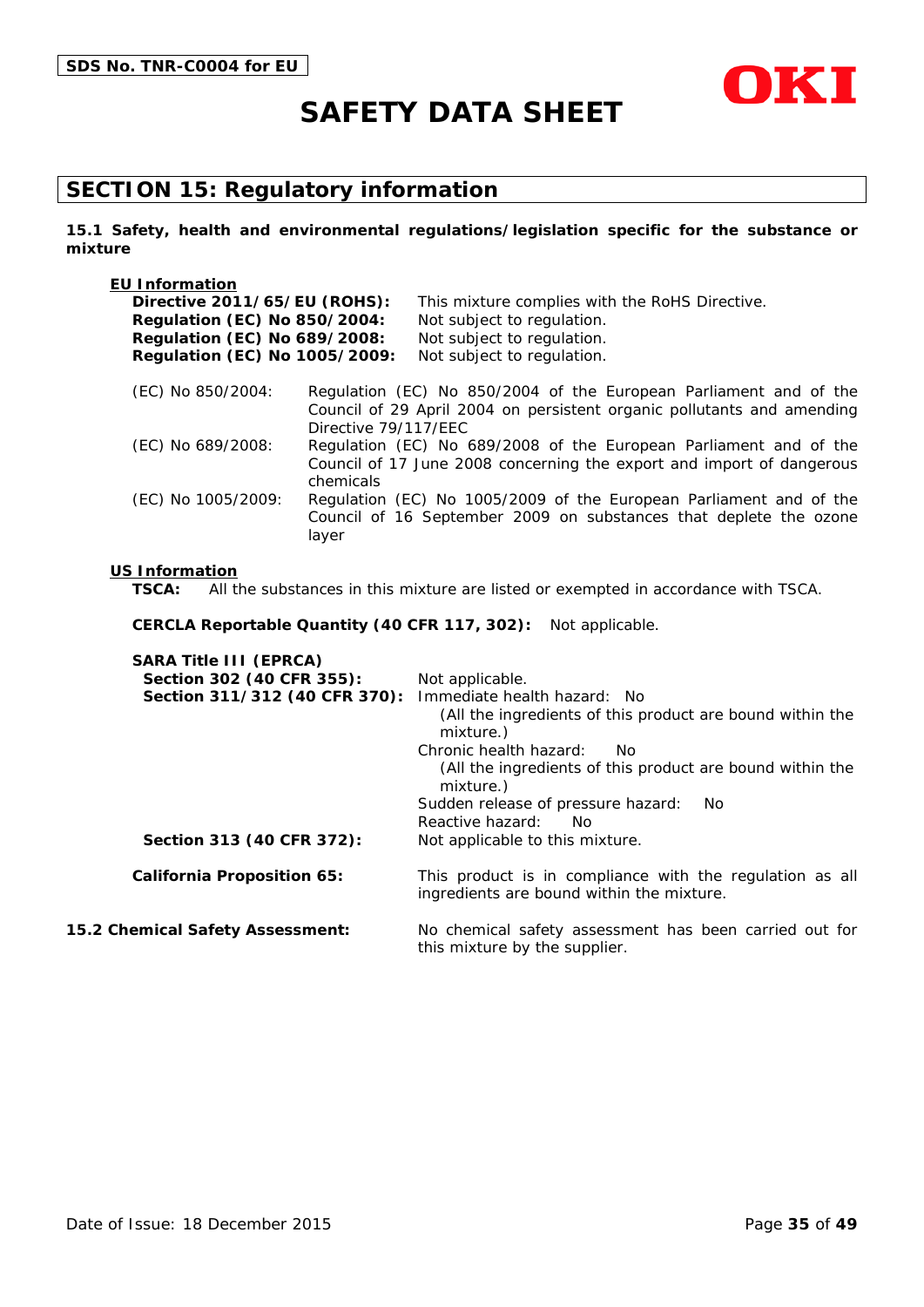

# **SECTION 15: Regulatory information**

**15.1 Safety, health and environmental regulations/legislation specific for the substance or mixture**

| <b>EU Information</b>               |                      |                                                                                                                                             |
|-------------------------------------|----------------------|---------------------------------------------------------------------------------------------------------------------------------------------|
| Directive 2011/65/EU (ROHS):        |                      | This mixture complies with the RoHS Directive.                                                                                              |
| <b>Regulation (EC) No 850/2004:</b> |                      | Not subject to regulation.                                                                                                                  |
| <b>Regulation (EC) No 689/2008:</b> |                      | Not subject to regulation.                                                                                                                  |
| Regulation (EC) No 1005/2009:       |                      | Not subject to regulation.                                                                                                                  |
| (EC) No 850/2004:                   | Directive 79/117/EEC | Regulation (EC) No 850/2004 of the European Parliament and of the<br>Council of 29 April 2004 on persistent organic pollutants and amending |
| (EC) No 689/2008:                   | chemicals            | Regulation (EC) No 689/2008 of the European Parliament and of the<br>Council of 17 June 2008 concerning the export and import of dangerous  |
| (EC) No 1005/2009:                  | layer                | Regulation (EC) No 1005/2009 of the European Parliament and of the<br>Council of 16 September 2009 on substances that deplete the ozone     |

#### **US Information**

**TSCA:** All the substances in this mixture are listed or exempted in accordance with TSCA.

**CERCLA Reportable Quantity (40 CFR 117, 302):** Not applicable.

| <b>SARA Title III (EPRCA)</b>     |                                                                                                       |
|-----------------------------------|-------------------------------------------------------------------------------------------------------|
| Section 302 (40 CFR 355):         | Not applicable.                                                                                       |
| Section 311/312 (40 CFR 370):     | Immediate health hazard: No                                                                           |
|                                   | (All the ingredients of this product are bound within the<br>mixture.)                                |
|                                   | Chronic health hazard:<br>No.                                                                         |
|                                   | (All the ingredients of this product are bound within the<br>mixture.)                                |
|                                   | Sudden release of pressure hazard:<br>No.                                                             |
|                                   | Reactive hazard:<br>No.                                                                               |
| Section 313 (40 CFR 372):         | Not applicable to this mixture.                                                                       |
| <b>California Proposition 65:</b> | This product is in compliance with the regulation as all<br>ingredients are bound within the mixture. |
| 15.2 Chemical Safety Assessment:  | No chemical safety assessment has been carried out for<br>this mixture by the supplier.               |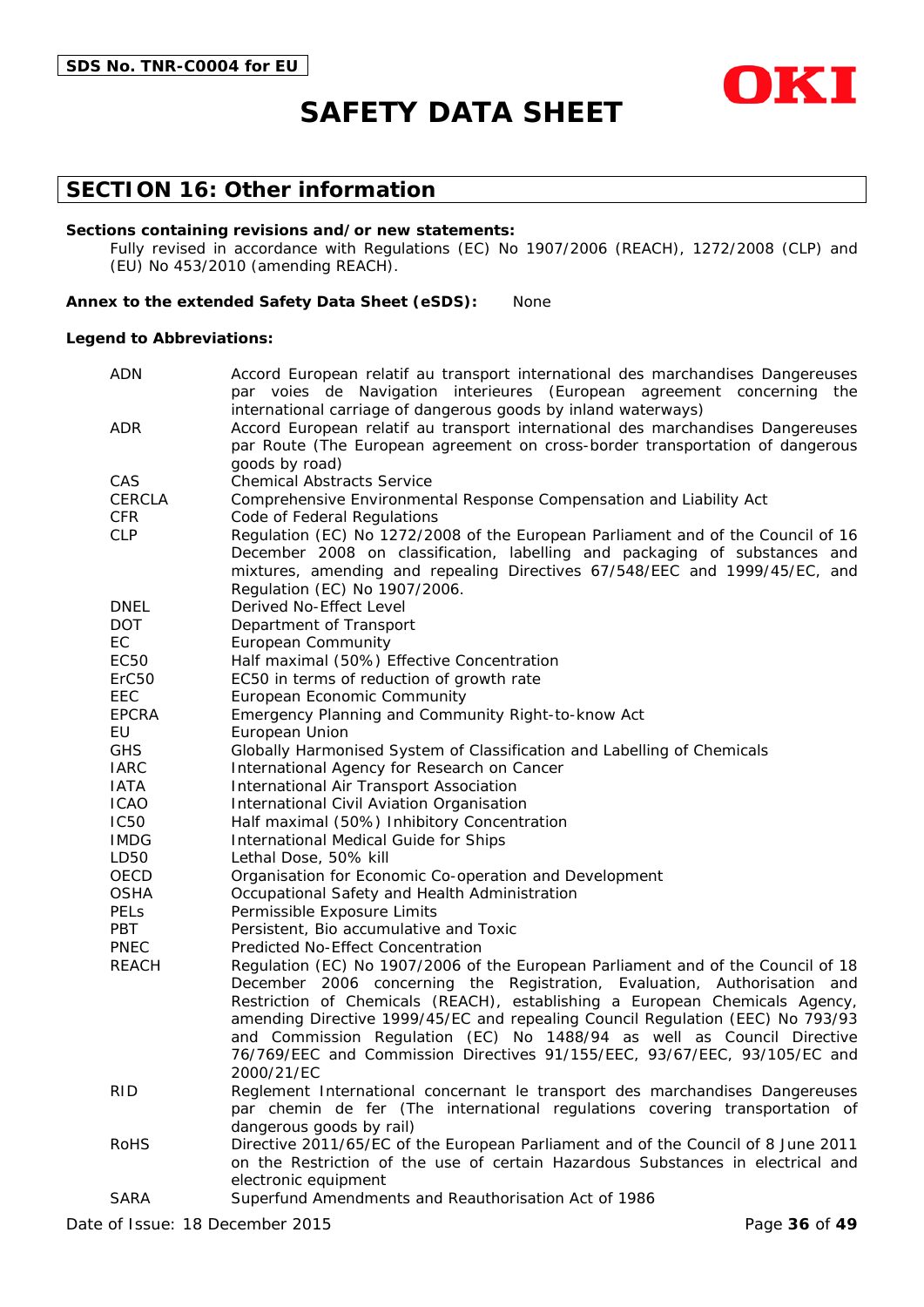

### **SECTION 16: Other information**

#### **Sections containing revisions and/or new statements:**

Fully revised in accordance with Regulations (EC) No 1907/2006 (REACH), 1272/2008 (CLP) and (EU) No 453/2010 (amending REACH).

#### **Annex to the extended Safety Data Sheet (eSDS):** None

#### **Legend to Abbreviations:**

| <b>ADN</b>        | Accord European relatif au transport international des marchandises Dangereuses                                                                             |  |  |  |  |  |
|-------------------|-------------------------------------------------------------------------------------------------------------------------------------------------------------|--|--|--|--|--|
|                   | par voies de Navigation interieures (European agreement concerning the                                                                                      |  |  |  |  |  |
|                   | international carriage of dangerous goods by inland waterways)                                                                                              |  |  |  |  |  |
| ADR               | Accord European relatif au transport international des marchandises Dangereuses                                                                             |  |  |  |  |  |
|                   | par Route (The European agreement on cross-border transportation of dangerous                                                                               |  |  |  |  |  |
| CAS               | goods by road)<br><b>Chemical Abstracts Service</b>                                                                                                         |  |  |  |  |  |
| <b>CERCLA</b>     |                                                                                                                                                             |  |  |  |  |  |
| <b>CFR</b>        | Comprehensive Environmental Response Compensation and Liability Act                                                                                         |  |  |  |  |  |
| <b>CLP</b>        | Code of Federal Regulations<br>Regulation (EC) No 1272/2008 of the European Parliament and of the Council of 16                                             |  |  |  |  |  |
|                   | December 2008 on classification, labelling and packaging of substances and                                                                                  |  |  |  |  |  |
|                   | mixtures, amending and repealing Directives 67/548/EEC and 1999/45/EC, and                                                                                  |  |  |  |  |  |
|                   | Regulation (EC) No 1907/2006.                                                                                                                               |  |  |  |  |  |
| <b>DNEL</b>       | Derived No-Effect Level                                                                                                                                     |  |  |  |  |  |
| <b>DOT</b>        | Department of Transport                                                                                                                                     |  |  |  |  |  |
| EC                | <b>European Community</b>                                                                                                                                   |  |  |  |  |  |
| EC50              | Half maximal (50%) Effective Concentration                                                                                                                  |  |  |  |  |  |
| ErC <sub>50</sub> | EC50 in terms of reduction of growth rate                                                                                                                   |  |  |  |  |  |
| EEC               | European Economic Community                                                                                                                                 |  |  |  |  |  |
| <b>EPCRA</b>      | Emergency Planning and Community Right-to-know Act                                                                                                          |  |  |  |  |  |
| EU                | European Union                                                                                                                                              |  |  |  |  |  |
| <b>GHS</b>        | Globally Harmonised System of Classification and Labelling of Chemicals                                                                                     |  |  |  |  |  |
| <b>IARC</b>       | International Agency for Research on Cancer                                                                                                                 |  |  |  |  |  |
| <b>IATA</b>       | International Air Transport Association                                                                                                                     |  |  |  |  |  |
| <b>ICAO</b>       | International Civil Aviation Organisation                                                                                                                   |  |  |  |  |  |
| <b>IC50</b>       | Half maximal (50%) Inhibitory Concentration                                                                                                                 |  |  |  |  |  |
| <b>IMDG</b>       | International Medical Guide for Ships                                                                                                                       |  |  |  |  |  |
| LD50              | Lethal Dose, 50% kill                                                                                                                                       |  |  |  |  |  |
| OECD              | Organisation for Economic Co-operation and Development                                                                                                      |  |  |  |  |  |
| <b>OSHA</b>       | Occupational Safety and Health Administration                                                                                                               |  |  |  |  |  |
| <b>PELS</b>       | Permissible Exposure Limits                                                                                                                                 |  |  |  |  |  |
| <b>PBT</b>        | Persistent, Bio accumulative and Toxic                                                                                                                      |  |  |  |  |  |
| <b>PNEC</b>       | Predicted No-Effect Concentration                                                                                                                           |  |  |  |  |  |
| <b>REACH</b>      | Regulation (EC) No 1907/2006 of the European Parliament and of the Council of 18                                                                            |  |  |  |  |  |
|                   | December 2006 concerning the Registration, Evaluation, Authorisation and                                                                                    |  |  |  |  |  |
|                   | Restriction of Chemicals (REACH), establishing a European Chemicals Agency,                                                                                 |  |  |  |  |  |
|                   | amending Directive 1999/45/EC and repealing Council Regulation (EEC) No 793/93                                                                              |  |  |  |  |  |
|                   | and Commission Regulation (EC) No 1488/94 as well as Council Directive                                                                                      |  |  |  |  |  |
|                   | 76/769/EEC and Commission Directives 91/155/EEC, 93/67/EEC, 93/105/EC and<br>2000/21/EC                                                                     |  |  |  |  |  |
|                   |                                                                                                                                                             |  |  |  |  |  |
| <b>RID</b>        | Reglement International concernant le transport des marchandises Dangereuses<br>par chemin de fer (The international regulations covering transportation of |  |  |  |  |  |
|                   | dangerous goods by rail)                                                                                                                                    |  |  |  |  |  |
| <b>RoHS</b>       | Directive 2011/65/EC of the European Parliament and of the Council of 8 June 2011                                                                           |  |  |  |  |  |
|                   | on the Restriction of the use of certain Hazardous Substances in electrical and                                                                             |  |  |  |  |  |
|                   | electronic equipment                                                                                                                                        |  |  |  |  |  |
| <b>SARA</b>       | Superfund Amendments and Reauthorisation Act of 1986                                                                                                        |  |  |  |  |  |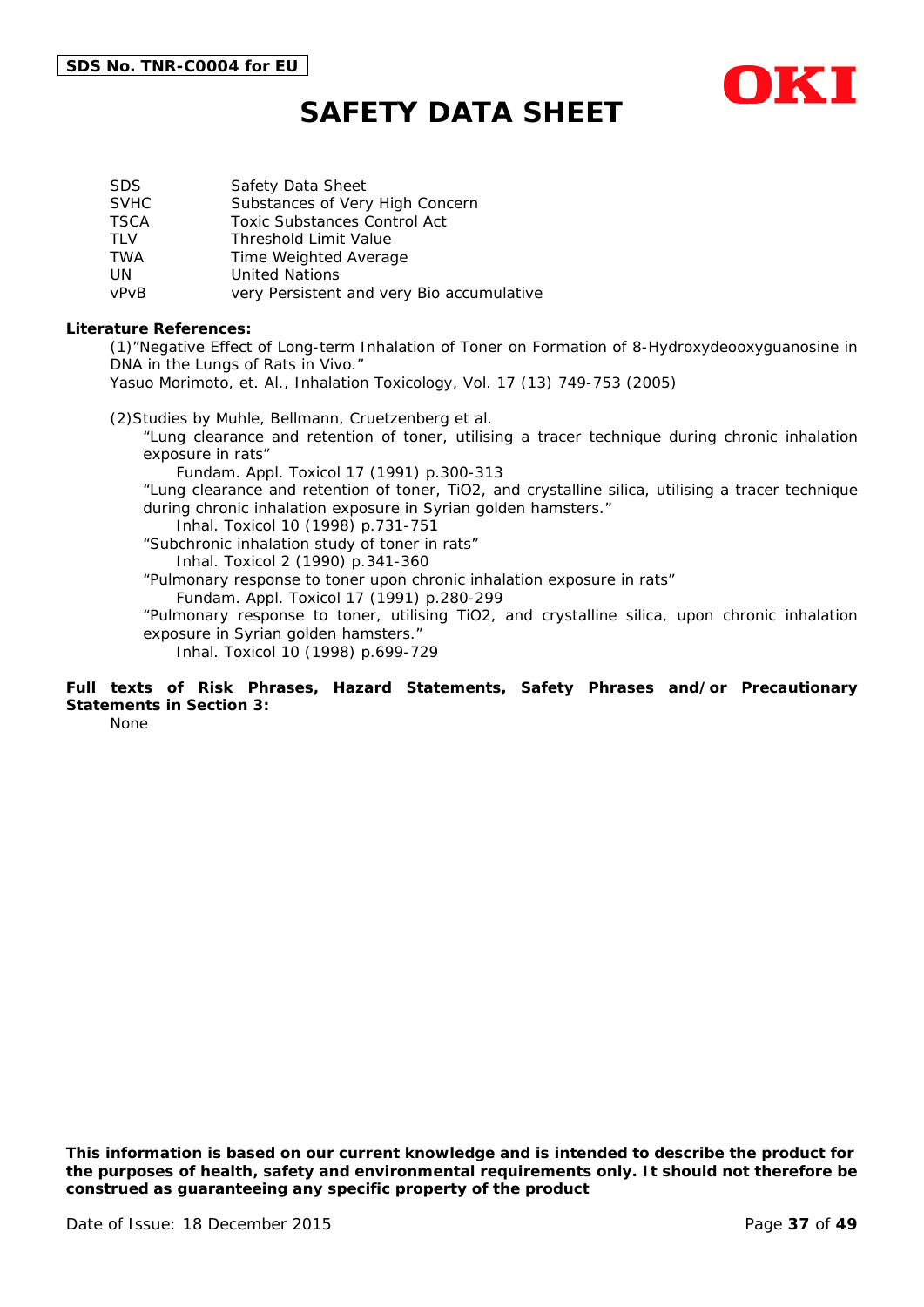

| SDS.        | Safety Data Sheet                         |
|-------------|-------------------------------------------|
| <b>SVHC</b> | Substances of Very High Concern           |
| <b>TSCA</b> | <b>Toxic Substances Control Act</b>       |
| TI V        | <b>Threshold Limit Value</b>              |
| TWA         | Time Weighted Average                     |
| UN          | <b>United Nations</b>                     |
| vPvB        | very Persistent and very Bio accumulative |

#### **Literature References:**

(1)"Negative Effect of Long-term Inhalation of Toner on Formation of 8-Hydroxydeooxyguanosine in DNA in the Lungs of Rats in Vivo."

Yasuo Morimoto, et. Al., Inhalation Toxicology, Vol. 17 (13) 749-753 (2005)

(2)Studies by Muhle, Bellmann, Cruetzenberg et al.

"Lung clearance and retention of toner, utilising a tracer technique during chronic inhalation exposure in rats"

Fundam. Appl. Toxicol 17 (1991) p.300-313

"Lung clearance and retention of toner, TiO2, and crystalline silica, utilising a tracer technique during chronic inhalation exposure in Syrian golden hamsters."

Inhal. Toxicol 10 (1998) p.731-751

"Subchronic inhalation study of toner in rats" Inhal. Toxicol 2 (1990) p.341-360

"Pulmonary response to toner upon chronic inhalation exposure in rats"

Fundam. Appl. Toxicol 17 (1991) p.280-299

"Pulmonary response to toner, utilising TiO2, and crystalline silica, upon chronic inhalation exposure in Syrian golden hamsters."

Inhal. Toxicol 10 (1998) p.699-729

### **Full texts of Risk Phrases, Hazard Statements, Safety Phrases and/or Precautionary Statements in Section 3:**

None

*This information is based on our current knowledge and is intended to describe the product for the purposes of health, safety and environmental requirements only. It should not therefore be construed as guaranteeing any specific property of the product*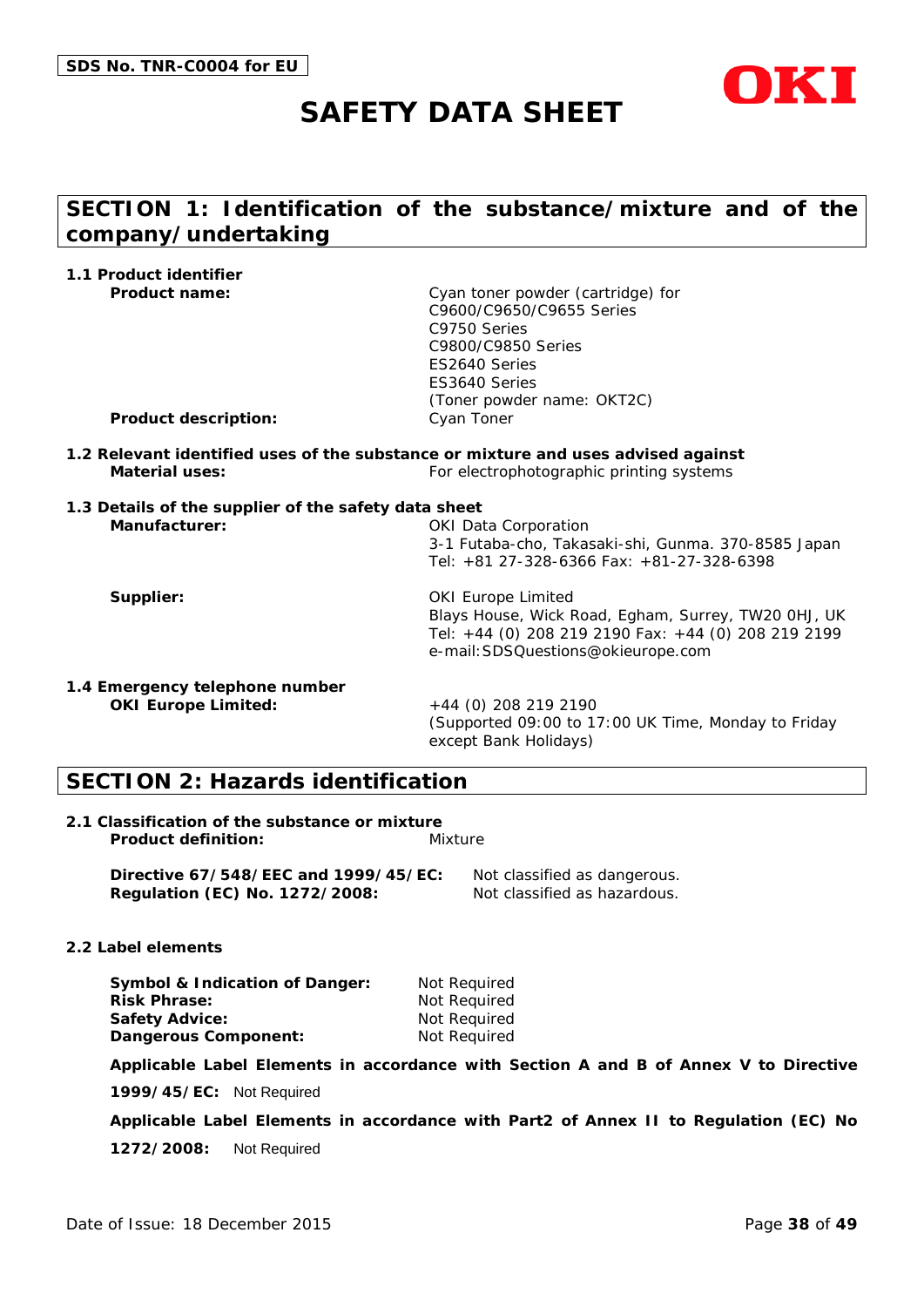

# **SECTION 1: Identification of the substance/mixture and of the company/undertaking**

| 1.1 Product identifier                                                |                                                                                                                                                                               |
|-----------------------------------------------------------------------|-------------------------------------------------------------------------------------------------------------------------------------------------------------------------------|
| <b>Product name:</b>                                                  | Cyan toner powder (cartridge) for<br>C9600/C9650/C9655 Series<br>C9750 Series<br>C9800/C9850 Series<br>ES2640 Series<br>ES3640 Series<br>(Toner powder name: OKT2C)           |
| <b>Product description:</b>                                           | Cyan Toner                                                                                                                                                                    |
| Material uses:                                                        | 1.2 Relevant identified uses of the substance or mixture and uses advised against<br>For electrophotographic printing systems                                                 |
| 1.3 Details of the supplier of the safety data sheet<br>Manufacturer: | <b>OKI Data Corporation</b><br>3-1 Futaba-cho, Takasaki-shi, Gunma. 370-8585 Japan<br>Tel: +81 27-328-6366 Fax: +81-27-328-6398                                               |
| Supplier:                                                             | <b>OKI Europe Limited</b><br>Blays House, Wick Road, Egham, Surrey, TW20 OHJ, UK<br>Tel: +44 (0) 208 219 2190 Fax: +44 (0) 208 219 2199<br>e-mail: SDSQuestions@okieurope.com |
| 1.4 Emergency telephone number<br><b>OKI Europe Limited:</b>          | +44 (0) 208 219 2190<br>(Supported 09:00 to 17:00 UK Time, Monday to Friday                                                                                                   |

# **SECTION 2: Hazards identification**

| 2.1 Classification of the substance or mixture |         |  |  |
|------------------------------------------------|---------|--|--|
| <b>Product definition:</b>                     | Mixture |  |  |

**Directive 67/548/EEC and 1999/45/EC:** Not classified as dangerous. **Regulation (EC) No. 1272/2008:** Not classified as hazardous.

#### **2.2 Label elements**

| <b>Symbol &amp; Indication of Danger:</b> | Not Required |
|-------------------------------------------|--------------|
| <b>Risk Phrase:</b>                       | Not Reguired |
| Safety Advice:                            | Not Reguired |
| Dangerous Component:                      | Not Required |

**Applicable Label Elements in accordance with Section A and B of Annex V to Directive** 

except Bank Holidays)

**1999/45/EC:** Not Required

**Applicable Label Elements in accordance with Part2 of Annex II to Regulation (EC) No** 

**1272/2008:** Not Required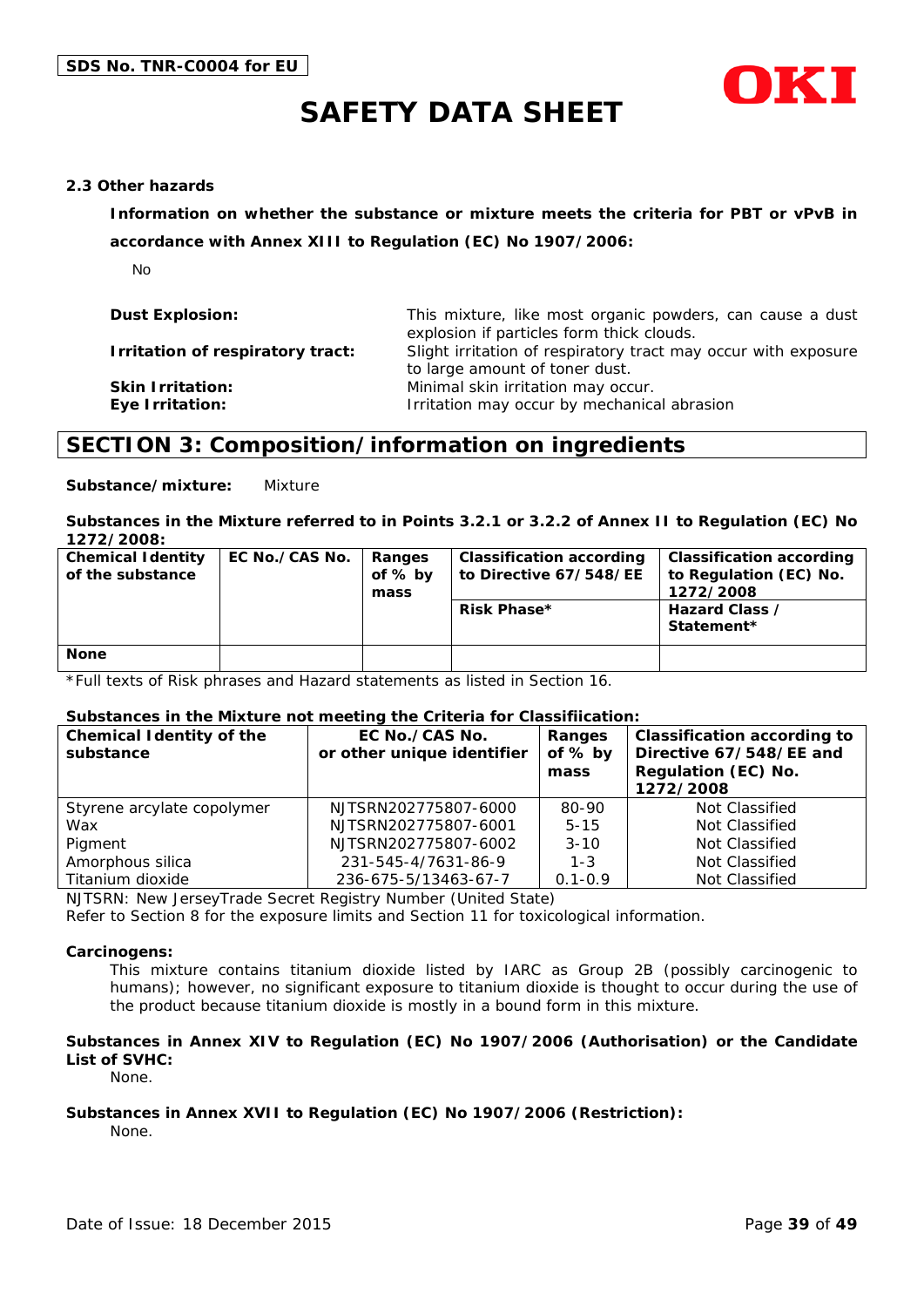



#### **2.3 Other hazards**

**Information on whether the substance or mixture meets the criteria for PBT or vPvB in** 

**accordance with Annex XIII to Regulation (EC) No 1907/2006:**

No

| <b>Dust Explosion:</b>                     | This mixture, like most organic powders, can cause a dust<br>explosion if particles form thick clouds. |
|--------------------------------------------|--------------------------------------------------------------------------------------------------------|
| Irritation of respiratory tract:           | Slight irritation of respiratory tract may occur with exposure<br>to large amount of toner dust.       |
| <b>Skin Irritation:</b><br>Eye Irritation: | Minimal skin irritation may occur.<br>Irritation may occur by mechanical abrasion                      |

### **SECTION 3: Composition/information on ingredients**

**Substance/mixture:** Mixture

**Substances in the Mixture referred to in Points 3.2.1 or 3.2.2 of Annex II to Regulation (EC) No 1272/2008:**

| <b>Chemical Identity</b><br>of the substance | EC No./CAS No. | Ranges<br>of % by<br>mass | <b>Classification according</b><br>to Directive 67/548/EE<br>Risk Phase* | <b>Classification according</b><br>to Regulation (EC) No.<br>1272/2008<br>Hazard Class /<br>Statement* |
|----------------------------------------------|----------------|---------------------------|--------------------------------------------------------------------------|--------------------------------------------------------------------------------------------------------|
| <b>None</b>                                  |                |                           |                                                                          |                                                                                                        |

\*Full texts of Risk phrases and Hazard statements as listed in Section 16.

#### **Substances in the Mixture not meeting the Criteria for Classifiication:**

| <b>Chemical Identity of the</b><br>substance | EC No./CAS No.<br>or other unique identifier | Ranges<br>of $%$ by<br>mass | <b>Classification according to</b><br>Directive 67/548/EE and<br>Regulation (EC) No.<br>1272/2008 |
|----------------------------------------------|----------------------------------------------|-----------------------------|---------------------------------------------------------------------------------------------------|
| Styrene arcylate copolymer                   | NJTSRN202775807-6000                         | 80-90                       | Not Classified                                                                                    |
| Wax                                          | NJTSRN202775807-6001                         | $5 - 15$                    | Not Classified                                                                                    |
| Pigment                                      | NJTSRN202775807-6002                         | $3 - 10$                    | Not Classified                                                                                    |
| Amorphous silica                             | 231-545-4/7631-86-9                          | $1 - 3$                     | Not Classified                                                                                    |
| Titanium dioxide                             | 236-675-5/13463-67-7                         | $0.1 - 0.9$                 | Not Classified                                                                                    |

NJTSRN: New JerseyTrade Secret Registry Number (United State)

Refer to Section 8 for the exposure limits and Section 11 for toxicological information.

#### **Carcinogens:**

This mixture contains titanium dioxide listed by IARC as Group 2B (possibly carcinogenic to humans); however, no significant exposure to titanium dioxide is thought to occur during the use of the product because titanium dioxide is mostly in a bound form in this mixture.

#### **Substances in Annex XIV to Regulation (EC) No 1907/2006 (Authorisation) or the Candidate List of SVHC:**

None.

#### **Substances in Annex XVII to Regulation (EC) No 1907/2006 (Restriction):**

None.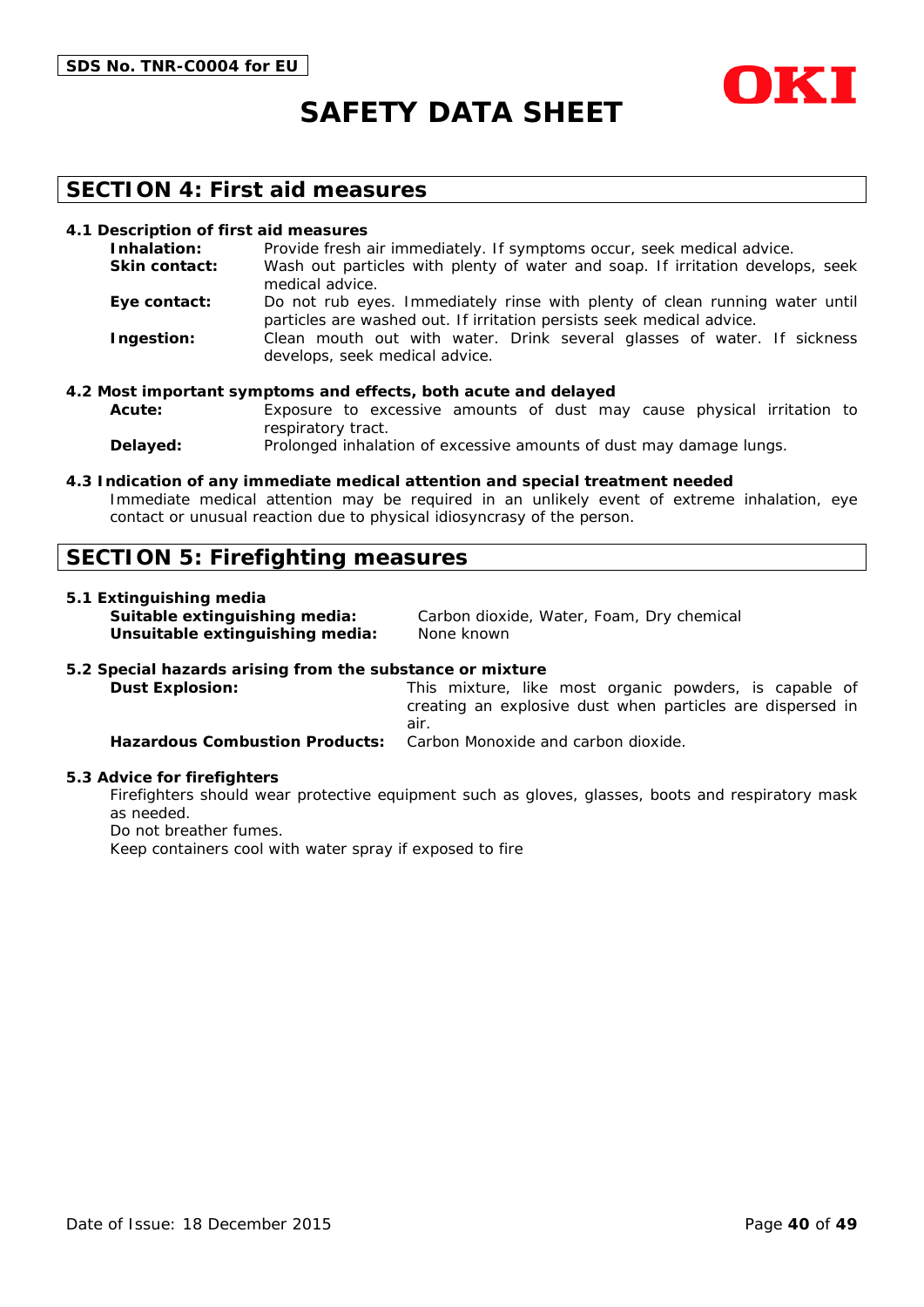



### **SECTION 4: First aid measures**

#### **4.1 Description of first aid measures**

| Inhalation:          | Provide fresh air immediately. If symptoms occur, seek medical advice.                                                                               |
|----------------------|------------------------------------------------------------------------------------------------------------------------------------------------------|
| <b>Skin contact:</b> | Wash out particles with plenty of water and soap. If irritation develops, seek<br>medical advice.                                                    |
| Eye contact:         | Do not rub eyes. Immediately rinse with plenty of clean running water until<br>particles are washed out. If irritation persists seek medical advice. |
| Ingestion:           | Clean mouth out with water. Drink several glasses of water. If sickness<br>develops, seek medical advice.                                            |

#### **4.2 Most important symptoms and effects, both acute and delayed**

**Acute:** Exposure to excessive amounts of dust may cause physical irritation to respiratory tract.

**Delayed:** Prolonged inhalation of excessive amounts of dust may damage lungs.

#### **4.3 Indication of any immediate medical attention and special treatment needed**

Immediate medical attention may be required in an unlikely event of extreme inhalation, eye contact or unusual reaction due to physical idiosyncrasy of the person.

### **SECTION 5: Firefighting measures**

#### **5.1 Extinguishing media**

**Unsuitable extinguishing media:** None known

**Suitable extinguishing media:** Carbon dioxide, Water, Foam, Dry chemical

#### **5.2 Special hazards arising from the substance or mixture**

**Dust Explosion:** This mixture, like most organic powders, is capable of creating an explosive dust when particles are dispersed in air. **Hazardous Combustion Products:** Carbon Monoxide and carbon dioxide.

#### **5.3 Advice for firefighters**

Firefighters should wear protective equipment such as gloves, glasses, boots and respiratory mask as needed.

Do not breather fumes.

Keep containers cool with water spray if exposed to fire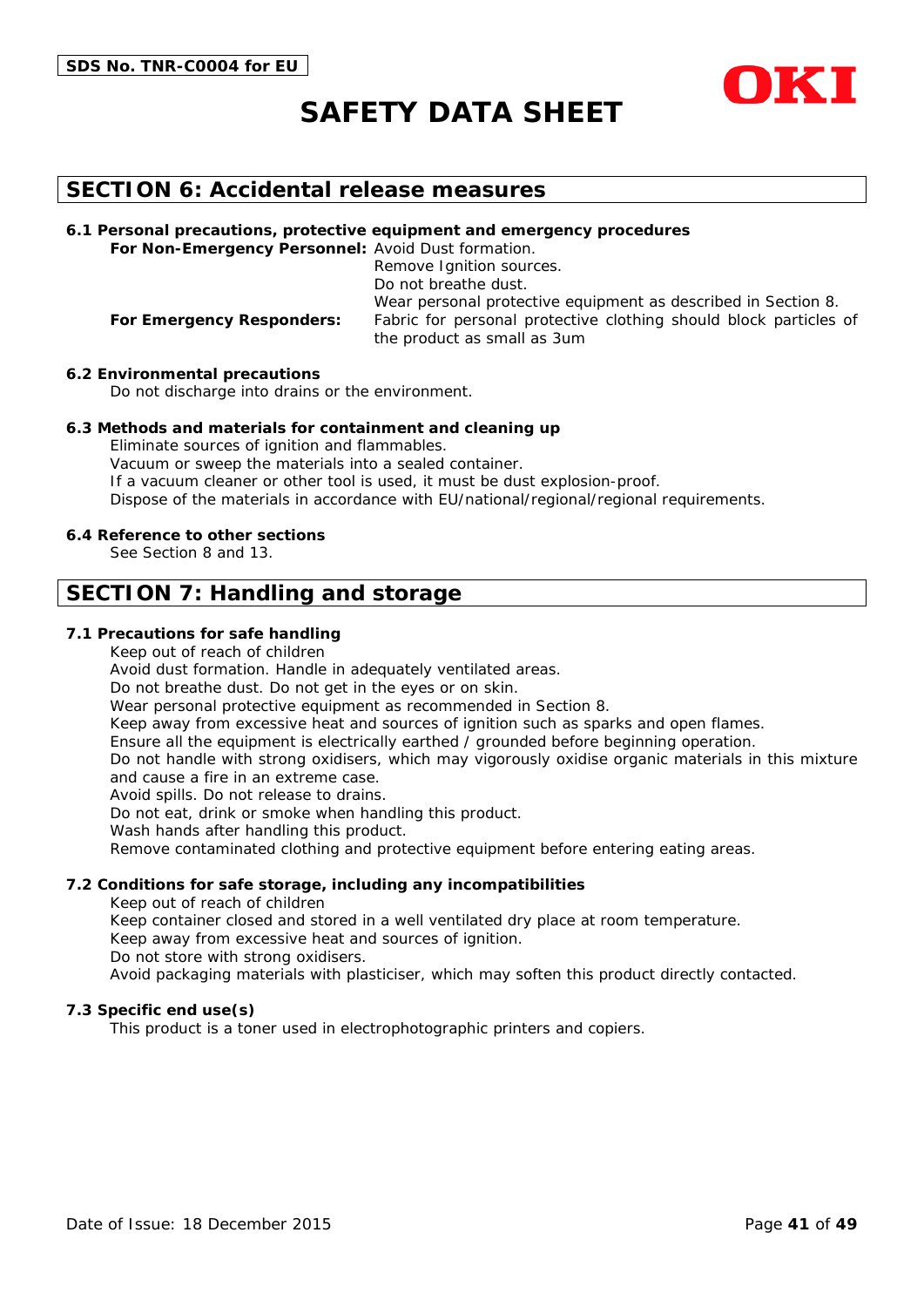

### **SECTION 6: Accidental release measures**

**6.1 Personal precautions, protective equipment and emergency procedures For Non-Emergency Personnel:** Avoid Dust formation.

Remove Ignition sources. Do not breathe dust. Wear personal protective equipment as described in Section 8. **For Emergency Responders:** Fabric for personal protective clothing should block particles of the product as small as 3um

**6.2 Environmental precautions**

Do not discharge into drains or the environment.

#### **6.3 Methods and materials for containment and cleaning up**

Eliminate sources of ignition and flammables. Vacuum or sweep the materials into a sealed container. If a vacuum cleaner or other tool is used, it must be dust explosion-proof. Dispose of the materials in accordance with EU/national/regional/regional requirements.

#### **6.4 Reference to other sections**

See Section 8 and 13.

### **SECTION 7: Handling and storage**

#### **7.1 Precautions for safe handling**

Keep out of reach of children

Avoid dust formation. Handle in adequately ventilated areas.

Do not breathe dust. Do not get in the eyes or on skin.

Wear personal protective equipment as recommended in Section 8.

Keep away from excessive heat and sources of ignition such as sparks and open flames.

Ensure all the equipment is electrically earthed / grounded before beginning operation.

Do not handle with strong oxidisers, which may vigorously oxidise organic materials in this mixture and cause a fire in an extreme case.

Avoid spills. Do not release to drains.

Do not eat, drink or smoke when handling this product.

Wash hands after handling this product.

Remove contaminated clothing and protective equipment before entering eating areas.

#### **7.2 Conditions for safe storage, including any incompatibilities**

Keep out of reach of children

Keep container closed and stored in a well ventilated dry place at room temperature.

Keep away from excessive heat and sources of ignition.

Do not store with strong oxidisers.

Avoid packaging materials with plasticiser, which may soften this product directly contacted.

#### **7.3 Specific end use(s)**

This product is a toner used in electrophotographic printers and copiers.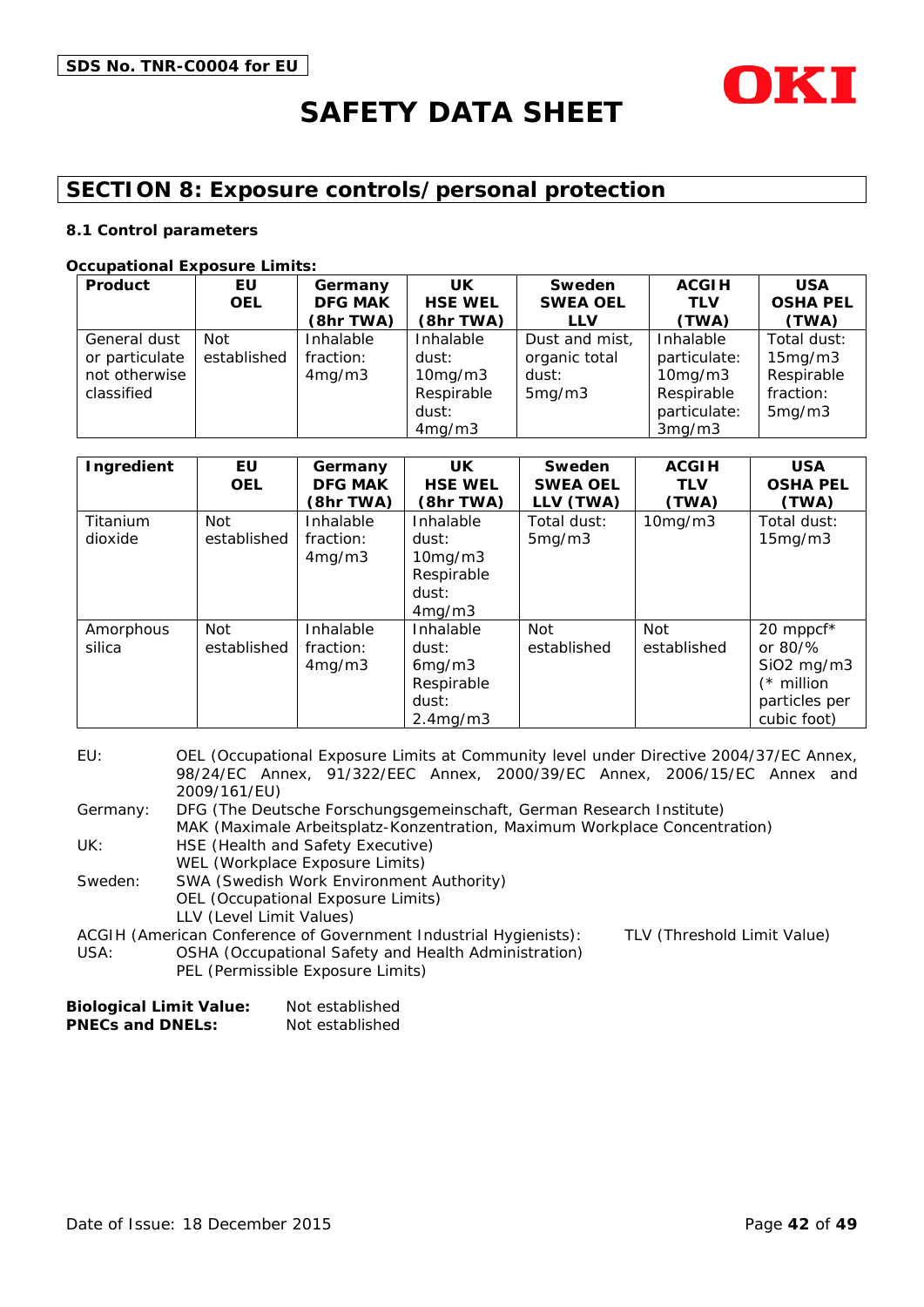

# **SECTION 8: Exposure controls/personal protection**

#### **8.1 Control parameters**

#### **Occupational Exposure Limits:**

| Product        | EU          | Germany        | UK             | Sweden          | <b>ACGIH</b>  | <b>USA</b>      |
|----------------|-------------|----------------|----------------|-----------------|---------------|-----------------|
|                | <b>OEL</b>  | <b>DFG MAK</b> | <b>HSE WEL</b> | <b>SWEA OEL</b> | <b>TLV</b>    | <b>OSHA PEL</b> |
|                |             | (8hr TWA)      | (8hr TWA)      | <b>LLV</b>      | (TWA)         | (TWA)           |
| General dust   | Not         | Inhalable      | Inhalable      | Dust and mist,  | Inhalable     | Total dust:     |
| or particulate | established | fraction:      | dust:          | organic total   | particulate:  | 15mg/m3         |
| not otherwise  |             | 4mg/m3         | 10mg/m3        | dust:           | $10$ mg/m $3$ | Respirable      |
| classified     |             |                | Respirable     | 5mg/m3          | Respirable    | fraction:       |
|                |             |                | dust:          |                 | particulate:  | 5mg/m3          |
|                |             |                | 4mg/m3         |                 | 3mg/m3        |                 |

| Ingredient          | EU<br><b>OEL</b>          | Germany<br><b>DFG MAK</b><br>(8hr TWA) | UK.<br><b>HSE WEL</b><br>(8hr TWA)                                           | Sweden<br><b>SWEA OEL</b><br>LLV (TWA) | <b>ACGIH</b><br><b>TLV</b><br>(TWA) | <b>USA</b><br><b>OSHA PEL</b><br>(TWA)                                                             |
|---------------------|---------------------------|----------------------------------------|------------------------------------------------------------------------------|----------------------------------------|-------------------------------------|----------------------------------------------------------------------------------------------------|
| Titanium<br>dioxide | <b>Not</b><br>established | Inhalable<br>fraction:<br>4mg/m3       | Inhalable<br>dust:<br>$10$ mg/m $3$<br>Respirable<br>dust:<br>4mg/m3         | Total dust:<br>5mg/m3                  | 10mg/m3                             | Total dust:<br>15mg/m3                                                                             |
| Amorphous<br>silica | Not<br>established        | Inhalable<br>fraction:<br>4mg/m3       | Inhalable<br>dust:<br>6mg/m3<br>Respirable<br>dust:<br>2.4 <sub>mq</sub> /m3 | Not<br>established                     | <b>Not</b><br>established           | 20 mppcf*<br>or $80\frac{9}{6}$<br>$SiO2$ mg/m $3$<br>$(*$ million<br>particles per<br>cubic foot) |

| EU:      | OEL (Occupational Exposure Limits at Community level under Directive 2004/37/EC Annex, |                             |  |
|----------|----------------------------------------------------------------------------------------|-----------------------------|--|
|          | 98/24/EC Annex, 91/322/EEC Annex, 2000/39/EC Annex, 2006/15/EC Annex and               |                             |  |
|          | 2009/161/EU)                                                                           |                             |  |
| Germany: | DFG (The Deutsche Forschungsgemeinschaft, German Research Institute)                   |                             |  |
|          | MAK (Maximale Arbeitsplatz-Konzentration, Maximum Workplace Concentration)             |                             |  |
| UK:      | HSE (Health and Safety Executive)                                                      |                             |  |
|          | WEL (Workplace Exposure Limits)                                                        |                             |  |
| Sweden:  | SWA (Swedish Work Environment Authority)                                               |                             |  |
|          | OEL (Occupational Exposure Limits)                                                     |                             |  |
|          | LLV (Level Limit Values)                                                               |                             |  |
|          | ACGIH (American Conference of Government Industrial Hygienists):                       | TLV (Threshold Limit Value) |  |
| USA:     | OSHA (Occupational Safety and Health Administration)                                   |                             |  |
|          | PEL (Permissible Exposure Limits)                                                      |                             |  |

| <b>Biological Limit Value:</b> | Not established |
|--------------------------------|-----------------|
| <b>PNECs and DNELs:</b>        | Not established |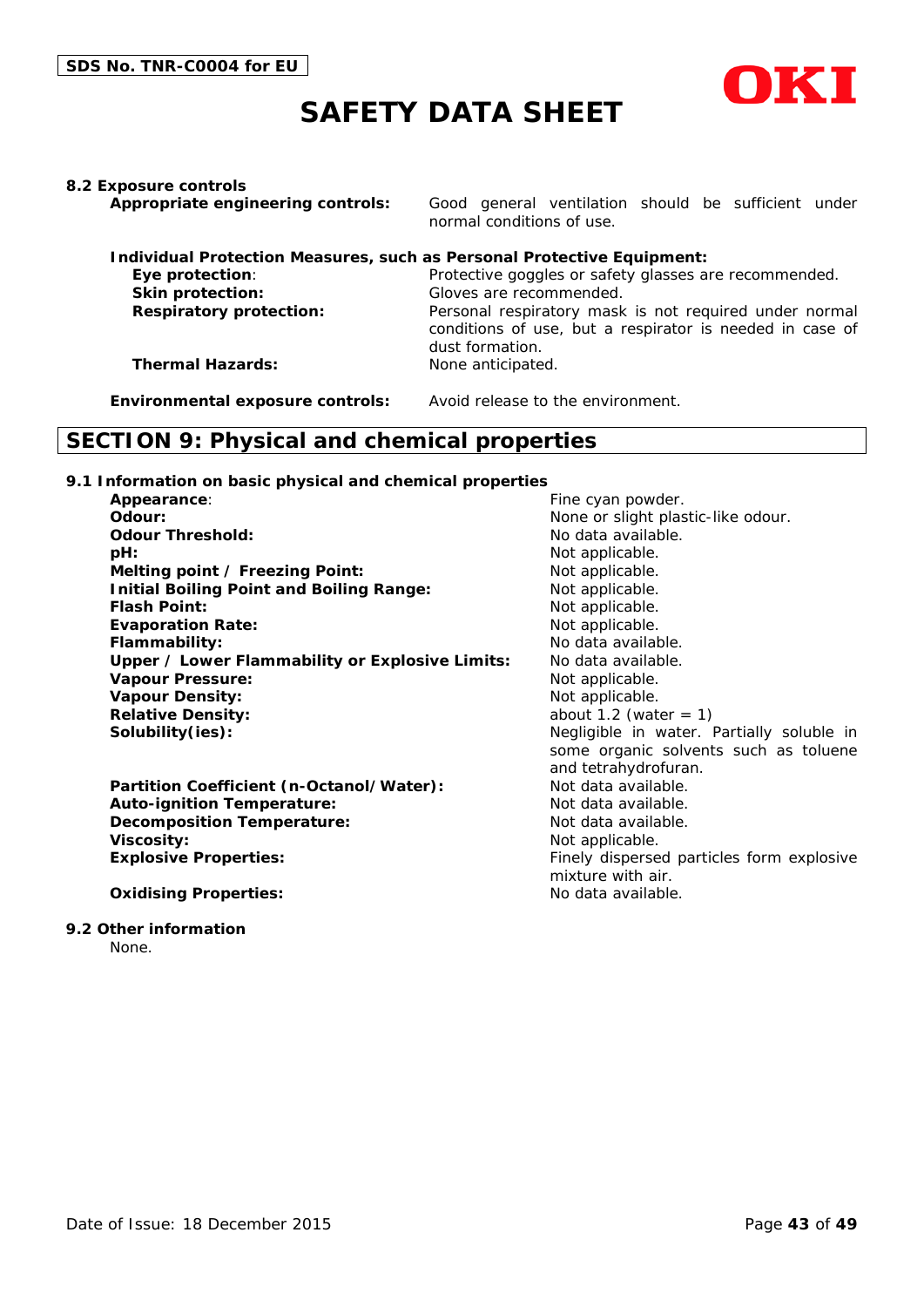

**8.2 Exposure controls**

**Appropriate engineering controls:** Good general ventilation should be sufficient under normal conditions of use.

|                                | Individual Protection Measures, such as Personal Protective Equipment:                                                                |
|--------------------------------|---------------------------------------------------------------------------------------------------------------------------------------|
| Eye protection:                | Protective goggles or safety glasses are recommended.                                                                                 |
| <b>Skin protection:</b>        | Gloves are recommended.                                                                                                               |
| <b>Respiratory protection:</b> | Personal respiratory mask is not required under normal<br>conditions of use, but a respirator is needed in case of<br>dust formation. |
| <b>Thermal Hazards:</b>        | None anticipated.                                                                                                                     |

**Environmental exposure controls:** Avoid release to the environment.

# **SECTION 9: Physical and chemical properties**

#### **9.1 Information on basic physical and chemical properties**

| Appearance:                                     | Fine cyan powder.                         |
|-------------------------------------------------|-------------------------------------------|
| Odour:                                          | None or slight plastic-like odour.        |
| <b>Odour Threshold:</b>                         | No data available.                        |
| pH:                                             | Not applicable.                           |
| Melting point / Freezing Point:                 | Not applicable.                           |
| <b>Initial Boiling Point and Boiling Range:</b> | Not applicable.                           |
| <b>Flash Point:</b>                             | Not applicable.                           |
| <b>Evaporation Rate:</b>                        | Not applicable.                           |
| Flammability:                                   | No data available.                        |
| Upper / Lower Flammability or Explosive Limits: | No data available.                        |
| <b>Vapour Pressure:</b>                         | Not applicable.                           |
| <b>Vapour Density:</b>                          | Not applicable.                           |
| <b>Relative Density:</b>                        | about 1.2 (water $= 1$ )                  |
| Solubility(ies):                                | Negligible in water. Partially soluble in |
|                                                 | some organic solvents such as toluene     |
|                                                 | and tetrahydrofuran.                      |
| Partition Coefficient (n-Octanol/Water):        | Not data available.                       |
| <b>Auto-ignition Temperature:</b>               | Not data available.                       |
| <b>Decomposition Temperature:</b>               | Not data available.                       |
| <b>Viscosity:</b>                               | Not applicable.                           |
| <b>Explosive Properties:</b>                    | Finely dispersed particles form explosive |
|                                                 | mixture with air.                         |
| <b>Oxidising Properties:</b>                    | No data available.                        |

#### **9.2 Other information**

None.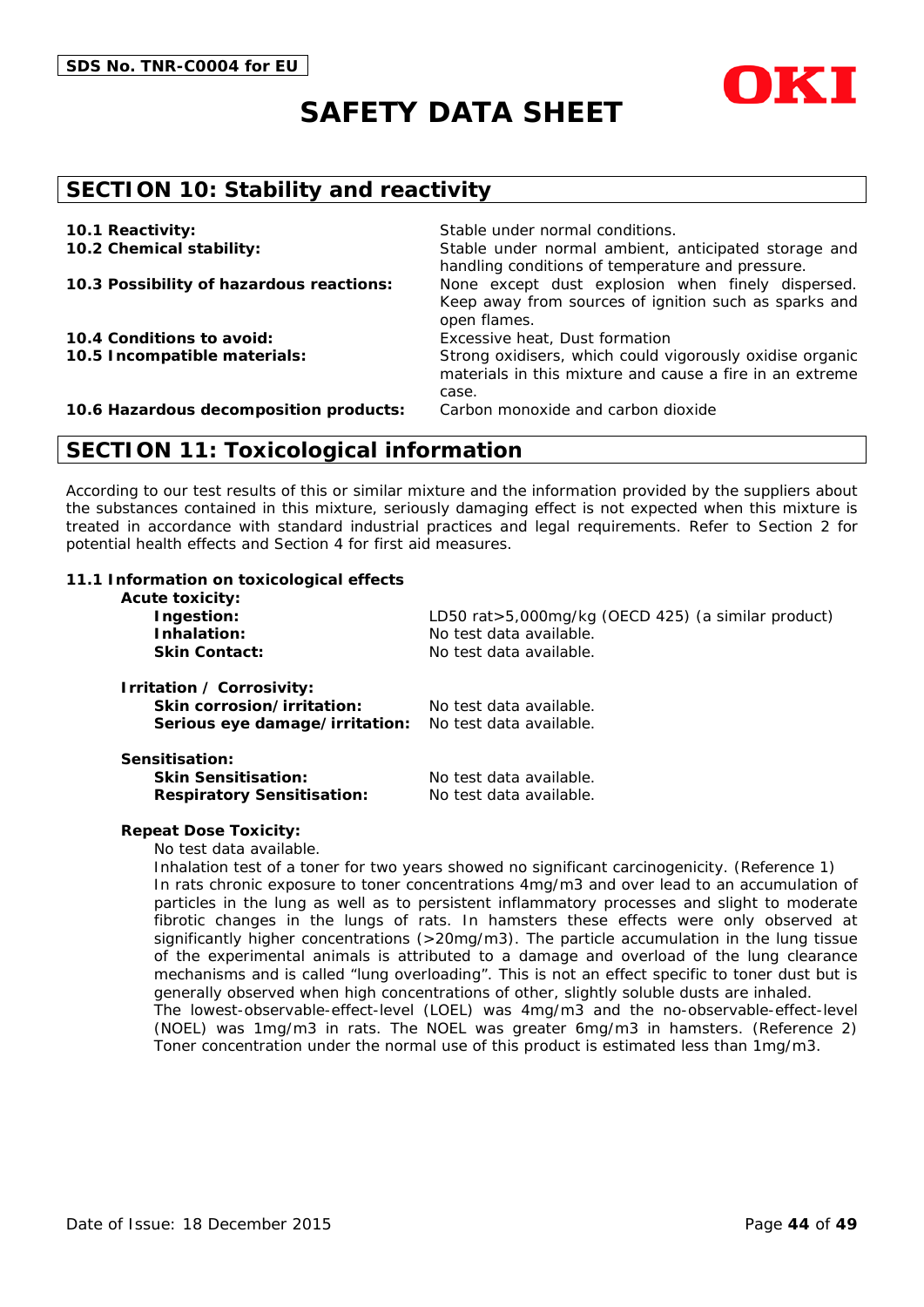



### **SECTION 10: Stability and reactivity**

| 10.1 Reactivity:<br>10.2 Chemical stability: | Stable under normal conditions.<br>Stable under normal ambient, anticipated storage and                                       |
|----------------------------------------------|-------------------------------------------------------------------------------------------------------------------------------|
| 10.3 Possibility of hazardous reactions:     | handling conditions of temperature and pressure.<br>None except dust explosion when finely dispersed.                         |
|                                              | Keep away from sources of ignition such as sparks and<br>open flames.                                                         |
| 10.4 Conditions to avoid:                    | Excessive heat, Dust formation                                                                                                |
| 10.5 Incompatible materials:                 | Strong oxidisers, which could vigorously oxidise organic<br>materials in this mixture and cause a fire in an extreme<br>case. |
| 10.6 Hazardous decomposition products:       | Carbon monoxide and carbon dioxide                                                                                            |

### **SECTION 11: Toxicological information**

According to our test results of this or similar mixture and the information provided by the suppliers about the substances contained in this mixture, seriously damaging effect is not expected when this mixture is treated in accordance with standard industrial practices and legal requirements. Refer to Section 2 for potential health effects and Section 4 for first aid measures.

#### **11.1 Information on toxicological effects**

| <b>Acute toxicity:</b><br>Ingestion:<br>Inhalation:<br><b>Skin Contact:</b>               | LD50 rat>5,000mg/kg (OECD 425) (a similar product)<br>No test data available.<br>No test data available. |
|-------------------------------------------------------------------------------------------|----------------------------------------------------------------------------------------------------------|
| Irritation / Corrosivity:<br>Skin corrosion/irritation:<br>Serious eye damage/irritation: | No test data available.<br>No test data available.                                                       |
| Sensitisation:<br><b>Skin Sensitisation:</b><br><b>Respiratory Sensitisation:</b>         | No test data available.<br>No test data available.                                                       |

#### **Repeat Dose Toxicity:**

No test data available.

Inhalation test of a toner for two years showed no significant carcinogenicity. (Reference 1) In rats chronic exposure to toner concentrations 4mg/m3 and over lead to an accumulation of particles in the lung as well as to persistent inflammatory processes and slight to moderate fibrotic changes in the lungs of rats. In hamsters these effects were only observed at significantly higher concentrations (>20mg/m3). The particle accumulation in the lung tissue of the experimental animals is attributed to a damage and overload of the lung clearance mechanisms and is called "lung overloading". This is not an effect specific to toner dust but is generally observed when high concentrations of other, slightly soluble dusts are inhaled. The lowest-observable-effect-level (LOEL) was 4mg/m3 and the no-observable-effect-level (NOEL) was 1mg/m3 in rats. The NOEL was greater 6mg/m3 in hamsters. (Reference 2) Toner concentration under the normal use of this product is estimated less than 1mg/m3.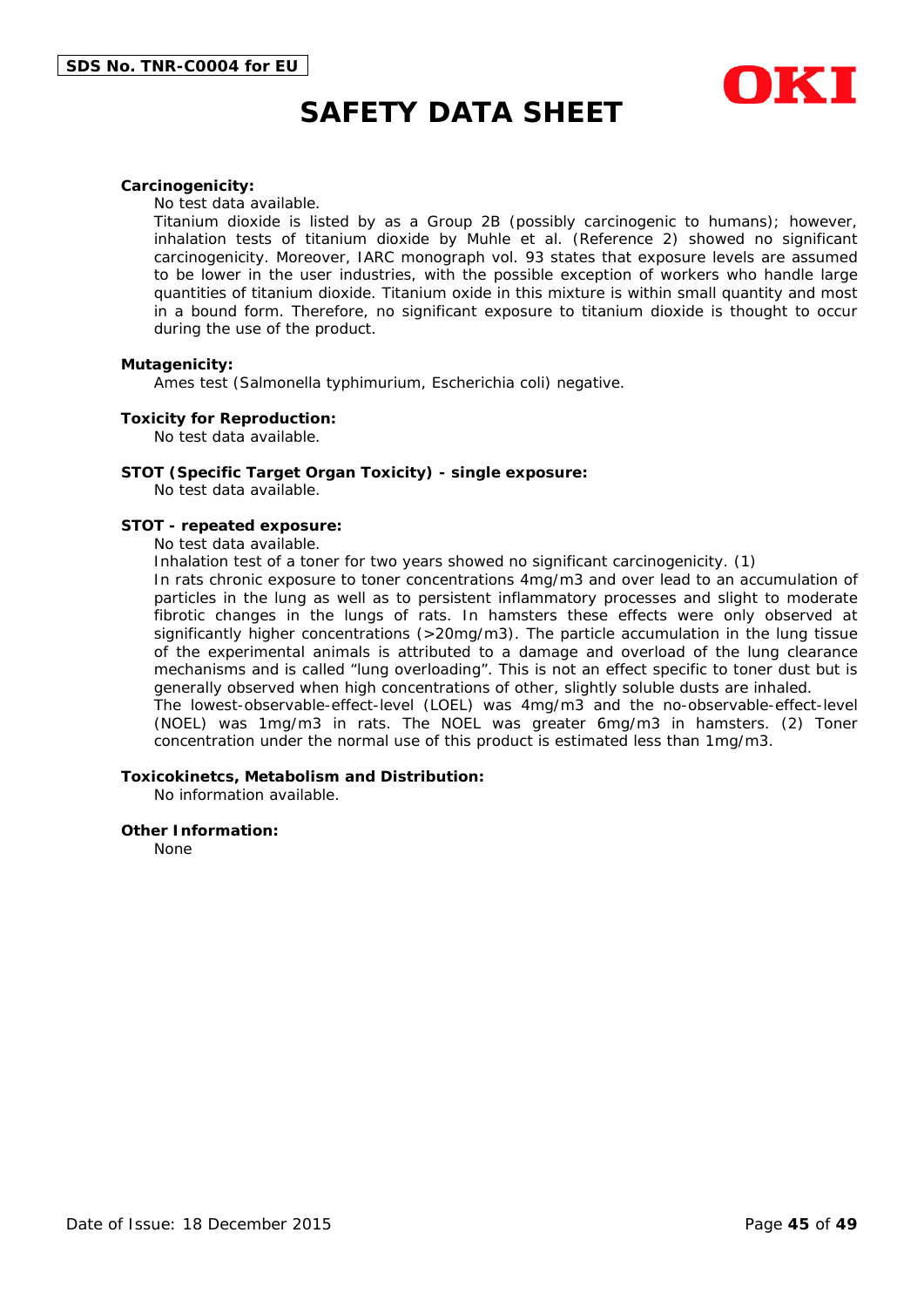

#### **Carcinogenicity:**

No test data available.

Titanium dioxide is listed by as a Group 2B (possibly carcinogenic to humans); however, inhalation tests of titanium dioxide by Muhle et al. (Reference 2) showed no significant carcinogenicity. Moreover, IARC monograph vol. 93 states that exposure levels are assumed to be lower in the user industries, with the possible exception of workers who handle large quantities of titanium dioxide. Titanium oxide in this mixture is within small quantity and most in a bound form. Therefore, no significant exposure to titanium dioxide is thought to occur during the use of the product.

#### **Mutagenicity:**

Ames test (Salmonella typhimurium, Escherichia coli) negative.

#### **Toxicity for Reproduction:**

No test data available.

#### **STOT (Specific Target Organ Toxicity) - single exposure:**

No test data available.

#### **STOT - repeated exposure:**

No test data available.

Inhalation test of a toner for two years showed no significant carcinogenicity. (1)

In rats chronic exposure to toner concentrations 4mg/m3 and over lead to an accumulation of particles in the lung as well as to persistent inflammatory processes and slight to moderate fibrotic changes in the lungs of rats. In hamsters these effects were only observed at significantly higher concentrations (>20mg/m3). The particle accumulation in the lung tissue of the experimental animals is attributed to a damage and overload of the lung clearance mechanisms and is called "lung overloading". This is not an effect specific to toner dust but is generally observed when high concentrations of other, slightly soluble dusts are inhaled. The lowest-observable-effect-level (LOEL) was 4mg/m3 and the no-observable-effect-level (NOEL) was 1mg/m3 in rats. The NOEL was greater 6mg/m3 in hamsters. (2) Toner

concentration under the normal use of this product is estimated less than 1mg/m3.

#### **Toxicokinetcs, Metabolism and Distribution:**

No information available.

#### **Other Information:**

None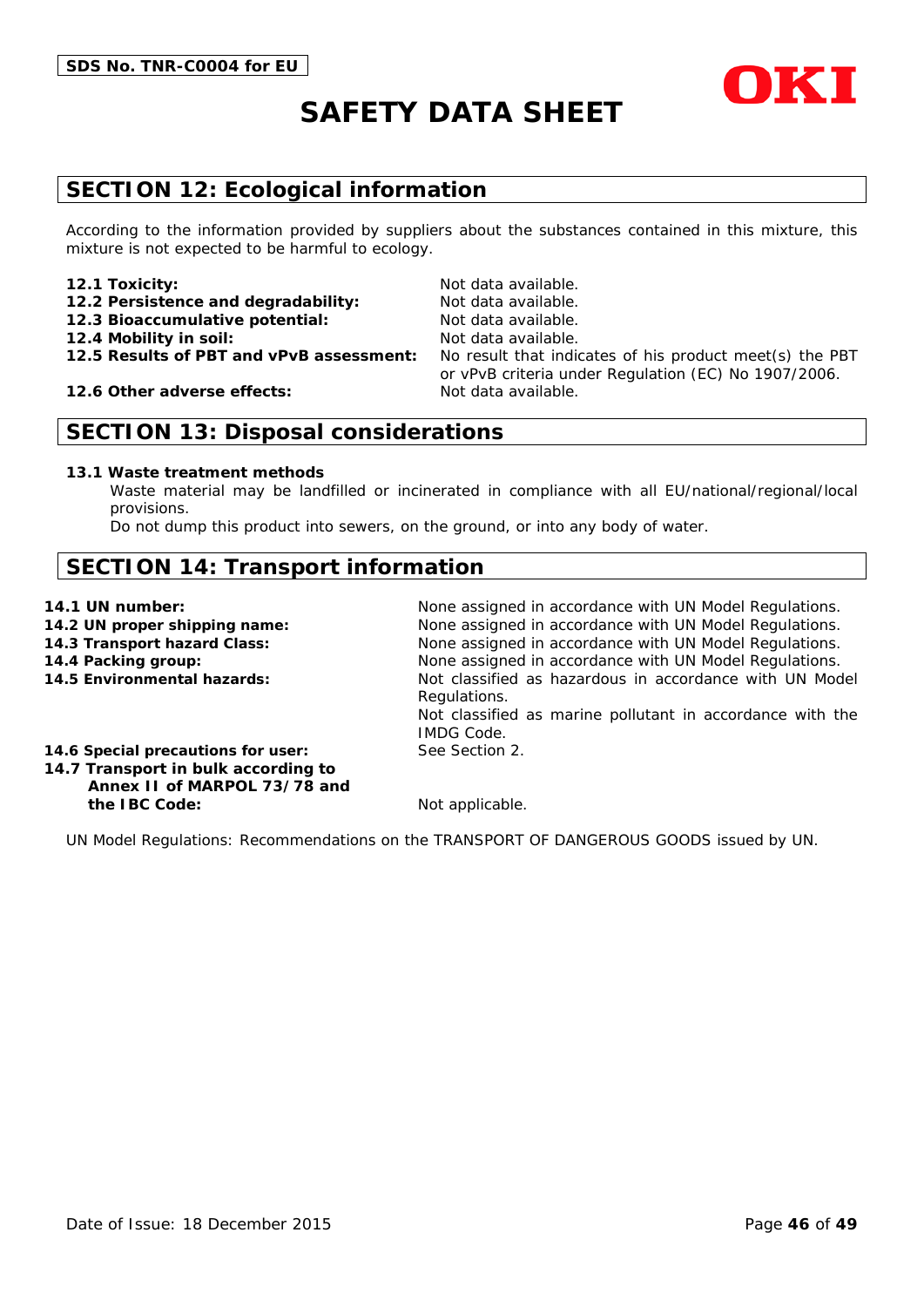

# **SECTION 12: Ecological information**

According to the information provided by suppliers about the substances contained in this mixture, this mixture is not expected to be harmful to ecology.

#### **12.1 Toxicity:** Not data available.

- 12.2 Persistence and degradability: Not data available.
- **12.3 Bioaccumulative potential:** Not data available.
- 
- 
- 

**12.6 Other adverse effects:** Not data available.

**12.4 Mobility in soil:** Not data available. **12.5 Results of PBT and vPvB assessment:** No result that indicates of his product meet(s) the PBT or vPvB criteria under Regulation (EC) No 1907/2006.

# **SECTION 13: Disposal considerations**

#### **13.1 Waste treatment methods**

Waste material may be landfilled or incinerated in compliance with all EU/national/regional/local provisions.

Do not dump this product into sewers, on the ground, or into any body of water.

# **SECTION 14: Transport information**

- 
- 
- 
- 

**14.1 UN number:** None assigned in accordance with UN Model Regulations. **14.2 UN proper shipping name:** None assigned in accordance with UN Model Regulations. **14.3 Transport hazard Class:** None assigned in accordance with UN Model Regulations. **14.4 Packing group:** None assigned in accordance with UN Model Regulations. **14.5 Environmental hazards:** Not classified as hazardous in accordance with UN Model Regulations. Not classified as marine pollutant in accordance with the IMDG Code.

**14.6 Special precautions for user:** See Section 2.

**14.7 Transport in bulk according to Annex II of MARPOL 73/78 and the IBC Code:** Not applicable.

UN Model Regulations: Recommendations on the TRANSPORT OF DANGEROUS GOODS issued by UN.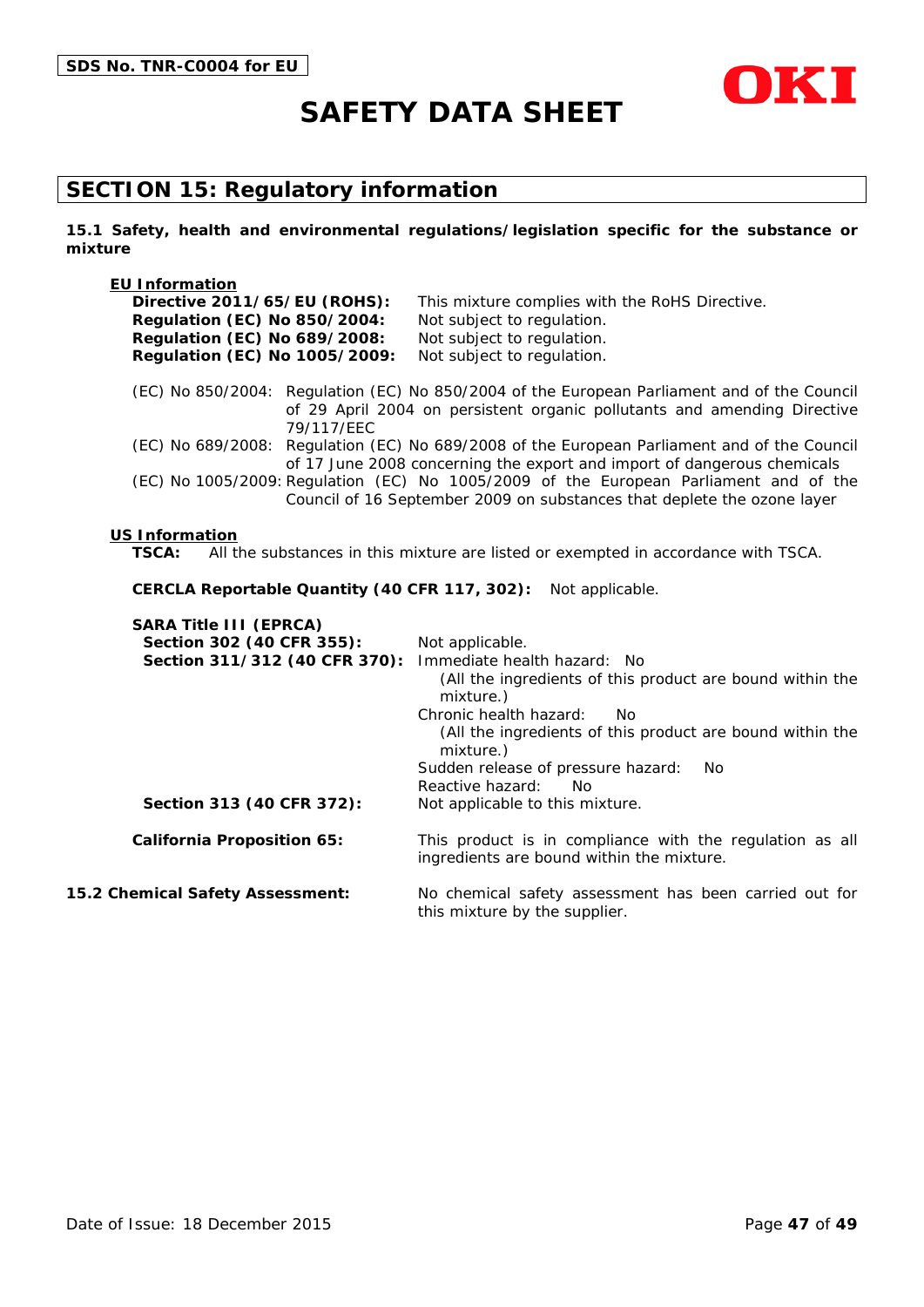

# **SECTION 15: Regulatory information**

**15.1 Safety, health and environmental regulations/legislation specific for the substance or mixture**

| <b>EU Information</b>                         |                                                                                                                                                                         |
|-----------------------------------------------|-------------------------------------------------------------------------------------------------------------------------------------------------------------------------|
| Directive 2011/65/EU (ROHS):                  | This mixture complies with the RoHS Directive.                                                                                                                          |
| <b>Regulation (EC) No 850/2004:</b>           | Not subject to regulation.                                                                                                                                              |
| <b>Regulation (EC) No 689/2008:</b>           | Not subject to regulation.                                                                                                                                              |
| Regulation (EC) No 1005/2009:                 | Not subject to regulation.                                                                                                                                              |
| 79/117/EEC                                    | (EC) No 850/2004: Regulation (EC) No 850/2004 of the European Parliament and of the Council<br>of 29 April 2004 on persistent organic pollutants and amending Directive |
|                                               | (EC) No 689/2008: Regulation (EC) No 689/2008 of the European Parliament and of the Council<br>of 17 June 2008 concerning the export and import of dangerous chemicals  |
|                                               | (EC) No 1005/2009: Regulation (EC) No 1005/2009 of the European Parliament and of the<br>Council of 16 September 2009 on substances that deplete the ozone layer        |
| <b>US Information</b><br>TSCA:                | All the substances in this mixture are listed or exempted in accordance with TSCA.                                                                                      |
| CERCLA Reportable Quantity (40 CFR 117, 302): | Not applicable.                                                                                                                                                         |
| <b>SARA Title III (EPRCA)</b>                 |                                                                                                                                                                         |
| Section 302 (40 CFR 355):                     | Not applicable.                                                                                                                                                         |
| Section 311/312 (40 CFR 370):                 | Immediate health hazard: No<br>(All the ingredients of this product are bound within the<br>mixture.)                                                                   |

Chronic health hazard: No (All the ingredients of this product are bound within the mixture.) Sudden release of pressure hazard: No Reactive hazard: No Section 313 (40 CFR 372): Not applicable to this mixture. **California Proposition 65:** This product is in compliance with the regulation as all ingredients are bound within the mixture. **15.2 Chemical Safety Assessment:** No chemical safety assessment has been carried out for

this mixture by the supplier.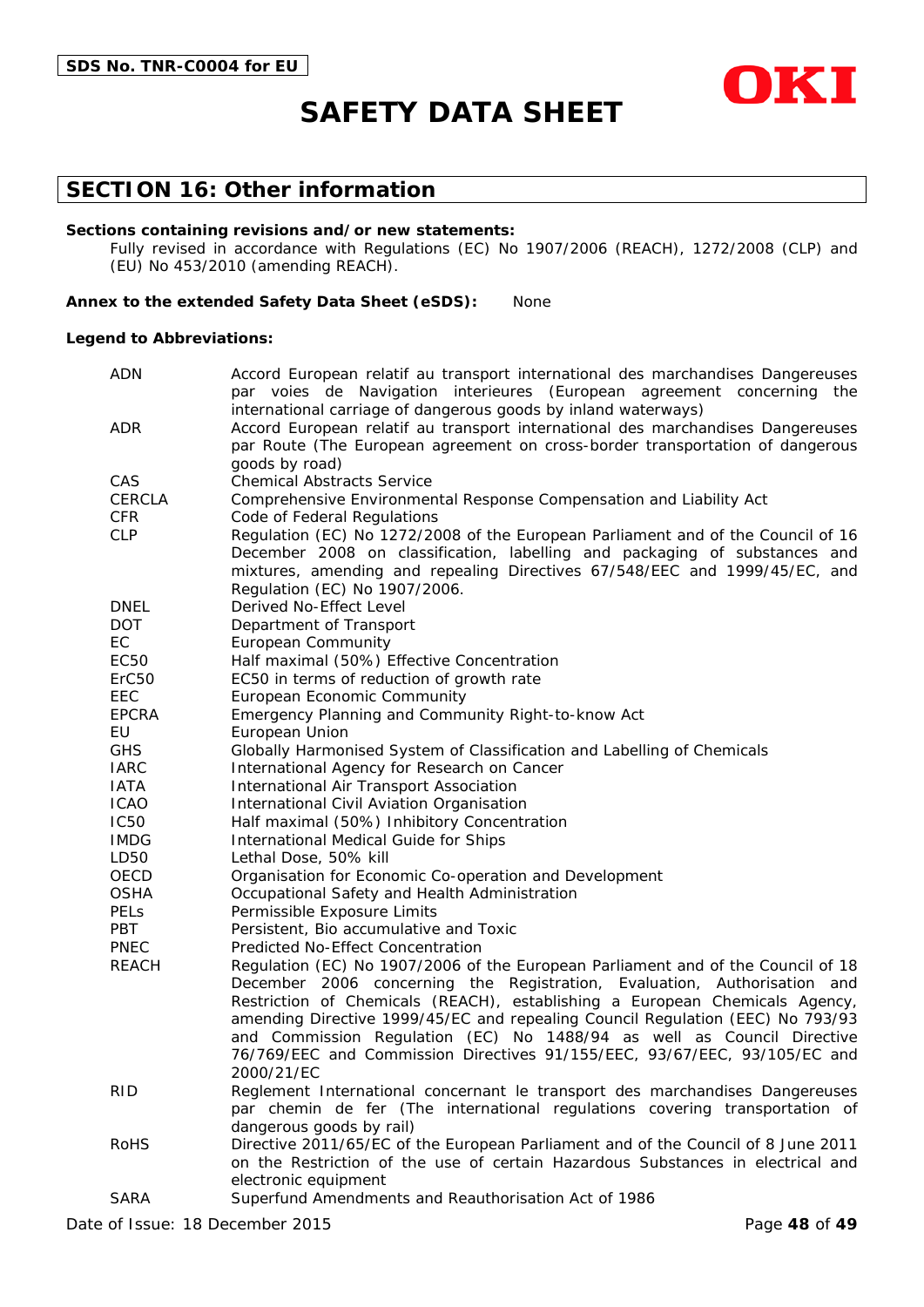

### **SECTION 16: Other information**

#### **Sections containing revisions and/or new statements:**

Fully revised in accordance with Regulations (EC) No 1907/2006 (REACH), 1272/2008 (CLP) and (EU) No 453/2010 (amending REACH).

#### **Annex to the extended Safety Data Sheet (eSDS):** None

#### **Legend to Abbreviations:**

| <b>ADN</b>               | Accord European relatif au transport international des marchandises Dangereuses                                                                             |  |
|--------------------------|-------------------------------------------------------------------------------------------------------------------------------------------------------------|--|
|                          | par voies de Navigation interieures (European agreement concerning the                                                                                      |  |
|                          | international carriage of dangerous goods by inland waterways)                                                                                              |  |
| ADR                      | Accord European relatif au transport international des marchandises Dangereuses                                                                             |  |
|                          | par Route (The European agreement on cross-border transportation of dangerous                                                                               |  |
| CAS                      | goods by road)<br><b>Chemical Abstracts Service</b>                                                                                                         |  |
| <b>CERCLA</b>            |                                                                                                                                                             |  |
|                          | Comprehensive Environmental Response Compensation and Liability Act                                                                                         |  |
| <b>CFR</b><br><b>CLP</b> | Code of Federal Regulations<br>Regulation (EC) No 1272/2008 of the European Parliament and of the Council of 16                                             |  |
|                          | December 2008 on classification, labelling and packaging of substances and                                                                                  |  |
|                          | mixtures, amending and repealing Directives 67/548/EEC and 1999/45/EC, and                                                                                  |  |
|                          | Regulation (EC) No 1907/2006.                                                                                                                               |  |
| <b>DNEL</b>              | Derived No-Effect Level                                                                                                                                     |  |
| <b>DOT</b>               | Department of Transport                                                                                                                                     |  |
| EC                       | <b>European Community</b>                                                                                                                                   |  |
| EC50                     | Half maximal (50%) Effective Concentration                                                                                                                  |  |
| ErC <sub>50</sub>        | EC50 in terms of reduction of growth rate                                                                                                                   |  |
| EEC                      | European Economic Community                                                                                                                                 |  |
| <b>EPCRA</b>             | Emergency Planning and Community Right-to-know Act                                                                                                          |  |
| EU                       | European Union                                                                                                                                              |  |
| <b>GHS</b>               | Globally Harmonised System of Classification and Labelling of Chemicals                                                                                     |  |
| <b>IARC</b>              | International Agency for Research on Cancer                                                                                                                 |  |
| <b>IATA</b>              | International Air Transport Association                                                                                                                     |  |
| <b>ICAO</b>              | International Civil Aviation Organisation                                                                                                                   |  |
| <b>IC50</b>              | Half maximal (50%) Inhibitory Concentration                                                                                                                 |  |
| <b>IMDG</b>              | International Medical Guide for Ships                                                                                                                       |  |
| LD50                     | Lethal Dose, 50% kill                                                                                                                                       |  |
| OECD                     | Organisation for Economic Co-operation and Development                                                                                                      |  |
| <b>OSHA</b>              | Occupational Safety and Health Administration                                                                                                               |  |
| <b>PELS</b>              | Permissible Exposure Limits                                                                                                                                 |  |
| <b>PBT</b>               | Persistent, Bio accumulative and Toxic                                                                                                                      |  |
| <b>PNEC</b>              | Predicted No-Effect Concentration                                                                                                                           |  |
| <b>REACH</b>             | Regulation (EC) No 1907/2006 of the European Parliament and of the Council of 18                                                                            |  |
|                          | December 2006 concerning the Registration, Evaluation, Authorisation and                                                                                    |  |
|                          | Restriction of Chemicals (REACH), establishing a European Chemicals Agency,                                                                                 |  |
|                          | amending Directive 1999/45/EC and repealing Council Regulation (EEC) No 793/93                                                                              |  |
|                          | and Commission Regulation (EC) No 1488/94 as well as Council Directive                                                                                      |  |
|                          | 76/769/EEC and Commission Directives 91/155/EEC, 93/67/EEC, 93/105/EC and                                                                                   |  |
|                          | 2000/21/EC                                                                                                                                                  |  |
| <b>RID</b>               | Reglement International concernant le transport des marchandises Dangereuses<br>par chemin de fer (The international regulations covering transportation of |  |
|                          | dangerous goods by rail)                                                                                                                                    |  |
| <b>RoHS</b>              | Directive 2011/65/EC of the European Parliament and of the Council of 8 June 2011                                                                           |  |
|                          | on the Restriction of the use of certain Hazardous Substances in electrical and                                                                             |  |
|                          | electronic equipment                                                                                                                                        |  |
| <b>SARA</b>              | Superfund Amendments and Reauthorisation Act of 1986                                                                                                        |  |